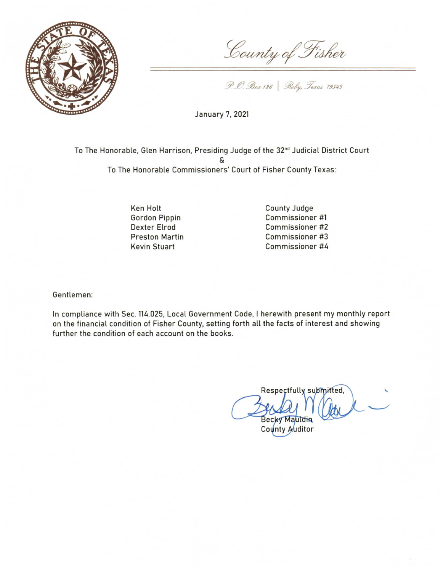

County of Fisher

P. O. Box 126 | Roby, Texas 79543

January 7, 2021

To The Honorable, Glen Harrison, Presiding Judge of the 32<sup>nd</sup> Judicial District Court S To The Honorable Commissioners' Court of Fisher County Texas:

> Ken Holt **Gordon Pippin Dexter Elrod Preston Martin Kevin Stuart**

County Judge Commissioner #1 Commissioner #2 Commissioner #3 Commissioner #4

Gentlemen:

In compliance with Sec. 114.025, Local Government Code, I herewith present my monthly report on the financial condition of Fisher County, setting forth all the facts of interest and showing further the condition of each account on the books.

Respectfully submitted, **Becky Mauldin** 

County Auditor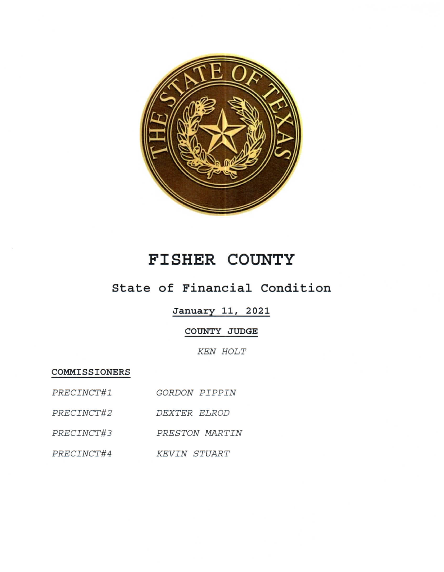

## FISHER COUNTY

## State of Financial Condition

January 11, 2021

COUNTY JUDGE

**KEN HOLT** 

COMMISSIONERS

| <i>PRECINCT#1</i> | GORDON PIPPIN |  |
|-------------------|---------------|--|
|                   |               |  |

PRECINCT#2 DEXTER ELROD

PRECINCT#3 PRESTON MARTIN

PRECINCT#4 KEVIN STUART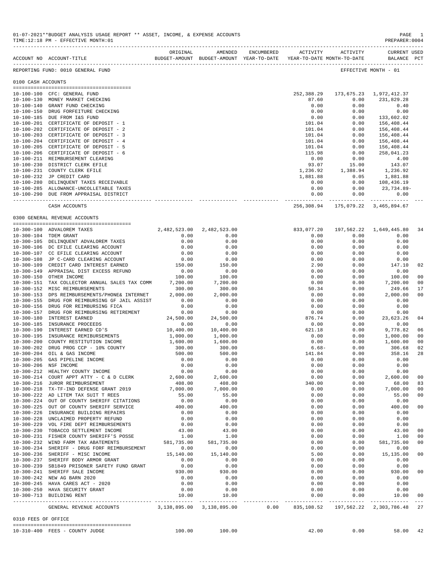|                     | ORIGINAL AMENDED ENCUMBERED<br>BUDGET-AMOUNT BUDGET-AMOUNT YEAR-TO-DATE<br>ACCOUNT NO ACCOUNT-TITLE |                           |                    | ACTIVITY<br>YEAR-TO-DATE MONTH-TO-DATE | ACTIVITY         | CURRENT USED<br>BALANCE PCT        |                                  |
|---------------------|-----------------------------------------------------------------------------------------------------|---------------------------|--------------------|----------------------------------------|------------------|------------------------------------|----------------------------------|
|                     | REPORTING FUND: 0010 GENERAL FUND                                                                   |                           |                    |                                        |                  | EFFECTIVE MONTH - 01               |                                  |
| 0100 CASH ACCOUNTS  |                                                                                                     |                           |                    |                                        |                  |                                    |                                  |
|                     | 10-100-100 CFC: GENERAL FUND                                                                        |                           |                    | 252,388.29                             |                  | 173,675.23 1,972,412.37            |                                  |
|                     | 10-100-130 MONEY MARKET CHECKING                                                                    |                           |                    | 87.60                                  | 0.00             | 231,829.28                         |                                  |
|                     | 10-100-140 GRANT FUND CHECKING                                                                      |                           |                    | 0.00                                   | 0.00             | 0.40                               |                                  |
|                     | 10-100-150 DRUG FORFEITURE CHECKING<br>10-100-185 DUE FROM I&S FUND                                 |                           |                    | 0.00<br>0.00                           | 0.00<br>0.00     | 0.00<br>133,602.02                 |                                  |
|                     | 10-100-201 CERTIFICATE OF DEPOSIT - 1                                                               |                           |                    | 101.04                                 | 0.00             | 156,408.44                         |                                  |
|                     | 10-100-202 CERTIFICATE OF DEPOSIT - 2                                                               |                           |                    | 101.04                                 | 0.00             | 156,408.44                         |                                  |
|                     | 10-100-203 CERTIFICATE OF DEPOSIT - 3                                                               |                           |                    | 101.04                                 | 0.00             | 156,408.44                         |                                  |
|                     | 10-100-204 CERTIFICATE OF DEPOSIT - 4<br>10-100-205 CERTIFICATE OF DEPOSIT - 5                      |                           |                    | 101.04<br>101.04                       | 0.00<br>0.00     | 156,408.44<br>156,408.44           |                                  |
|                     | 10-100-206 CERTIFICATE OF DEPOSIT - 6                                                               |                           |                    | 115.98                                 | 0.00             | 258,041.23                         |                                  |
|                     | 10-100-211 REIMBURSEMENT CLEARING                                                                   |                           |                    | 0.00                                   | 0.00             | 4.00                               |                                  |
|                     | 10-100-230 DISTRICT CLERK EFILE                                                                     |                           |                    | 93.07                                  | 15.00            | 143.07                             |                                  |
|                     | 10-100-231 COUNTY CLERK EFILE<br>10-100-232 JP CREDIT CARD                                          |                           |                    | 1,236.92<br>1,881.88                   | 1,388.94<br>0.05 | 1,236.92<br>1,881.88               |                                  |
|                     | 10-100-280 DELINQUENT TAXES RECEIVABLE                                                              |                           |                    | 0.00                                   | 0.00             | 108,436.19                         |                                  |
|                     | 10-100-285 ALLOWANCE-UNCOLLETABLE TAXES                                                             |                           |                    | 0.00                                   | 0.00             | 23,734.89-                         |                                  |
|                     | 10-100-290 DUE FROM APPRAISAL DISTRICT                                                              |                           |                    | 0.00                                   | 0.00             | 0.00                               |                                  |
|                     | CASH ACCOUNTS                                                                                       |                           |                    |                                        |                  | 256,308.94 175,079.22 3,465,894.67 |                                  |
|                     | 0300 GENERAL REVENUE ACCOUNTS                                                                       |                           |                    |                                        |                  |                                    |                                  |
|                     | 10-300-100 ADVALOREM TAXES                                                                          | 2,482,523.00 2,482,523.00 |                    | 833,077.20                             | 197,562.22       | 1,649,445.80                       | 34                               |
|                     | 10-300-104 TDEM GRANT                                                                               | 0.00                      | 0.00               | 0.00                                   | 0.00             | 0.00                               |                                  |
|                     | 10-300-105 DELINQUENT ADVALOREM TAXES                                                               | 0.00                      | 0.00               | 0.00                                   | 0.00             | 0.00                               |                                  |
|                     | 10-300-106 DC EFILE CLEARING ACCOUNT<br>10-300-107 CC EFILE CLEARING ACCOUNT                        | 0.00<br>0.00              | 0.00<br>0.00       | 0.00<br>0.00                           | 0.00<br>0.00     | 0.00<br>0.00                       |                                  |
|                     | 10-300-108 JP C-CARD CLEARING ACCOUNT                                                               | 0.00                      | 0.00               | 0.00                                   | 0.00             | 0.00                               |                                  |
|                     | 10-300-109 CREDIT CARD INTEREST EARNED                                                              | 150.00                    | 150.00             | 2.90                                   | 0.00             | 147.10                             | 02                               |
|                     | 10-300-149 APPRAISAL DIST EXCESS REFUND                                                             | 0.00                      | 0.00               | 0.00                                   | 0.00             | 0.00                               |                                  |
|                     | 10-300-150 OTHER INCOME<br>10-300-151 TAX COLLECTOR ANNUAL SALES TAX COMM                           | 100.00<br>7,200.00        | 100.00<br>7,200.00 | 0.00<br>0.00                           | 0.00<br>0.00     | 100.00<br>7,200.00                 | 0 <sub>0</sub><br>0 <sub>0</sub> |
|                     | 10-300-152 MISC REIMBURSEMENTS                                                                      | 300.00                    | 300.00             | 50.34                                  | 0.00             | 249.66                             | 17                               |
|                     | 10-300-153 DPS REIMBURSEMENTS/PHONE& INTERNET                                                       | 2,000.00                  | 2,000.00           | 0.00                                   | 0.00             | 2,000.00                           | 0 <sub>0</sub>                   |
|                     | 10-300-155 DRUG FOR REIMBURSING GF JAIL ASSIST                                                      | 0.00                      | 0.00               | 0.00                                   | 0.00             | 0.00                               |                                  |
|                     | 10-300-156 DRUG FOR REIMBURSING FICA                                                                | 0.00<br>0.00              | 0.00<br>0.00       | 0.00<br>0.00                           | 0.00<br>0.00     | 0.00<br>0.00                       |                                  |
|                     | 10-300-157 DRUG FOR REIMBURSING RETIREMENT<br>10-300-180 INTEREST EARNED                            | 24,500.00                 | 24,500.00          | 876.74                                 | 0.00             | 23,623.26                          | 04                               |
|                     | 10-300-185 INSURANCE PROCEEDS                                                                       | 0.00                      | 0.00               | 0.00                                   | 0.00             | 0.00                               |                                  |
|                     | 10-300-190 INTEREST EARNED CD'S                                                                     | 10,400.00                 | 10,400.00          | 621.18                                 | 0.00             | 9,778.82                           | 06                               |
|                     | 10-300-195 INSURANCE REMIBURSEMENTS<br>10-300-200 COUNTY RESTITUTION INCOME                         | 1,000.00<br>1,600.00      | 1,000.00           | 0.00                                   | 0.00             | 1,000.00                           | 0 <sub>0</sub><br>0 <sub>0</sub> |
|                     | 10-300-202 DRUG PROG CCP - 10% COUNTY                                                               | 300.00                    | 1,600.00<br>300.00 | 0.00<br>$6.68-$                        | 0.00<br>0.00     | 1,600.00<br>306.68                 | 02                               |
|                     | 10-300-204 OIL & GAS INCOME                                                                         | 500.00                    | 500.00             | 141.84                                 | 0.00             | 358.16                             | 28                               |
| $10 - 300 - 205$    | GAS PIPELINE INCOME                                                                                 | 0.00                      | 0.00               | 0.00                                   | 0.00             | 0.00                               |                                  |
|                     | 10-300-206 NSF INCOME                                                                               | 0.00                      | 0.00               | 0.00                                   | 0.00             | 0.00                               |                                  |
|                     | 10-300-212 HEALTHY COUNTY INCOME<br>10-300-214 COURT APPT ATTY - C & D CLERK                        | 0.00<br>2,600.00          | 0.00<br>2,600.00   | 0.00<br>0.00                           | 0.00<br>0.00     | 0.00<br>2,600.00                   | 0 <sub>0</sub>                   |
|                     | 10-300-216 JUROR REIMBURSEMENT                                                                      | 408.00                    | 408.00             | 340.00                                 | 0.00             | 68.00                              | 83                               |
|                     | 10-300-218 TX-TF-IND DEFENSE GRANT 2019                                                             | 7,000.00                  | 7,000.00           | 0.00                                   | 0.00             | 7,000.00                           | 0 <sub>0</sub>                   |
|                     | 10-300-222 AD LITEM TAX SUIT T REES                                                                 | 55.00                     | 55.00              | 0.00                                   | 0.00             | 55.00                              | 0 <sub>0</sub>                   |
|                     | 10-300-224 OUT OF COUNTY SHERIFF CITATIONS<br>10-300-225 OUT OF COUNTY SHERIFF SERVICE              | 0.00<br>400.00            | 0.00<br>400.00     | 0.00<br>0.00                           | 0.00<br>0.00     | 0.00<br>400.00                     | 0 <sub>0</sub>                   |
|                     | 10-300-226 INSURANCE BUILDING REPAIRS                                                               | 0.00                      | 0.00               | 0.00                                   | 0.00             | 0.00                               |                                  |
|                     | 10-300-228 UNCLAIMED PROPERTY REFUND                                                                | 0.00                      | 0.00               | 0.00                                   | 0.00             | 0.00                               |                                  |
|                     | 10-300-229 VOL FIRE DEPT REIMBURSEMENTS                                                             | 0.00                      | 0.00               | 0.00                                   | 0.00             | 0.00                               |                                  |
|                     | 10-300-230 TOBACCO SETTLEMENT INCOME<br>10-300-231 FISHER COUNTY SHERIFF'S POSSE                    | 43.00                     | 43.00              | 0.00                                   | 0.00             | 43.00                              | 00<br>0 <sub>0</sub>             |
|                     | 10-300-232 WIND FARM TAX ABATEMENTS                                                                 | 1.00<br>581,735.00        | 1.00<br>581,735.00 | 0.00<br>0.00                           | 0.00<br>0.00     | 1.00<br>581,735.00                 | 00                               |
|                     | 10-300-234 SHERIFF - DRUG FORF REIMBURSEMENT                                                        | 0.00                      | 0.00               | 0.00                                   | 0.00             | 0.00                               |                                  |
|                     | 10-300-236 SHERIFF - MISC INCOME                                                                    | 15,140.00                 | 15,140.00          | 5.00                                   | 0.00             | 15,135.00                          | 0 <sub>0</sub>                   |
|                     | 10-300-237 SHERIFF BODY ARMOR GRANT                                                                 | 0.00                      | 0.00               | 0.00                                   | 0.00             | 0.00                               |                                  |
|                     | 10-300-239 SB1849 PRISONER SAFETY FUND GRANT<br>10-300-241 SHERIFF SALE INCOME                      | 0.00<br>930.00            | 0.00<br>930.00     | 0.00<br>0.00                           | 0.00<br>0.00     | 0.00<br>930.00                     | 0 <sub>0</sub>                   |
|                     | 10-300-242 NEW AG BARN 2020                                                                         | 0.00                      | 0.00               | 0.00                                   | 0.00             | 0.00                               |                                  |
|                     | 10-300-245 HAVA CARES ACT - 2020                                                                    | 0.00                      | 0.00               | 0.00                                   | 0.00             | 0.00                               |                                  |
|                     | 10-300-250 HAVA SECURITY GRANT                                                                      | 0.00                      | 0.00               | 0.00                                   | 0.00             | 0.00                               |                                  |
|                     | 10-300-713 BUILDING RENT                                                                            | 10.00                     | 10.00              | 0.00                                   | 0.00             | 10.00                              | 00                               |
|                     | GENERAL REVENUE ACCOUNTS 3,138,895.00 3,138,895.00 0.00                                             |                           |                    |                                        |                  | 835,108.52 197,562.22 2,303,786.48 | 27                               |
| 0310 FEES OF OFFICE |                                                                                                     |                           |                    |                                        |                  |                                    |                                  |
|                     | 10-310-400 FEES - COUNTY JUDGE                                                                      | 100.00                    | 100.00             | 42.00                                  | 0.00             | 58.00                              | 42                               |

01-07-2021\*\*BUDGET ANALYSIS USAGE REPORT \*\* ASSET, INCOME, & EXPENSE ACCOUNTS PAGE 1<br>TIME:12:18 PM - EFFECTIVE MONTH:01 TIME:12:18 PM - EFFECTIVE MONTH:01

-------------------------------------------------------------------------------------------------------------------------------------------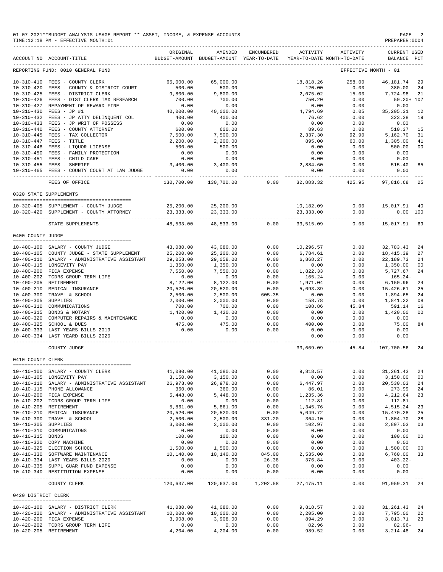|                     | 01-07-2021**BUDGET ANALYSIS USAGE REPORT ** ASSET, INCOME, & EXPENSE ACCOUNTS<br>TIME:12:18 PM - EFFECTIVE MONTH:01 |                                        |                                                                                |        |            |                              | PAGE<br>PREPARER: 0004            | 2   |
|---------------------|---------------------------------------------------------------------------------------------------------------------|----------------------------------------|--------------------------------------------------------------------------------|--------|------------|------------------------------|-----------------------------------|-----|
|                     | ACCOUNT NO ACCOUNT-TITLE                                                                                            | ORIGINAL                               | AMENDED<br>BUDGET-AMOUNT BUDGET-AMOUNT YEAR-TO-DATE YEAR-TO-DATE MONTH-TO-DATE |        |            | ENCUMBERED ACTIVITY ACTIVITY | CURRENT USED<br>BALANCE PCT       |     |
|                     | REPORTING FUND: 0010 GENERAL FUND                                                                                   |                                        |                                                                                |        |            |                              | EFFECTIVE MONTH - 01              |     |
|                     | 10-310-410 FEES - COUNTY CLERK                                                                                      | 65,000.00                              | 65,000.00                                                                      |        | 18,818.26  | 258.00                       | 46,181.74                         | 29  |
|                     | 10-310-420 FEES - COUNTY & DISTRICT COURT                                                                           | 500.00                                 | 500.00                                                                         |        | 120.00     | 0.00                         | 380.00                            | 24  |
|                     | 10-310-425 FEES - DISTRICT CLERK                                                                                    | 9,800.00                               | 9,800.00                                                                       |        | 2,075.02   | 15.00                        | 7,724.98                          | 21  |
|                     | 10-310-426 FEES - DIST CLERK TAX RESEARCH                                                                           | 700.00                                 | 700.00                                                                         |        | 750.20     | 0.00                         | $50.20 + 107$                     |     |
|                     | 10-310-427 REPAYMENT OF REWARD FINE                                                                                 | 0.00                                   | 0.00                                                                           |        | 0.00       | 0.00                         | 0.00                              |     |
|                     | 10-310-430 FEES - JP #1                                                                                             | 40,000.00                              | 40,000.00                                                                      |        | 4,794.69   | 0.05                         | 35, 205. 31                       | 12  |
|                     | 10-310-432 FEES - JP ATTY DELINQUENT COL                                                                            | 400.00                                 | 400.00                                                                         |        | 76.62      | 0.00                         | 323.38                            | 19  |
|                     | 10-310-433 FEES - JP WRIT OF POSSESS                                                                                | 0.00                                   | 0.00                                                                           |        | 0.00       | 0.00                         | 0.00                              |     |
|                     | 10-310-440 FEES - COUNTY ATTORNEY                                                                                   | 600.00                                 | 600.00                                                                         |        | 89.63      | 0.00                         | 510.37                            | 15  |
|                     | 10-310-445 FEES - TAX COLLECTOR                                                                                     | 7,500.00                               | 7,500.00                                                                       |        | 2,337.30   | 92.90                        | 5,162.70                          | 31  |
|                     | 10-310-447 FEES - TITLE                                                                                             | 2,200.00                               | 2,200.00                                                                       |        | 895.00     | 60.00                        | 1,305.00                          | 41  |
|                     | 10-310-448 FEES - LIQUOR LICENSE                                                                                    | 500.00                                 | 500.00                                                                         |        | 0.00       | 0.00                         | 500.00                            | 00  |
|                     | 10-310-450 FEES - FAMILY PROTECTION                                                                                 | 0.00                                   | 0.00                                                                           |        | 0.00       | 0.00                         | 0.00                              |     |
|                     | 10-310-451 FEES - CHILD CARE                                                                                        | 0.00                                   | 0.00                                                                           |        | 0.00       | 0.00                         | 0.00                              |     |
|                     | 10-310-455 FEES - SHERIFF                                                                                           | 3,400.00                               | 3,400.00                                                                       |        | 2,884.60   | 0.00                         | 515.40                            | 85  |
|                     | 10-310-465 FEES - COUNTY COURT AT LAW JUDGE                                                                         | 0.00                                   | 0.00                                                                           |        | 0.00       | 0.00                         | 0.00                              |     |
|                     |                                                                                                                     | ----------                             |                                                                                |        |            | $- - - - - -$                |                                   |     |
|                     | FEES OF OFFICE                                                                                                      | 130,700.00                             | 130,700.00                                                                     | 0.00   | 32,883.32  | 425.95                       | 97,816.68                         | 25  |
|                     | 0320 STATE SUPPLEMENTS                                                                                              |                                        |                                                                                |        |            |                              |                                   |     |
|                     | 10-320-405 SUPPLEMENT - COUNTY JUDGE                                                                                | 25,200.00                              | 25,200.00                                                                      |        | 10,182.09  | 0.00                         | 15,017.91                         | 40  |
|                     | 10-320-420 SUPPLEMENT - COUNTY ATTORNEY                                                                             | 23, 333.00<br><u>-- --------------</u> | 23, 333.00<br>_____________                                                    |        | 23, 333.00 | 0.00<br>-------------        | 0.00                              | 100 |
|                     | ------------------------------<br>STATE SUPPLEMENTS                                                                 | 48,533.00                              | 48,533.00                                                                      | 0.00   | 33,515.09  | 0.00                         | ----------- <i>-</i><br>15,017.91 | 69  |
| 0400 COUNTY JUDGE   |                                                                                                                     |                                        |                                                                                |        |            |                              |                                   |     |
|                     |                                                                                                                     |                                        |                                                                                |        |            |                              |                                   |     |
|                     | 10-400-100 SALARY - COUNTY JUDGE                                                                                    | 43,080.00                              | 43,080.00                                                                      | 0.00   | 10,296.57  | 0.00                         | 32,783.43                         | 24  |
|                     | 10-400-105 COUNTY JUDGE - STATE SUPPLEMENT                                                                          | 25,200.00                              | 25,200.00                                                                      | 0.00   | 6,784.61   | 0.00                         | 18, 415.39                        | 27  |
|                     | 10-400-110 SALARY - ADMINISTRATIVE ASSISTANT                                                                        | 29,058.00                              | 29,058.00                                                                      | 0.00   | 6,868.27   | 0.00                         | 22, 189. 73                       | 24  |
|                     | 10-400-115 LONGEVITY PAY                                                                                            | 1,350.00                               | 1,350.00                                                                       | 0.00   | 0.00       | 0.00                         | 1,350.00                          | 00  |
|                     | 10-400-200 FICA EXPENSE                                                                                             | 7,550.00                               | 7,550.00                                                                       | 0.00   | 1,822.33   | 0.00                         | 5,727.67                          | 24  |
|                     | 10-400-202 TCDRS GROUP TERM LIFE                                                                                    | 0.00                                   | 0.00                                                                           | 0.00   | 165.24     | 0.00                         | 165.24-                           |     |
|                     | 10-400-205 RETIREMENT                                                                                               | 8,122.00                               | 8,122.00                                                                       | 0.00   | 1,971.04   | 0.00                         | 6,150.96                          | 24  |
|                     | 10-400-210 MEDICAL INSURANCE                                                                                        | 20,520.00                              | 20,520.00                                                                      | 0.00   | 5,093.39   | 0.00                         | 15,426.61                         | 25  |
|                     | 10-400-300 TRAVEL & SCHOOL                                                                                          | 2,500.00                               | 2,500.00                                                                       | 605.35 | 0.00       | 0.00                         | 1,894.65                          | 24  |
| 10-400-305 SUPPLIES |                                                                                                                     | 2,000.00                               | 2,000.00                                                                       | 0.00   | 158.78     | 0.00                         | 1,841.22                          | 08  |
|                     | 10-400-310 COMMUNICATIONS                                                                                           | 700.00                                 | 700.00                                                                         | 0.00   | 108.86     | 45.84                        | 591.14                            | 16  |
|                     | 10-400-315 BONDS & NOTARY                                                                                           | 1,420.00                               | 1,420.00                                                                       | 0.00   | 0.00       | 0.00                         | 1,420.00                          | 00  |
|                     | 10-400-320 COMPUTER REPAIRS & MAINTENANCE                                                                           | 0.00                                   | 0.00                                                                           | 0.00   | 0.00       | 0.00                         | 0.00                              |     |
|                     | 10-400-325 SCHOOL & DUES                                                                                            | 475.00                                 | 475.00                                                                         | 0.00   | 400.00     | 0.00                         | 75.00                             | 84  |
|                     | 10-400-333 LAST YEARS BILLS 2019                                                                                    | 0.00                                   | 0.00                                                                           | 0.00   | 0.00       | 0.00                         | 0.00                              |     |
|                     | 10-400-334 LAST YEARD BILLS 2020<br>______________________________________                                          |                                        |                                                                                |        | 0.00       | 0.00<br>$- - - - -$          | 0.00                              |     |
|                     | COUNTY JUDGE                                                                                                        |                                        |                                                                                |        | 33,669.09  | 45.84                        | 107,700.56                        | 24  |
| 0410 COUNTY CLERK   |                                                                                                                     |                                        |                                                                                |        |            |                              |                                   |     |
|                     |                                                                                                                     |                                        |                                                                                |        |            |                              |                                   |     |
|                     | 10-410-100 SALARY - COUNTY CLERK                                                                                    | 41,080.00                              | 41,080.00                                                                      | 0.00   | 9,818.57   | 0.00                         | 31, 261.43                        | 24  |
|                     | 10-410-105 LONGEVITY PAY                                                                                            | 3,150.00                               | 3,150.00                                                                       | 0.00   | 0.00       | 0.00                         | 3,150.00                          | 00  |
|                     | 10-410-110 SALARY - ADMINISTRATIVE ASSISTANT                                                                        | 26,978.00                              | 26,978.00                                                                      | 0.00   | 6,447.97   | 0.00                         | 20,530.03                         | 24  |
|                     | 10-410-115 PHONE ALLOWANCE                                                                                          | 360.00                                 | 360.00                                                                         | 0.00   | 86.01      | 0.00                         | 273.99                            | 24  |
|                     | 10-410-200 FICA EXPENSE                                                                                             | 5,448.00                               | 5,448.00                                                                       | 0.00   | 1,235.36   | 0.00                         | 4,212.64                          | 23  |

|                     | 10-400-334 LAST YEARD BILLS 2020   |           |           |        | 0.00                                     | 0.00 | 0.00                |    |
|---------------------|------------------------------------|-----------|-----------|--------|------------------------------------------|------|---------------------|----|
|                     | COUNTY JUDGE                       |           |           |        | 33,669,09                                |      | 45.84 107.700.56 24 |    |
| 0410 COUNTY CLERK   |                                    |           |           |        |                                          |      |                     |    |
|                     |                                    |           |           |        |                                          |      |                     |    |
|                     | 10-410-100 SALARY - COUNTY CLERK   | 41,080.00 | 41,080.00 | 0.00   | 9,818.57                                 | 0.00 | 31,261.43           | 24 |
| $10 - 410 - 105$    | LONGEVITY PAY                      | 3,150.00  | 3,150.00  | 0.00   | 0.00                                     | 0.00 | 3,150.00            | 00 |
| $10 - 410 - 110$    | SALARY - ADMINISTRATIVE ASSISTANT  | 26,978.00 | 26,978.00 | 0.00   | 6,447.97                                 | 0.00 | 20,530.03           | 24 |
| $10 - 410 - 115$    | PHONE ALLOWANCE                    | 360.00    | 360.00    | 0.00   | 86.01                                    | 0.00 | 273.99              | 24 |
| $10 - 410 - 200$    | FICA EXPENSE                       | 5,448.00  | 5,448.00  | 0.00   | 1,235.36                                 | 0.00 | 4,212.64            | 23 |
| $10 - 410 - 202$    | TCDRS GROUP TERM LIFE              | 0.00      | 0.00      | 0.00   | 112.81                                   | 0.00 | 112.81-             |    |
| $10 - 410 - 205$    | RETIREMENT                         | 5,861.00  | 5,861.00  | 0.00   | 1,345.76                                 | 0.00 | 4,515.24            | 23 |
| $10 - 410 - 210$    | MEDICAL INSURANCE                  | 20,520.00 | 20,520.00 | 0.00   | 5,049.72                                 | 0.00 | 15,470.28           | 25 |
| $10 - 410 - 300$    | TRAVEL & SCHOOL                    | 2,500.00  | 2,500.00  | 331.20 | 364.10                                   | 0.00 | 1,804.70            | 28 |
| $10 - 410 - 305$    | <b>SUPPLIES</b>                    | 3,000.00  | 3,000.00  | 0.00   | 102.97                                   | 0.00 | 2,897.03            | 03 |
| $10 - 410 - 310$    | COMMUNICATONS                      | 0.00      | 0.00      | 0.00   | 0.00                                     | 0.00 | 0.00                |    |
| $10 - 410 - 315$    | <b>BONDS</b>                       | 100.00    | 100.00    | 0.00   | 0.00                                     | 0.00 | 100.00              | 00 |
| $10 - 410 - 320$    | COPY MACHINE                       | 0.00      | 0.00      | 0.00   | 0.00                                     | 0.00 | 0.00                |    |
| $10 - 410 - 325$    | ELECTION SCHOOL                    | 1,500.00  | 1,500.00  | 0.00   | 0.00                                     | 0.00 | 1,500.00            | 00 |
| $10 - 410 - 330$    | SOFTWARE MAINTENANCE               | 10,140.00 | 10,140.00 | 845.00 | 2,535.00                                 | 0.00 | 6,760.00            | 33 |
| $10 - 410 - 334$    | LAST YEARS BILLS 2020              | 0.00      | 0.00      | 26.38  | 376.84                                   | 0.00 | $403.22 -$          |    |
| $10 - 410 - 335$    | SUPPL GUAR FUND EXPENSE            | 0.00      | 0.00      | 0.00   | 0.00                                     | 0.00 | 0.00                |    |
|                     | 10-410-340 RESTITUTION EXPENSE     | 0.00      | 0.00      | 0.00   | 0.00                                     | 0.00 | 0.00                |    |
|                     | COUNTY CLERK                       |           |           |        | 120,637.00 120,637.00 1,202.58 27,475.11 | 0.00 | 91,959.31 24        |    |
| 0420 DISTRICT CLERK |                                    |           |           |        |                                          |      |                     |    |
|                     |                                    |           |           |        |                                          |      |                     |    |
|                     | 10-420-100 SALARY - DISTRICT CLERK | 41,080.00 | 41,080.00 | 0.00   | 9,818.57                                 | 0.00 | 31, 261. 43 24      |    |
| $10 - 420 - 120$    | SALARY - ADMINISTRATIVE ASSISTANT  | 10,000.00 | 10,000.00 | 0.00   | 2,205.00                                 | 0.00 | 7,795.00            | 22 |
| $10 - 420 - 200$    | FICA EXPENSE                       | 3,908,00  | 3,908.00  | 0.00   | 894.29                                   | 0.00 | 3,013.71            | 23 |
| $10 - 420 - 202$    | TCDRS GROUP TERM LIFE              | 0.00      | 0.00      | 0.00   | 82.96                                    | 0.00 | $82.96-$            |    |
| $10 - 420 - 205$    | RETIREMENT                         | 4,204.00  | 4,204.00  | 0.00   | 989.52                                   | 0.00 | 3, 214.48 24        |    |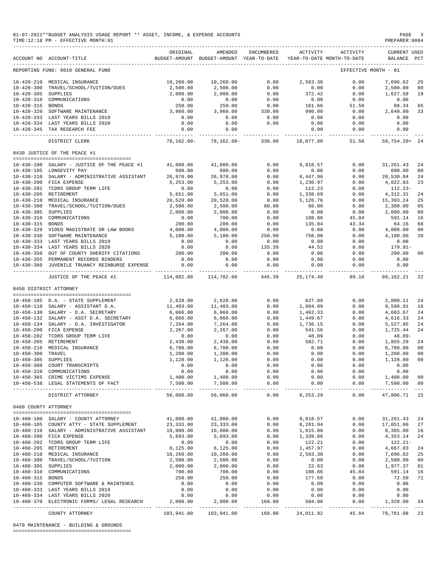|                      | 01-07-2021**BUDGET ANALYSIS USAGE REPORT ** ASSET, INCOME, & EXPENSE ACCOUNTS<br>TIME:12:18 PM - EFFECTIVE MONTH:01 |                         |                                                                                |                              |                      |                    | PAGE<br>PREPARER: 0004             | $\overline{\phantom{a}}$ |
|----------------------|---------------------------------------------------------------------------------------------------------------------|-------------------------|--------------------------------------------------------------------------------|------------------------------|----------------------|--------------------|------------------------------------|--------------------------|
|                      | ACCOUNT NO ACCOUNT-TITLE                                                                                            | ORIGINAL                | AMENDED<br>BUDGET-AMOUNT BUDGET-AMOUNT YEAR-TO-DATE YEAR-TO-DATE MONTH-TO-DATE | ENCUMBERED                   | ACTIVITY             | ACTIVITY           | <b>CURRENT USED</b><br>BALANCE PCT |                          |
|                      | REPORTING FUND: 0010 GENERAL FUND                                                                                   |                         |                                                                                |                              |                      |                    | EFFECTIVE MONTH - 01               |                          |
|                      | 10-420-210 MEDICAL INSURANCE                                                                                        | 10,260.00               | 10,260.00                                                                      | 0.00                         | 2,563.38             | 0.00               | 7,696.62                           | 25                       |
| $10 - 420 - 300$     | TRAVEL/SCHOOL/TUITION/DUES                                                                                          | 2,500.00                | 2,500.00                                                                       | 0.00                         | 0.00                 | 0.00               | 2,500.00                           | - 00                     |
| 10-420-305 SUPPLIES  |                                                                                                                     | 2,000.00                | 2,000.00                                                                       | 0.00                         | 372.42               | 0.00               | 1,627.58                           | 19                       |
| 10-420-315 BONDS     | 10-420-310 COMMUNICATIONS                                                                                           | 0.00<br>250.00          | $0.00$<br>$250.00$                                                             | 0.00<br>0.00                 | 0.00<br>161.66       | 0.00<br>51.58      | 0.00<br>88.34                      | 65                       |
|                      | 10-420-320 SOFTWARE MAINTENANCE                                                                                     | 3,960.00                | 3,960.00                                                                       | 330.00                       | 990.00               | 0.00               | 2,640.00                           | 33                       |
|                      | 10-420-333 LAST YEARS BILLS 2019                                                                                    | 0.00                    | 0.00                                                                           | 0.00                         | 0.00                 | 0.00               | 0.00                               |                          |
|                      | 10-420-334 LAST YEARS BILLS 2020                                                                                    | 0.00                    | 0.00                                                                           | 0.00                         | 0.00                 | 0.00               | 0.00                               |                          |
|                      | 10-420-345 TAX RESEARCH FEE                                                                                         | 0.00<br>-----------     | 0.00                                                                           | ____________________________ | 0.00                 | 0.00<br>---------- | 0.00<br>.                          |                          |
|                      | DISTRICT CLERK                                                                                                      | 78,162.00-              |                                                                                | 78,162.00- 330.00            | 18,077.80            | 51.58              | 59,754.20+ 24                      |                          |
|                      | 0430 JUSTICE OF THE PEACE #1                                                                                        |                         |                                                                                |                              |                      |                    |                                    |                          |
|                      | 10-430-100 SALARY - JUSTICE OF THE PEACE #1                                                                         | 41,080.00               | 41,080.00                                                                      | 0.00                         | 9,818.57             | 0.00               | 31,261.43                          | -24                      |
|                      | 10-430-105 LONGEVITY PAY                                                                                            | 600.00                  | 600.00                                                                         | 0.00                         | 0.00                 | 0.00               | 600.00                             | 00                       |
|                      | 10-430-110 SALARY - ADMINISTRATIVE ASSISTANT                                                                        | 26,978.00               | 26,978.00                                                                      | 0.00                         | 6,447.96             | 0.00               | 20,530.04                          | 24                       |
|                      | 10-430-200 FICA EXPENSE<br>10-430-202 TCDRS GROUP TERM LIFE                                                         | 5,253.00<br>0.00        | 5,253.00<br>0.00                                                               | 0.00<br>0.00                 | 1,230.97<br>112.23   | 0.00<br>0.00       | 4,022.03<br>$112.23-$              | 23                       |
|                      | 10-430-205 RETIREMENT                                                                                               | 5,651.00                | 5,651.00                                                                       | 0.00                         | 1,338.69             | 0.00               | 4,312.31                           | 24                       |
|                      | 10-430-210 MEDICAL INSURANCE                                                                                        | 20,520.00               | 20,520.00                                                                      | 0.00                         | 5,126.76             | 0.00               | 15,393.24                          | 25                       |
|                      | 10-430-300 TRAVEL/SCHOOL/TUITION/DUES                                                                               | 2,500.00                | 2,500.00                                                                       | 60.00                        | 60.00                | 0.00               | 2,380.00                           | 05                       |
| 10-430-305 SUPPLIES  |                                                                                                                     | 2,000.00                | 2,000.00                                                                       | 0.00                         | 0.00                 | 0.00               | 2,000.00                           | 00                       |
|                      | 10-430-310 COMMUNICATIONS                                                                                           | 0.00                    | 700.00                                                                         | 0.00                         | 108.86               | 45.84              | 591.14                             | 16                       |
| 10-430-315 BONDS     |                                                                                                                     | 200.00                  | 200.00                                                                         | 0.00                         | 135.84               | 43.34              | 64.16                              | 68                       |
|                      | 10-430-320 VIDEO MAGISTRATE OR LAW BOOKS<br>10-430-330 SOFTWARE MAINTENANCE                                         | 4,000.00<br>5,100.00    | 4,000.00<br>5,100.00                                                           | 0.00<br>250.00               | 0.00<br>750.00       | 0.00<br>0.00       | 4,000.00<br>4,100.00               | 00<br>20                 |
|                      | 10-430-333 LAST YEARS BILLS 2019                                                                                    | 0.00                    | 0.00                                                                           | 0.00                         | 0.00                 | 0.00               | 0.00                               |                          |
|                      | 10-430-334 LAST YEARS BILLS 2020                                                                                    | 0.00                    | 0.00                                                                           | 135.39                       | 44.52                | 0.00               | 179.91-                            |                          |
|                      | 10-430-350 OUT OF COUNTY SHERIFF CITATIONS                                                                          | 200.00                  | 200.00                                                                         | 0.00                         | 0.00                 | 0.00               | 200.00                             | 00                       |
|                      | 10-430-355 PERMANENT RECORDS BINDERS                                                                                | 0.00                    | 0.00                                                                           | 0.00                         | 0.00                 | 0.00               | 0.00                               |                          |
|                      | 10-430-360 JUVENILE TRUANCY REINBURSE EXPENSE                                                                       | 0.00                    | 0.00<br>______________                                                         | 0.00<br>-------------        | 0.00<br>------------ | 0.00<br>---------- | 0.00<br>-------------              |                          |
|                      | JUSTICE OF THE PEACE #1                                                                                             | 114,082.00              | 114,782.00                                                                     | 445.39                       | 25,174.40            | 89.18              | 89,162.21                          | 22                       |
|                      | 0450 DISTRICT ATTORNEY                                                                                              |                         |                                                                                |                              |                      |                    |                                    |                          |
|                      | 10-450-105 D.A. - STATE SUPPLEMENT                                                                                  | 2,628.00                | 2,628.00                                                                       | 0.00                         | 627.89               | 0.00               | 2,000.11 24                        |                          |
|                      | 10-450-110 SALARY - ASSISTANT D.A.                                                                                  | 11,403.00               | 11,403.00                                                                      | 0.00                         | 1,804.09             | 0.00               | 9,598.91                           | 16                       |
|                      | 10-450-130 SALARY - D.A. SECRETARY                                                                                  | 6,066.00                | 6,066.00                                                                       | 0.00                         | 1,462.33             | 0.00               | 4,603.67                           | 24                       |
|                      | 10-450-132 SALARY - ASST D.A. SECRETARY                                                                             | 6,066.00                | 6,066.00                                                                       | 0.00                         | 1,449.67             | 0.00               | 4,616.33                           | 24                       |
|                      | 10-450-134 SALARY - D.A. INVESTIGATOR                                                                               | 7,264.00                | 7,264.00                                                                       | 0.00                         | 1,736.15             | 0.00               | 5,527.85                           | 24                       |
|                      | 10-450-200 FICA EXPENSE                                                                                             | 2,267.00                | 2,267.00<br>0.00                                                               | 0.00<br>0.00                 | 541.56<br>48.89      | 0.00               | 1,725.44<br>48.89-                 | 24                       |
|                      | 10-450-202 TCDRS GROUP TERM LIFE<br>10-450-205 RETIREMENT                                                           | 0.00<br>2,438.00        | 2,438.00                                                                       | 0.00                         | 582.71               | 0.00<br>0.00       | 1,855.29                           | 24                       |
|                      | 10-450-210 MEDICAL INSURANCE                                                                                        | 6,700.00                | 6,700.00                                                                       | 0.00                         | 0.00                 | 0.00               | 6,700.00                           | 00                       |
| 10-450-300 TRAVEL    |                                                                                                                     | 1,200.00                | 1,200.00                                                                       | 0.00                         | 0.00                 | 0.00               | 1,200.00 00                        |                          |
| 10-450-305 SUPPLIES  |                                                                                                                     | 1,128.00                | 1,128.00                                                                       | 0.00                         | 0.00                 | 0.00               | 1,128.00                           | 00                       |
|                      | 10-450-308 COURT TRANSCRIPTS                                                                                        | 0.00                    | 0.00                                                                           | 0.00                         | 0.00                 | 0.00               | 0.00                               |                          |
|                      | 10-450-310 COMMUNICATIONS                                                                                           | 0.00                    | 0.00<br>1,400.00                                                               | 0.00                         | 0.00                 | 0.00               | 0.00                               |                          |
|                      | 10-450-365 CRIME VICTIMS EXPENSE<br>10-450-538 LEGAL STATEMENTS OF FACT                                             | 1,400.00<br>7,500.00    | 7,500.00                                                                       | 0.00<br>0.00                 | 0.00<br>0.00         | 0.00<br>0.00       | 1,400.00 00<br>7,500.00 00         |                          |
|                      | DISTRICT ATTORNEY                                                                                                   | 56,060.00               | --------------<br>56,060.00                                                    | $- - - - -$<br>0.00          | ------<br>8,253.29   | ----------<br>0.00 | -------------<br>47,806.71 15      | $- - -$                  |
| 0460 COUNTY ATTORNEY |                                                                                                                     |                         |                                                                                |                              |                      |                    |                                    |                          |
|                      | --------------------------------------                                                                              |                         |                                                                                |                              |                      |                    |                                    |                          |
|                      | 10-460-100 SALARY - COUNTY ATTORNEY<br>10-460-105 COUNTY ATTY - STATE SUPPLEMENT                                    | 41,080.00<br>23, 333.00 | 41,080.00<br>23, 333.00                                                        | 0.00<br>0.00                 | 9,818.57<br>6,281.94 | 0.00<br>0.00       | 31, 261. 43 24<br>17,051.06 27     |                          |
|                      | 10-460-110 SALARY - ADMINISTRATIVE ASSISTANT                                                                        | 10,000.00               | 10,000.00                                                                      | 0.00                         | 1,615.00             | 0.00               | 8,385.00 16                        |                          |
|                      | 10-460-200 FICA EXPENSE                                                                                             | 5,693.00                | 5,693.00                                                                       | 0.00                         | 1,339.86             | 0.00               | 4,353.14                           | 24                       |
|                      | 10-460-202 TCDRS GROUP TERM LIFE                                                                                    | 0.00                    | 0.00                                                                           | 0.00                         | 122.21               | 0.00               | 122.21-                            |                          |
|                      | 10-460-205 RETIREMENT                                                                                               | 6, 125.00               | 6,125.00                                                                       | 0.00                         | 1,457.97             | 0.00               | 4,667.03                           | 24                       |
|                      | 10-460-210 MEDICAL INSURANCE                                                                                        | 10,260.00               | 10,260.00                                                                      | 0.00                         | 2,563.38             | 0.00               | 7,696.62                           | 25                       |
|                      | 10-460-300 TRAVEL/SCHOOL/TUITION                                                                                    | 2,500.00                | 2,500.00                                                                       | 0.00                         | 0.00                 | 0.00               | 2,500.00                           | 00                       |
| 10-460-305 SUPPLIES  | 10-460-310 COMMUNICATIONS                                                                                           | 2,000.00<br>700.00      | 2,000.00<br>700.00                                                             | 0.00<br>0.00                 | 22.63<br>108.86      | 0.00<br>45.84      | 1,977.37<br>591.14                 | 01<br>16                 |
| 10-460-315 BONDS     |                                                                                                                     | 250.00                  | 250.00                                                                         | 0.00                         | 177.50               | 0.00               | 72.50                              | 71                       |
|                      | 10-460-330 COMPUTER SOFTWARE & MAINTENCE                                                                            | 0.00                    | 0.00                                                                           | 0.00                         | 0.00                 | 0.00               | 0.00                               |                          |
|                      | 10-460-333 LAST YEARS BILLS 2019                                                                                    | 0.00                    | 0.00                                                                           | 0.00                         | 0.00                 | 0.00               | 0.00                               |                          |
|                      | 10-460-334 LAST YEARS BILLS 2020                                                                                    | 0.00                    | 0.00                                                                           | 0.00                         | 0.00                 | 0.00               | 0.00                               |                          |
|                      | 10-460-370 ELECTRONIC FORMS/ LEGAL RESEARCH                                                                         | 2,000.00                | 2,000.00                                                                       | 168.00                       | 504.00               | 0.00               | 1,328.00                           | 34                       |
|                      | COUNTY ATTORNEY                                                                                                     | 103,941.00              | 103,941.00                                                                     | 168.00                       | 24,011.92            | 45.84              | 79,761.08 23                       |                          |

0470 MAINTENANCE - BUILDING & GROUNDS

========================================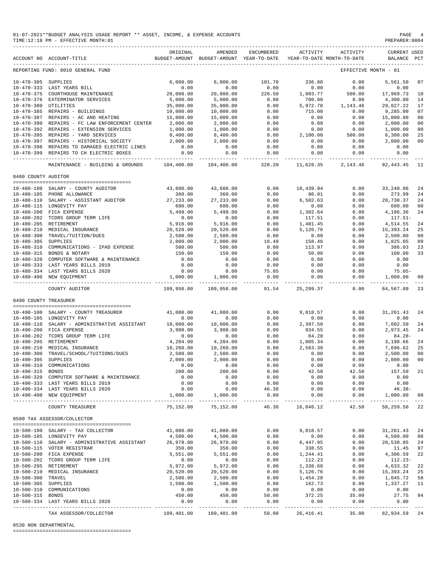|                       | 01-07-2021**BUDGET ANALYSIS USAGE REPORT ** ASSET, INCOME, & EXPENSE ACCOUNTS<br>PAGE<br>TIME: 12:18 PM - EFFECTIVE MONTH: 01<br>PREPARER: 0004 |            |                          |                   |                                                                     |                      |                                    |                 |  |  |
|-----------------------|-------------------------------------------------------------------------------------------------------------------------------------------------|------------|--------------------------|-------------------|---------------------------------------------------------------------|----------------------|------------------------------------|-----------------|--|--|
|                       | ACCOUNT NO ACCOUNT-TITLE                                                                                                                        | ORIGINAL   | AMENDED                  | ENCUMBERED        | BUDGET-AMOUNT BUDGET-AMOUNT YEAR-TO-DATE YEAR-TO-DATE MONTH-TO-DATE | ACTIVITY ACTIVITY    | <b>CURRENT USED</b><br>BALANCE PCT |                 |  |  |
|                       | REPORTING FUND: 0010 GENERAL FUND                                                                                                               |            |                          |                   |                                                                     | EFFECTIVE MONTH - 01 |                                    |                 |  |  |
| 10-470-305 SUPPLIES   |                                                                                                                                                 |            | 6,000.00                 | 101.70            | 336.80                                                              | 0.00                 | 5,561.50                           | 07              |  |  |
|                       | $\begin{array}{c} 6\, ,\, 0\, 0\, 0\, .\, 0\, 0 \\ 0\, .\, 0\, 0 \\ \text{ENANCE} \end{array}$<br>10-470-333 LAST YEARS BILL                    |            | 0.00                     | 0.00              | 0.00                                                                | 0.00                 | 0.00                               |                 |  |  |
|                       | 10-470-375 COURTHOUSE MAINTENANCE                                                                                                               |            | 20,000.00                | 226.50            | 1,803.77                                                            | 500.00               | 17,969.73                          | 10              |  |  |
|                       | 10-470-376 EXTERMINATOR SERVICES                                                                                                                | 5,000.00   | 5,000.00                 | 0.00              | 700.00                                                              | 0.00                 | 4,300.00                           | 14              |  |  |
| 10-470-380 UTILITIES  |                                                                                                                                                 | 35,000.00  | 35,000.00                | 0.00              | 5,972.78                                                            | 1,143.46             | 29,027.22                          | 17              |  |  |
|                       | 10-470-385 REPAIRS - BUILDINGS                                                                                                                  | 10,000.00  | 10,000.00                | 0.00              | 715.00                                                              | 0.00                 | 9,285.00                           | 07              |  |  |
|                       | 10-470-387 REPAIRS - AC AND HEATING                                                                                                             | 15,000.00  | 15,000.00                | 0.00              | 0.00                                                                | 0.00                 | 15,000.00                          | 00              |  |  |
|                       | 10-470-390 REPAIRS - FC LAW ENFORCEMENT CENTER 2,000.00                                                                                         |            | 2,000.00                 | 0.00              | 0.00                                                                | 0.00                 | 2,000.00                           | 00              |  |  |
|                       | 10-470-392 REPAIRS - EXTENSION SERVICES                                                                                                         | 1,000.00   | 1,000.00                 | 0.00              | 0.00                                                                | 0.00                 | 1,000.00                           | 00              |  |  |
|                       | 10-470-395 REPAIRS - YARD SERVICES                                                                                                              | 8,400.00   | $8,400.00$<br>$2,000.00$ | $0.00$<br>$0.00$  | 2,100.00                                                            | $500.00$<br>0.00     | 6,300.00                           | 25              |  |  |
|                       | 10-470-393 REPAIRS - IARD SERVICES<br>10-470-397 REPAIRS - HISTORICAL SOCIETY 2,000.00                                                          |            |                          |                   | 0.00                                                                |                      | 2,000.00                           | 00              |  |  |
|                       | 10-470-398 REPAIRS TO DAMAGED ELECTRIC LINES                                                                                                    | 0.00       | 0.00                     | 0.00              | 0.00                                                                | 0.00                 | 0.00                               |                 |  |  |
|                       | 10-470-399 REPAIRS TO CH ELECTRIC BOXES                                                                                                         | 0.00       | 0.00                     | 0.00              | 0.00                                                                |                      | 0.00<br>0.00                       |                 |  |  |
|                       | MAINTENANCE - BUILDING & GROUNDS 104,400.00 104,400.00 328.20 11,628.35 2,143.46 92,443.45 11                                                   |            |                          |                   |                                                                     |                      |                                    |                 |  |  |
| 0480 COUNTY AUDITOR   |                                                                                                                                                 |            |                          |                   |                                                                     |                      |                                    |                 |  |  |
|                       |                                                                                                                                                 |            |                          |                   |                                                                     |                      |                                    |                 |  |  |
|                       | $10-480-100$ SALARY - COUNTY AUDITOR 43,680.00                                                                                                  |            | 43,680.00                | 0.00              | 10,439.94<br>$10,435$<br>86.01<br>6,502.63<br>0.00                  | 0.00                 | 33,240.06                          | 24              |  |  |
|                       | 10-480-105 PHONE ALLOWANCE                                                                                                                      | 360.00     | 360.00                   | 0.00              |                                                                     | 0.00                 | 273.99                             | 24              |  |  |
|                       | $10-480-110 \quad \mathtt{SALARY} \quad - \quad \mathtt{ASSISTANT} \quad \mathtt{AUDITOR} \qquad \qquad 27,233.00$                              |            | 27,233.00                | 0.00              |                                                                     | 0.00                 | 20,730.37                          | 24              |  |  |
|                       | 10-480-115 LONGEVITY PAY                                                                                                                        | 600.00     | 600.00                   | 0.00              |                                                                     | 0.00                 | 600.00                             | 0 <sup>0</sup>  |  |  |
|                       | 10-480-200 FICA EXPENSE                                                                                                                         | 5,499.00   | 5,499.00                 | 0.00              | 1,302.64                                                            | 0.00                 | 4,196.36                           | 24              |  |  |
|                       | 10-480-202 TCDRS GROUP TERM LIFE<br>10-480-203 TCDRS GROUP TERM LIFE<br>10-480-205 RETIREMENT                                                   | 0.00       | 0.00                     | 0.00              | 117.51                                                              | 0.00                 | 117.51-                            |                 |  |  |
|                       |                                                                                                                                                 | 5,916.00   | 5,916.00                 | 0.00              | 1,401.45                                                            | 0.00                 | 4,514.55                           | 24              |  |  |
|                       | 10-480-210 MEDICAL INSURANCE                                                                                                                    | 20,520.00  | 20,520.00                | 0.00              | 5,126.76                                                            | 0.00                 | 15,393.24                          | 25              |  |  |
|                       | 10-480-300 TRAVEL/TUITION/DUES                                                                                                                  | 2,500.00   | 2,500.00                 | 0.00              | 0.00                                                                | 0.00                 | 2,500.00                           | 00              |  |  |
| 10-480-305 SUPPLIES   |                                                                                                                                                 | 2,000.00   | 2,000.00                 | 16.49             | 158.46                                                              | 0.00                 | 1,825.05                           | 09              |  |  |
|                       | 10-480-310 COMMUNICATIONS - IPAD EXPENSE                                                                                                        | 500.00     | 500.00                   | 0.00              | 113.97                                                              | 0.00                 | 386.03                             | 23              |  |  |
|                       | 10-480-315 BONDS & NOTARY                                                                                                                       | 150.00     | 150.00                   | 0.00              | 50.00                                                               | 0.00                 | 100.00                             | 33              |  |  |
|                       | 10-480-320 COMPUTER SOFTWARE & MAINTENANCE                                                                                                      | 0.00       | 0.00                     | 0.00              | 0.00                                                                | 0.00                 | 0.00                               |                 |  |  |
|                       | 10-480-333 LAST YEARS BILLS 2019                                                                                                                | 0.00       | 0.00                     | 0.00              | 0.00                                                                | 0.00                 | 0.00                               |                 |  |  |
|                       | 10-480-334 LAST YEARS BILLS 2020                                                                                                                | 0.00       | 0.00                     | 75.05             | 0.00                                                                |                      | $0.00$ 75.05-                      |                 |  |  |
|                       | 10-480-400 NEW EQUIPMENT                                                                                                                        |            | 1,000.00 1,000.00        | 0.00<br>------- - | 0.00<br>----------- -----                                           |                      | $0.00$ 1,000.00 00                 |                 |  |  |
|                       | COUNTY AUDITOR                                                                                                                                  | 109,958.00 | 109,958.00               |                   | 91.54 25,299.37                                                     | 0.00                 | 84,567.09                          | 23              |  |  |
| 0490 COUNTY TREASURER |                                                                                                                                                 |            |                          |                   |                                                                     |                      |                                    |                 |  |  |
|                       |                                                                                                                                                 |            | 41,080.00 41,080.00      | 0.00              | 9,818.57                                                            | 0.00                 | 31, 261. 43 24                     |                 |  |  |
|                       | $10-490-100$ SALARY - COUNTY TREASURER<br>10-490-105 LONGEVITY PAY                                                                              | 0.00       | 0.00                     | 0.00              | 0.00                                                                | 0.00                 | 0.00                               |                 |  |  |
|                       | 10-490-110 SALARY - ADMINISTRATIVE ASSISTANT                                                                                                    |            | 10,000.00    10,000.00   | 0.00              | 2,397.50                                                            | 0.00                 | $7,602.50$ 24                      |                 |  |  |
|                       | 10-490-200 FICA EXPENSE                                                                                                                         | 3,908.00   |                          | 0.00              | 934.55                                                              | 0.00                 |                                    | 24              |  |  |
|                       | 10-490-202 TCDRS GROUP TERM LIFE                                                                                                                | 0.00       | 3,908.00<br>0.00         | 0.00              | 84.28                                                               | 0.00                 | 2,973.45<br>84.28-<br>3,198.66     |                 |  |  |
|                       | 10-490-205 RETIREMENT                                                                                                                           | 4,204.00   | 4,204.00                 | 0.00              | 1,005.34                                                            | 0.00                 |                                    | 24              |  |  |
|                       | 10-490-210 MEDICAL INSURANCE                                                                                                                    | 10,260.00  | 10,260.00                | 0.00              | 2,563.38                                                            | 0.00                 | 7,696.62                           | 25              |  |  |
|                       | 10-490-300 TRAVEL/SCHOOL/TUITIONS/DUES                                                                                                          | 2,500.00   | 2,500.00                 | 0.00              | 0.00                                                                | 0.00                 | 2,500.00                           | 00              |  |  |
| 10-490-305 SUPPLIES   |                                                                                                                                                 | 2,000.00   | 2,000.00                 | 0.00              | 0.00                                                                | 0.00                 | 2,000.00 00                        |                 |  |  |
|                       | 10-490-310 COMMUNICATIONS                                                                                                                       | 0.00       | 0.00                     | 0.00              | 0.00                                                                | 0.00                 | 0.00                               |                 |  |  |
| 10-490-315 BONDS      |                                                                                                                                                 | 200.00     | 200.00                   | 0.00              | 42.50                                                               | 42.50                | 157.50 21                          |                 |  |  |
|                       | 10-490-320 COMPUTER SOFTWARE & MAINTENANCE                                                                                                      | 0.00       | 0.00                     | 0.00              | 0.00                                                                | 0.00                 | 0.00                               |                 |  |  |
|                       | 10-490-333 LAST YEARS BILLS 2019                                                                                                                | 0.00       | 0.00                     | 0.00              | 0.00                                                                | 0.00                 | 0.00                               |                 |  |  |
|                       | 10-490-334 LAST YEARS BILLS 2020                                                                                                                | 0.00       | 0.00                     | 46.38             | 0.00                                                                | 0.00                 | $46.38 - 46.38$                    |                 |  |  |
|                       | 10-490-400 NEW EQUIPMENT                                                                                                                        | 1,000.00   | 1,000.00                 | 0.00              | 0.00                                                                | 0.00                 | 1,000.00                           | $\overline{00}$ |  |  |
|                       | COUNTY TREASURER                                                                                                                                | 75,152.00  | 75,152.00                |                   | 46.38 16,846.12                                                     | 42.50                | 58,259.50 22                       |                 |  |  |
|                       | 0500 TAX ASSESSOR/COLLECTOR                                                                                                                     |            |                          |                   |                                                                     |                      |                                    |                 |  |  |
|                       |                                                                                                                                                 |            |                          |                   |                                                                     |                      |                                    |                 |  |  |
|                       | 10-500-100 SALARY - TAX COLLECTOR                                                                                                               | 41,080.00  | 41,080.00                | 0.00              | 9,818.57                                                            | 0.00                 | 31,261.43 24                       |                 |  |  |
|                       | 10-500-105 LONGEVITY PAY                                                                                                                        | 4,500.00   | 4,500.00                 | 0.00              | 0.00                                                                | 0.00                 | 4,500.00 00                        |                 |  |  |
|                       | 10-500-110 SALARY - ADMINISTRATIVE ASSISTANT                                                                                                    | 26,978.00  | 26,978.00                | 0.00              | 6,447.95                                                            | 0.00                 | 20,530.05 24                       |                 |  |  |
|                       | 10-500-115 VOTER REGISTRAR                                                                                                                      | 350.00     | 350.00                   | 0.00              | 338.55                                                              | 0.00                 | 11.45                              | 97              |  |  |
|                       | 10-500-200 FICA EXPENSE                                                                                                                         | 5,551.00   | 5,551.00                 | 0.00              | 1,244.41                                                            | 0.00                 | 4,306.59                           | 22              |  |  |
|                       | 10-500-202 TCDRS GROUP TERM LIFE                                                                                                                | 0.00       | 0.00                     | 0.00              | 112.23                                                              | 0.00                 | 112.23-                            |                 |  |  |
|                       | 10-500-205 RETIREMENT                                                                                                                           | 5,972.00   | 5,972.00                 | 0.00              | 1,338.68                                                            | 0.00                 | 4,633.32                           | 22              |  |  |
|                       | 10-500-210 MEDICAL INSURANCE                                                                                                                    | 20,520.00  | 20,520.00                | 0.00              | 5,126.76                                                            | 0.00                 | 15,393.24                          | 25              |  |  |
| 10-500-300 TRAVEL     |                                                                                                                                                 | 2,500.00   | 2,500.00                 | 0.00              | 1,454.28                                                            | 0.00                 | 1,045.72 58                        |                 |  |  |
| 10-500-305 SUPPLIES   |                                                                                                                                                 | 1,500.00   | 1,500.00                 | 0.00              | 162.73                                                              | 0.00                 | 1,337.27                           | 11              |  |  |
|                       | 10-500-310 COMMUNICATIONS                                                                                                                       | 0.00       | 0.00                     | 0.00              | 0.00                                                                | 0.00                 | 0.00                               |                 |  |  |
| 10-500-315 BONDS      |                                                                                                                                                 | 450.00     | 450.00                   | 50.00             | 372.25                                                              | 35.00                | 27.75 94                           |                 |  |  |
|                       | 10-500-334 LAST YEARS BILLS 2020                                                                                                                | 0.00       | 0.00                     | 0.00              | 0.00                                                                | 0.00                 | 0.00                               |                 |  |  |
|                       | TAX ASSESSOR/COLLECTOR                                                                                                                          | 109,401.00 | 109,401.00               | 50.00             | ------------ -------------<br>26,416.41                             | 35.00                | 82,934.59 24                       |                 |  |  |
|                       |                                                                                                                                                 |            |                          |                   |                                                                     |                      |                                    |                 |  |  |

## 0530 NON DEPARTMENTAL

========================================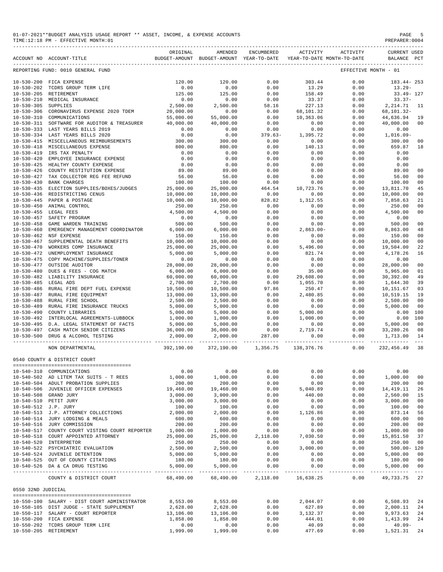| 01-07-2021**BUDGET ANALYSIS USAGE REPORT ** ASSET, INCOME, & EXPENSE ACCOUNTS | PAGE           |
|-------------------------------------------------------------------------------|----------------|
| TIME:12:18 PM - EFFECTIVE MONTH:01                                            | PREPARER: 0004 |

REPORTING FUND: 0010 GENERAL FUND

------------------------------------------------------------------------------------------------------------------------------------------- ORIGINAL AMENDED ENCUMBERED ACTIVITY ACTIVITY CURRENT USED ACCOUNT NO ACCOUNT-TITLE BUDGET-AMOUNT BUDGET-AMOUNT YEAR-TO-DATE YEAR-TO-DATE MONTH-TO-DATE BALANCE PCT ------------------------------------------------------------------------------------------------------------------------------------------- 10-530-200 FICA EXPENSE<br>10-530-202 TCDRS GROUP TERM LIFE 120.00 120.00 120.00 0.00 13.29 0.00 13.29-<br>10-530-205 RETIREMENT 125.00 125.00 125.00 0.00 158.49 0.00 33.49-127 10-530-202 TCDRS GROUP TERM LIFE 0.00 0.00 0.00 13.29 0.00 13.29- 10-530-205 RETIREMENT 125.00 125.00 0.00 158.49 0.00 33.49- 127 10-530-210 MEDICAL INSURANCE 10.00 0.00 0.00 0.00 33.37 0.00 33.37<br>10-530-210 MEDICAL INSURANCE 2,500.00 0.00 0.00 33.37 0.00 33.37<br>10-530-305 SUPPLIES 2,500.00 2,500.00 58.16 227.13 0.00 2,214.71 11  $10-530-305 \begin{array}{l} \text{SUPPLIES} \\ \text{TOPPLIES} \end{array} \begin{array}{l} \text{2,500.00} \\ \text{2,500.00} \\ \text{2,500.00} \\ \text{3,500.00} \\ \text{4,530-310} \\ \text{10-530-310} \end{array} \begin{array}{l} \text{1,500} \\ \text{1,500} \\ \text{1,500} \\ \text{1,500} \\ \text{1,500} \\ \text{1,500} \\ \text{1,500} \\ \text{1,500} \\ \text{1$ 10-530-306 CORONAVIRUS EXPENSE 2020 TDEM 20,000.00 0.00 0.00 68,101.32 0.00 68,101.32- 10-530-310 COMMUNICATIONS 55,000.00 55,000.00 0.00 10,363.06 0.00 44,636.94 19 10-530-311 SOFTWARE FOR AUDITOR & TREASURER 40,000.00 40,000.00 0.00 0.00 0.00 40,000.00 00 10-530-333 LAST YEARS BILLS 2019 0.00 0.00 0.00 0.00 0.00 0.00 10-530-334 LAST YEARS BILLS 2020 0.00 0.00 379.63- 1,395.72 0.00 1,016.09- 10-530-415 MISCELLANEOUS REIMBURSEMENTS 300.00 300.00 0.00 0.00 0.00 300.00 00 10-530-418 MISCELLANEOUS EXPENSE 800.00 800.00 0.00 140.13 0.00 659.87 18 10-530-419 IRS TAX PENALTY 0.00 0.00 0.00 0.00 0.00 0.00  $10-530-420 \quad \text{EMPLOYEE INSURANCE EXPENSE} \begin{array}{l} \end{array} \hspace{1.5cm} 0.00 \hspace{1.5cm} 0.00 \hspace{1.5cm} 0.00 \hspace{1.5cm} 0.00 \hspace{1.5cm} 0.00 \hspace{1.5cm} 0.00 \hspace{1.5cm} 0.00 \hspace{1.5cm} 0.00 \hspace{1.5cm} 0.00 \hspace{1.5cm} 0.00 \hspace{1.5cm} 0.00 \hspace{1.5cm} 0.00 \hspace{1.5cm} 0.$ 10-530-425 HEALTHY COUNTY EXPENSE 0.00 0.00 0.00 0.00 0.00 0.00 10-530-426 COUNTY RESTITUTION EXPENSE 89.00 89.00 0.00 0.00 0.00 89.00 00 10-530-427 TAX COLLECTOR REG FEE REFUND 56.00 56.00 0.00 0.00 0.00 56.00 00 100.00 100.00 100.00 0.00 0.00 0.00 100.00 0.00 0.00 0.00 0.00 0.00 0.00 0.00 0.00 0.00 0.00 0.00 0.00 0.00 0.00 0.00 0.00 0.00 0.00 0.00 0.00 0.00 0.00 0.00 0.00 0.00 0.00 0.00 0.00 0.00 0.00 0.00 0.00 0.00 0.00 0.00 0.00 10-530-435 ELECTION SUPPLIES/BOXES/JUDGES 25,000.00 25,000.00 464.54 10,723.76 0.00 13,811.70 45 10-530-436 REDISTRICTING CENUS 10,000.00 10,000.00 0.00 0.00 0.00 10,000.00 00  $10-530-445$  PAPER & POSTAGE  $10,000.00$   $10,000.00$   $10,000.00$   $10,000.00$   $10,000.00$   $1,312.55$   $0.00$   $0.00$   $250.00$   $0.00$   $250.00$   $0.00$   $1,312.55$   $0.00$   $0.00$   $250.00$   $0.00$   $10-530-455$   $0.00$   $0.00$   $0.00$  10-530-450 ANIMAL CONTROL 250.00 250.00 0.00 0.00 0.00 250.00 00  $\begin{array}{cccccccccccc} 10-530-455 & \text{LEGAL FEES} & & & & & & 4\,500.00 & & & & 4\,500.00 & & & & & 0.00 & & & & 0.00 & & & & 0.00 & & & & 4\,500.00 & & & & & & 0.00 & & & & 0.00 & & & & 0.00 & & & & 0.00 & & & & 0.00 & & & & 0.00 & & & & 0.00 & & & & 0.00 & & & & 0.00 & & & & 0.00 & & & & 0.00 & & & & 0.00 & & & & 0.$ 10-530-457 SAFETY PROGRAM 0.00 0.00 0.00 0.00 0.00 0.00 10-530-458 GAME WARDEN TRAINING 500.00 500.00 0.00 0.00 0.00 500.00 00 10-530-460 EMERGENCY MANAGEMENT COORDINATOR 6,000.00 6,000.00 0.00 2,863.00- 0.00 8,863.00 48  $10-530-460 \quad \text{EMERGENCY MANGEMENT COORDINATOR} \quad 6,000.00 \quad 6,000.00 \quad 0.00 \quad 2,863.00 - 0.00 \quad 0.00 \quad 0.00 \quad 0.00 \quad 0.00 \quad 0.00 \quad 0.00 \quad 0.00 \quad 0.00 \quad 0.00 \quad 0.00 \quad 0.00 \quad 0.00 \quad 0.00 \quad 0.00 \quad 0.00 \quad 0.00 \quad 0.00 \quad 0.00 \quad 0.00 \quad 0.00 \quad 0.00$ 10-530-467 SUPPLEMENTAL DEATH BENEFITS 10,000.00 10,000.00 0.00 0.00 0.00 10,000.00 00 10-530-470 WORKERS COMP INSURANCE 25,000.00 25,000.00 0.00 5,496.00 0.00 19,504.00 22  $10-530-472 \quad \text{UNEMPLOYMENT INSURANCE} \\\ {10-530-475 \quad \text{COPY MACHINE/SUPPLIES/TONER}} \\\ {10-530-477 \quad \text{OUTSIDE AUDITOR}} \\\ {10-530-477 \quad \text{OUTSIDE AUDITOR}} \\\ {28,000.00} \\\ {28,000.00} \\\ {28,000.00} \\\ {28,000.00} \\\ {28,000.00} \\\ {28,000.00} \\\ {28,000.00} \\\ {28,000.$ 10-530-475 COPY MACHINE/SUPPLIES/TONER 0.00 0.00 0.00 0.00 0.00 0.00 10-530-477 OUTSIDE AUDITOR 28,000.00 28,000.00 0.00 0.00 0.00 28,000.00 00 10-530-480 DUES & FEES - COG MATCH 6,000.00 6,000.00 0.00 35.00 0.00 5,965.00 01 10-530-482 LIABILITY INSURANCE 60,000.00 60,000.00 0.00 29,608.00 0.00 30,392.00 49 10,500.00 0.00 1,055.70 0.00 1,644.30 39<br>10,500.00 97.86 250.47 0.00 1,151.67 03 10-530-486 RURAL FIRE DEPT FUEL EXPENSE 10,500.00 10,500.00 97.86 250.47 0.00 10,151.67 03 10-530-487 RURAL FIRE EQUIPMENT 13,000.00 13,000.00 0.00 2,480.85 0.00 10,519.15 19<br>10-530-488 RURAL FIRE SCHOOL 2,500.00 2,500.00 0.00 0.00 0.00 0.00 2,500.00 00<br>10-530-489 RURAL FIRE INSURANCE TRUCKS 5,000.00 5,000.00 0. 10-530-488 RURAL FIRE SCHOOL 2,500.00 2,500.00 0.00 0.00 0.00 2,500.00 00 10-530-489 RURAL FIRE INSURANCE TRUCKS 5,000.00 5,000.00 0.00 0.00 0.00 5,000.00 00 10-530-490 COUNTY LIBRARIES 5,000.00 5,000.00 0.00 5,000.00 0.00 0.00 100 10-530-495 D.A. LEGAL STATEMENT OF FACTS 5,000.00 5,000.00 0.00 0.00 0.00 5,000.00 00  $16,000.00$   $36,000.00$   $2,719.74$   $0.00$   $33,280.26$  08<br> $2,000.00$   $2,000.00$   $287.00$   $0.00$   $0.00$   $0.00$   $1,713.00$   $14$ 

|                  | NON DEPARTMENTAL                    | 392,190.00 | 372,190.00 | 1,356.75 | 138,376.76 | 0.00 | 232,456.49     | 38             |
|------------------|-------------------------------------|------------|------------|----------|------------|------|----------------|----------------|
|                  | 0540 COUNTY & DISTRICT COURT        |            |            |          |            |      |                |                |
|                  |                                     |            |            |          |            |      |                |                |
| $10 - 540 - 310$ | COMMUNICATIONS                      | 0.00       | 0.00       | 0.00     | 0.00       | 0.00 | 0.00           |                |
| $10 - 540 - 502$ | AD LITEM TAX SUITS - T REES         | 1,000.00   | 1,000.00   | 0.00     | 0.00       | 0.00 | 1,000.00       | 0 <sup>0</sup> |
| $10 - 540 - 504$ | ADULT PROBATION SUPPLIES            | 200.00     | 200.00     | 0.00     | 0.00       | 0.00 | 200.00         | 00             |
| $10 - 540 - 506$ | JUVENILE OFFICER EXPENSES           | 19,460.00  | 19,460.00  | 0.00     | 5,040.89   | 0.00 | 14, 419. 11    | 26             |
| $10 - 540 - 508$ | GRAND JURY                          | 3,000.00   | 3.000.00   | 0.00     | 440.00     | 0.00 | 2,560.00       | 15             |
| $10 - 540 - 510$ | PETIT JURY                          | 3,000.00   | 3,000.00   | 0.00     | 0.00       | 0.00 | 3,000.00       | 00             |
| $10 - 540 - 512$ | J.P. JURY                           | 100.00     | 100.00     | 0.00     | 0.00       | 0.00 | 100.00         | 00             |
| $10 - 540 - 513$ | J.P. ATTORNEY COLLECTIONS           | 2,000.00   | 2,000.00   | 0.00     | 1,126.86   | 0.00 | 873.14         | 56             |
| $10 - 540 - 514$ | JURY LODGING & MEALS                | 600.00     | 600.00     | 0.00     | 0.00       | 0.00 | 600.00         | 0 <sup>0</sup> |
| $10 - 540 - 516$ | JURY COMMISSION                     | 200.00     | 200.00     | 0.00     | 0.00       | 0.00 | 200.00         | 00             |
| $10 - 540 - 517$ | COUNTY COURT VISTING COURT REPORTER | 1,000.00   | 1,000.00   | 0.00     | 0.00       | 0.00 | 1,000.00       | 00             |
| $10 - 540 - 518$ | COURT APPOINTED ATTORNEY            | 25,000.00  | 25,000.00  | 2,118.00 | 7.030.50   | 0.00 | 15,851.50      | 37             |
| $10 - 540 - 520$ | INTERPRETOR                         | 250.00     | 250.00     | 0.00     | 0.00       | 0.00 | 250.00         | 00             |
| $10 - 540 - 522$ | PSYCHIATRIC EVALUATION              | 2,500.00   | 2,500.00   | 0.00     | 3,000.00   | 0.00 | $500.00 - 120$ |                |
| $10 - 540 - 524$ | JUVENILE DETENTION                  | 5.000.00   | 5.000.00   | 0.00     | 0.00       | 0.00 | 5.000.00       | 00             |

10-530-492 INTERLOCAL AGREEMENTS-LUBBOCK

10-540-522 PSYCHIATRIC EVALUATION 2,500.00 2,500.00 0.00 3,000.00 0.00 500.00- 120 10-540-524 JUVENILE DETENTION 5,000.00 5,000.00 0.00 0.00 0.00 5,000.00 00 10-540-525 OUT OF COUNTY CITATIONS 180.00 180.00 0.00 0.00 0.00 180.00 00 10-540-526 DA & CA DRUG TESTING 5,000.00 5,000.00 0.00 0.00 0.00 5,000.00 00 ----------------------------------------------- ------------- ------------- ------------ ------------- ------------ ------------- --- COUNTY & DISTRICT COURT 68,490.00 68,490.00 2,118.00 16,638.25 0.00 49,733.75 27 0550 32ND JUDICIAL ======================================== 10-550-100 SALARY - DIST COURT ADMINISTRATOR 8,553.00 8,553.00 0.00 2,044.07 0.00 6,508.93 24 10-550-105 DIST JUDGE - STATE SUPPLEMENT 2,628.00 2,628.00 0.00 627.89 0.00 2,000.11<br>10-550-117 SALARY - COURT REPORTER 13,106.00 13,106.00 0.00 3,132.37 0.00 9,973.63 10-550-117 SALARY - COURT REPORTER <br>10-550-200 FICA EXPENSE 1990 1,858.00 1,858.00 0.00 3,132.37 0.00 9,973.63 24<br>10-550-200 FICA EXPENSE 1,858.00 1,858.00 0.00 444.01 0.00 1,413.99 24 10-550-200 FICA EXPENSE 1,858.00 1,858.00 0.00 444.01 0.00 1,413.99 24 10-550-202 TCDRS GROUP TERM LIFE 0.00 0.00 0.00 40.09 0.00 40.09-  $0.00$  0.00

10-530-500 DRUG & ALCOHOL TESTING 2,000.00 2,000.00 287.00 0.00 0.00 1,713.00 14

----------------------------------------------- ------------- ------------- ------------ ------------- ------------ ------------- ---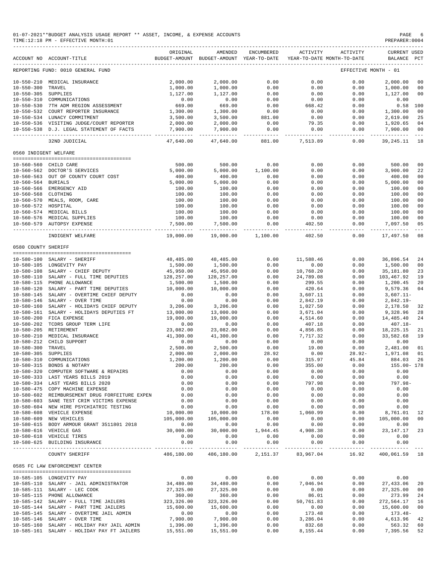| TIME: 12:18 PM - EFFECTIVE MONTH: 01                                          |  |  |  |  |  |
|-------------------------------------------------------------------------------|--|--|--|--|--|
| 01-07-2021**BUDGET ANALYSIS USAGE REPORT ** ASSET, INCOME, & EXPENSE ACCOUNTS |  |  |  |  |  |

|                     | 01-07-2021**BUDGET ANALYSIS USAGE REPORT ** ASSET, INCOME, & EXPENSE ACCOUNTS<br>TIME:12:18 PM - EFFECTIVE MONTH:01 |                        |                                                                                |                            |                                        |                                                                                                                                                                                                                                  | PAGE<br>PREPARER:0004<br>----------------- | 6                   |
|---------------------|---------------------------------------------------------------------------------------------------------------------|------------------------|--------------------------------------------------------------------------------|----------------------------|----------------------------------------|----------------------------------------------------------------------------------------------------------------------------------------------------------------------------------------------------------------------------------|--------------------------------------------|---------------------|
|                     | ACCOUNT NO ACCOUNT-TITLE                                                                                            | ORIGINAL               | AMENDED<br>BUDGET-AMOUNT BUDGET-AMOUNT YEAR-TO-DATE YEAR-TO-DATE MONTH-TO-DATE | ENCUMBERED                 | ACTIVITY                               | ACTIVITY                                                                                                                                                                                                                         | <b>CURRENT USED</b><br>BALANCE PCT         |                     |
|                     | REPORTING FUND: 0010 GENERAL FUND                                                                                   |                        |                                                                                |                            |                                        | EFFECTIVE MONTH - 01                                                                                                                                                                                                             |                                            |                     |
|                     | 10-550-210 MEDICAL INSURANCE                                                                                        | 2,000.00               | 2,000.00                                                                       | 0.00                       | 0.00                                   | 0.00                                                                                                                                                                                                                             | 2,000.00                                   | 00                  |
| 10-550-300 TRAVEL   |                                                                                                                     | 1,000.00               | 1,000.00                                                                       | 0.00                       | 0.00                                   | 0.00                                                                                                                                                                                                                             | 1,000.00                                   | 00                  |
|                     | 10-550-305 SUPPLIES<br>10-550-310 COMMUNICATIONS                                                                    | 1,127.00               | 1,127.00                                                                       | $0.00$<br>$0.00$<br>$0.00$ | 0.00                                   | 0.00                                                                                                                                                                                                                             | 1,127.00                                   | 00                  |
|                     |                                                                                                                     | $0.00$<br>669.00       | 0.00                                                                           |                            | 0.00                                   | $0.00$<br>0.00<br>0.00                                                                                                                                                                                                           | 0.00                                       |                     |
|                     | 10-550-530 7TH ADM REGION ASSESSMENT                                                                                |                        | 669.00                                                                         |                            | 668.42                                 |                                                                                                                                                                                                                                  | $0.58$ 100                                 |                     |
|                     | 10-550-532 COURT REPORTER INSURANCE                                                                                 | 1,300.00               | 1,300.00<br>3,500.00                                                           | $0.00$<br>881.00           | 0.00                                   |                                                                                                                                                                                                                                  | 1,300.00                                   | 00                  |
|                     | 10-550-534 LUNACY COMMITMENT                                                                                        | 3,500.00               |                                                                                | 0.00                       | 0.00                                   | $0.00$<br>$0.00$                                                                                                                                                                                                                 | 2,619.00                                   | 25                  |
|                     | 10-550-536 VISITING JUDGE/COURT REPORTER                                                                            | 2,000.00               | 2,000.00<br>7,900.00                                                           |                            | 79.35                                  |                                                                                                                                                                                                                                  | 1,920.65                                   | 04<br>00            |
|                     | 10-550-538 D.J. LEGAL STATEMENT OF FACTS                                                                            | 7,900.00<br>---------- |                                                                                | 0.00<br>--------           | .                                      | $0.00$ $0.00$ $7,900.00$<br>----------                                                                                                                                                                                           | -------------                              | $\sim$ $ \sim$      |
|                     | 32ND JUDICIAL                                                                                                       | 47,640.00              | 47,640.00                                                                      |                            | 881.00 7,513.89                        | 0.00                                                                                                                                                                                                                             | 39,245.11                                  | 18                  |
|                     | 0560 INDIGENT WELFARE                                                                                               |                        |                                                                                |                            |                                        |                                                                                                                                                                                                                                  |                                            |                     |
|                     | 10-560-560 CHILD CARE                                                                                               | 500.00                 | 500.00                                                                         | 0.00                       | 0.00                                   | 0.00                                                                                                                                                                                                                             | 500.00                                     | 00                  |
|                     | 10-560-562 DOCTOR'S SERVICES                                                                                        | 5,000.00               |                                                                                | 5,000.00 1,100.00          |                                        | 0.00<br>$0.00$<br>$0.00$<br>$0.00$                                                                                                                                                                                               | 3,900.00                                   | 22                  |
|                     | 10-560-563 OUT OF COUNTY COURT COST                                                                                 | 400.00                 | 400.00                                                                         | 0.00                       |                                        | 0.00                                                                                                                                                                                                                             | 400.00                                     | 00                  |
| 10-560-564 BURIALS  |                                                                                                                     | 5,000.00               | 5,000.00                                                                       | 0.00                       | $0.00$<br>0.00<br>0.00<br>0.00<br>0.00 | 0.00                                                                                                                                                                                                                             | 5,000.00                                   | 00                  |
|                     | 10-560-566 EMERGENCY AID                                                                                            | 100.00                 | 100.00                                                                         | 0.00                       |                                        | 0.00                                                                                                                                                                                                                             | 100.00                                     | 00                  |
| 10-560-568 CLOTHING |                                                                                                                     | 100.00                 | 100.00                                                                         | 0.00                       |                                        | 0.00                                                                                                                                                                                                                             | 100.00                                     | 00                  |
|                     | 10-560-500 Chorning<br>10-560-570 MEALS, ROOM, CARE<br>10-560-572 HOSPITAL                                          | 100.00                 | 100.00                                                                         | 0.00                       |                                        | 0.00                                                                                                                                                                                                                             | 100.00                                     | 00                  |
|                     |                                                                                                                     | 100.00                 | 100.00                                                                         | 0.00                       |                                        | 0.00                                                                                                                                                                                                                             | 100.00                                     | 00                  |
|                     | 10-560-574 MEDICAL BILLS                                                                                            | 100.00                 | 100.00                                                                         | 0.00                       | 0.00                                   | 0.00                                                                                                                                                                                                                             | 100.00                                     | 00                  |
|                     | 10-560-576 MEDICAL SUPPLIES                                                                                         | 100.00                 | 100.00                                                                         | 0.00                       | 0.00                                   | 0.00                                                                                                                                                                                                                             | 100.00                                     | 00                  |
|                     | 10-560-579 AUTOPSY EXPENSE                                                                                          | 7,500.00<br>---------- | 7,500.00<br>.                                                                  | 0.00<br>------------       | 402.50<br>---------- -                 | 0.00<br>.                                                                                                                                                                                                                        | 7,097.50<br>.                              | 05<br>$\frac{1}{2}$ |
|                     | INDIGENT WELFARE                                                                                                    | 19,000.00              |                                                                                | 19,000.00 1,100.00         | 402.50                                 | 0.00                                                                                                                                                                                                                             | 17,497.50                                  | 08                  |
| 0580 COUNTY SHERIFF |                                                                                                                     |                        |                                                                                |                            |                                        |                                                                                                                                                                                                                                  |                                            |                     |
|                     | 10-580-100 SALARY - SHERIFF                                                                                         |                        |                                                                                |                            |                                        |                                                                                                                                                                                                                                  |                                            |                     |
|                     | 10-580-105 LONGEVITY PAY                                                                                            | 48,485.00<br>1,500.00  | 48,485.00<br>1,500.00                                                          | 0.00<br>0.00               | 11,588.46<br>0.00                      | 0.00                                                                                                                                                                                                                             | $0.00$ 36,896.54<br>1,500.00               | 24<br>00            |
|                     | 10-580-108 SALARY - CHIEF DEPUTY                                                                                    | 45,950.00              | 45,950.00                                                                      | 0.00                       | 10,768.20                              | 0.00                                                                                                                                                                                                                             | 35,181.80                                  | 23                  |
|                     | 10-580-110 SALARY - FULL TIME DEPUTIES                                                                              | 128,257.00             | 128,257.00                                                                     | 0.00                       |                                        | 0.00                                                                                                                                                                                                                             | 103,467.92                                 | 19                  |
|                     | 10-580-115 PHONE ALLOWANCE                                                                                          | 1,500.00               | 1,500.00                                                                       | 0.00                       | 24,789.08<br>299.55<br>299.55          | 0.00                                                                                                                                                                                                                             | 1,200.45                                   | 20                  |
|                     | 10-580-120 SALARY - PART TIME DEPUTIES                                                                              | 10,000.00              | 10,000.00                                                                      | 0.00                       |                                        | 0.00                                                                                                                                                                                                                             | 9,579.36                                   | 04                  |
|                     | 10-580-145 SALARY - OVERTIME CHIEF DEPUTY                                                                           | 0.00                   |                                                                                | 0.00                       | $420.64$<br>3,607.11                   | 0.00                                                                                                                                                                                                                             | 3,607.11-                                  |                     |
|                     | 10-580-146 SALARY - OVER TIME                                                                                       | 0.00                   | $\begin{array}{c} 0.00 \\ 0.00 \end{array}$                                    | 0.00                       | 2,842.19                               | 0.00                                                                                                                                                                                                                             | 2,842.19-                                  |                     |
|                     | 10-580-160 SALARY - HOLIDAYS CHIEF DEPUTY                                                                           | 3,206.00               | 3,206.00                                                                       | 0.00                       |                                        | $\begin{array}{cccc} 2,842.19 \\ 1,027.50 \\ 3,671.04 \\ 4,514.60 \\ 4,856.85 \\ \end{array} \hskip .5 in \begin{array}{c} 0.00 \\ 0.00 \\ 0.00 \\ 14,485.40 \\ 407.18 \\ 0.00 \\ 18,225.15 \\ 0.00 \\ 33,582.68 \\ \end{array}$ |                                            | 32                  |
|                     | 10-580-161 SALARY - HOLIDAYS DEPUTIES FT 13,000.00                                                                  |                        | 13,000.00                                                                      | 0.00                       |                                        |                                                                                                                                                                                                                                  |                                            | 28                  |
|                     | 10-580-200 FICA EXPENSE                                                                                             | 19,000.00              | 19,000.00                                                                      | 0.00                       |                                        |                                                                                                                                                                                                                                  |                                            | 24                  |
|                     | 10-580-202 TCDRS GROUP TERM LIFE<br>10-580-205 RETIREMENT                                                           | 0.00                   | 0.00                                                                           | 0.00                       |                                        |                                                                                                                                                                                                                                  |                                            |                     |
|                     |                                                                                                                     | 23,082.00              | 23,082.00                                                                      | 0.00                       |                                        |                                                                                                                                                                                                                                  |                                            | 21                  |
|                     | 10-580-210 MEDICAL INSURANCE                                                                                        | 41,300.00              | 41,300.00                                                                      | 0.00                       |                                        |                                                                                                                                                                                                                                  | 33,582.68 19                               |                     |
| 10-580-300 TRAVEL   | 10-580-212 CHILD SUPPORT                                                                                            | 0.00<br>2,500.00       | 0.00                                                                           | 0.00                       | 0.00                                   | 0.00                                                                                                                                                                                                                             | 0.00                                       |                     |
|                     | 10-580-305 SUPPLIES                                                                                                 | 2,000.00               | 2,500.00<br>2,000.00                                                           | 0.00<br>28.92              | 19.00<br>0.00                          | 0.00<br>$28.92 -$                                                                                                                                                                                                                | 2,481.00<br>1,971.08                       | 01<br>01            |
|                     | 10-580-310 COMMUNICATIONS                                                                                           | 1,200.00               | 1,200.00                                                                       | 0.00                       | 315.97                                 | 45.84                                                                                                                                                                                                                            | 884.03                                     | 26                  |
|                     | 10-580-315 BONDS & NOTARY                                                                                           | 200.00                 | 200.00                                                                         | 0.00                       | 355.00                                 | 0.00                                                                                                                                                                                                                             | 155.00- 178                                |                     |
|                     | 10-580-320 COMPUTER SOFTWARE & REPAIRS                                                                              | 0.00                   | 0.00                                                                           | 0.00                       | 0.00                                   | 0.00                                                                                                                                                                                                                             | 0.00                                       |                     |
|                     | 10-580-333 LAST YEARS BILLS 2019                                                                                    | 0.00                   | 0.00                                                                           | 0.00                       | 0.00                                   | 0.00                                                                                                                                                                                                                             | 0.00                                       |                     |
|                     | 10-580-334 LAST YEARS BILLS 2020                                                                                    | 0.00                   | 0.00                                                                           | 0.00                       | 797.98                                 | 0.00                                                                                                                                                                                                                             | $797.98 -$                                 |                     |
|                     | 10-580-475 COPY MACHINE EXPENSE                                                                                     | 0.00                   | 0.00                                                                           | 0.00                       | 0.00                                   | 0.00                                                                                                                                                                                                                             | 0.00                                       |                     |
|                     | 10-580-602 REIMBURSEMENT DRUG FORFEITURE EXPEN                                                                      | 0.00                   | 0.00                                                                           | 0.00                       | 0.00                                   | 0.00                                                                                                                                                                                                                             | 0.00                                       |                     |
|                     | 10-580-603 SANE TEST CRIM VICTIMS EXPENSE                                                                           | 0.00                   | 0.00                                                                           | 0.00                       | 0.00                                   | 0.00                                                                                                                                                                                                                             | 0.00                                       |                     |
|                     | 10-580-604 NEW HIRE PSYCHIATRIC TESTING                                                                             | 0.00                   | 0.00                                                                           | 0.00                       | 0.00                                   | 0.00                                                                                                                                                                                                                             | 0.00                                       |                     |

| 10-560-560 CHILD CARE |                                                | 500.00      | 500.00      | 0.00     | 0.00                   | 0.00     | 500.00                               | 0 <sub>0</sub> |
|-----------------------|------------------------------------------------|-------------|-------------|----------|------------------------|----------|--------------------------------------|----------------|
|                       | 10-560-562 DOCTOR'S SERVICES                   | 5,000.00    | 5,000.00    | 1,100.00 | 0.00                   | 0.00     | 3,900.00                             | 22             |
|                       | 10-560-563 OUT OF COUNTY COURT COST            | 400.00      | 400.00      | 0.00     | 0.00                   | 0.00     | 400.00                               | 0 <sub>0</sub> |
| 10-560-564 BURIALS    |                                                | 5,000.00    | 5,000.00    | 0.00     | 0.00                   | 0.00     | 5,000.00                             | 0 <sub>0</sub> |
|                       | 10-560-566 EMERGENCY AID                       | 100.00      | 100.00      | 0.00     | 0.00                   | 0.00     | 100.00                               | 0 <sub>0</sub> |
| $10 - 560 - 568$      | CLOTHING                                       | 100.00      | 100.00      | 0.00     | 0.00                   | 0.00     | 100.00                               | 0 <sub>0</sub> |
|                       | 10-560-570 MEALS, ROOM, CARE                   | 100.00      | 100.00      | 0.00     | 0.00                   | 0.00     | 100.00                               | 0 <sub>0</sub> |
| 10-560-572 HOSPITAL   |                                                | 100.00      | 100.00      | 0.00     | 0.00                   | 0.00     | 100.00                               | 0 <sub>0</sub> |
|                       | 10-560-574 MEDICAL BILLS                       | 100.00      | 100.00      | 0.00     | 0.00                   | 0.00     | 100.00                               | 0 <sub>0</sub> |
|                       | 10-560-576 MEDICAL SUPPLIES                    | 100.00      | 100.00      | 0.00     | 0.00                   | 0.00     | 100.00                               | 0 <sub>0</sub> |
|                       | 10-560-579 AUTOPSY EXPENSE                     | 7,500.00    | 7,500.00    | 0.00     | 402.50                 | 0.00     | 7,097.50                             | 05             |
|                       |                                                |             |             |          | -------------          |          | ______________________________       | $- - -$        |
|                       | INDIGENT WELFARE                               | 19,000.00   | 19,000.00   | 1,100.00 | 402.50                 | 0.00     | 17,497.50                            | 08             |
| 0580 COUNTY SHERIFF   |                                                |             |             |          |                        |          |                                      |                |
|                       | SALARY - SHERIFF                               | 48,485.00   |             |          |                        |          |                                      | 24             |
| 10-580-100            |                                                |             | 48,485.00   | 0.00     | 11,588.46              | 0.00     | 36,896.54                            |                |
|                       | 10-580-105 LONGEVITY PAY                       | 1,500.00    | 1,500.00    | 0.00     | 0.00                   | 0.00     | 1,500.00                             | 0 <sub>0</sub> |
|                       | 10-580-108 SALARY - CHIEF DEPUTY               | 45,950.00   | 45,950.00   | 0.00     | 10,768.20              | 0.00     | 35,181.80                            | 23             |
| 10-580-110            | SALARY - FULL TIME DEPUTIES                    | 128,257.00  | 128,257.00  | 0.00     | 24,789.08              | 0.00     | 103,467.92                           | 19             |
|                       | 10-580-115 PHONE ALLOWANCE                     | 1,500.00    | 1,500.00    | 0.00     | 299.55                 | 0.00     | 1,200.45                             | 20             |
|                       | 10-580-120 SALARY - PART TIME DEPUTIES         | 10,000.00   | 10,000.00   | 0.00     | 420.64                 | 0.00     | 9,579.36                             | 04             |
| 10-580-145            | SALARY - OVERTIME CHIEF DEPUTY                 | 0.00        | 0.00        | 0.00     | 3,607.11               | 0.00     | $3,607.11-$                          |                |
| $10 - 580 - 146$      | SALARY - OVER TIME                             | 0.00        | 0.00        | 0.00     | 2,842.19               | 0.00     | $2,842.19-$                          |                |
|                       | 10-580-160 SALARY - HOLIDAYS CHIEF DEPUTY      | 3,206.00    | 3,206.00    | 0.00     | 1,027.50               | 0.00     | 2,178.50                             | 32             |
| $10 - 580 - 161$      | SALARY - HOLIDAYS DEPUTIES FT                  | 13,000.00   | 13,000.00   | 0.00     | 3,671.04               | 0.00     | 9,328.96                             | 28             |
|                       | 10-580-200 FICA EXPENSE                        | 19,000.00   | 19,000.00   | 0.00     | 4,514.60               | 0.00     | 14,485.40                            | 24             |
| 10-580-202            | TCDRS GROUP TERM LIFE                          | 0.00        | 0.00        | 0.00     | 407.18                 | 0.00     | $407.18 -$                           |                |
| 10-580-205 RETIREMENT |                                                | 23,082.00   | 23,082.00   | 0.00     | 4,856.85               | 0.00     | 18,225.15                            | 21             |
| $10 - 580 - 210$      | MEDICAL INSURANCE                              | 41,300.00   | 41,300.00   | 0.00     | 7,717.32               | 0.00     | 33,582.68                            | 19             |
| $10 - 580 - 212$      | CHILD SUPPORT                                  | 0.00        | 0.00        | 0.00     | 0.00                   | 0.00     | 0.00                                 |                |
| 10-580-300 TRAVEL     |                                                | 2,500.00    | 2,500.00    | 0.00     | 19.00                  | 0.00     | 2,481.00                             | 01             |
| $10 - 580 - 305$      | SUPPLIES                                       | 2,000.00    | 2,000.00    | 28.92    | 0.00                   | $28.92-$ | 1,971.08                             | 01             |
| $10 - 580 - 310$      | COMMUNICATIONS                                 | 1,200.00    | 1,200.00    | 0.00     | 315.97                 | 45.84    | 884.03                               | 26             |
| $10 - 580 - 315$      | BONDS & NOTARY                                 | 200.00      | 200.00      | 0.00     | 355.00                 | 0.00     | 155.00- 178                          |                |
|                       | 10-580-320 COMPUTER SOFTWARE & REPAIRS         | 0.00        | 0.00        | 0.00     | 0.00                   | 0.00     | 0.00                                 |                |
| $10 - 580 - 333$      | LAST YEARS BILLS 2019                          | 0.00        | 0.00        | 0.00     | 0.00                   | 0.00     | 0.00                                 |                |
|                       | 10-580-334 LAST YEARS BILLS 2020               | 0.00        | 0.00        | 0.00     | 797.98                 | 0.00     | 797.98-                              |                |
| $10 - 580 - 475$      | COPY MACHINE EXPENSE                           | 0.00        | 0.00        | 0.00     | 0.00                   | 0.00     | 0.00                                 |                |
|                       | 10-580-602 REIMBURSEMENT DRUG FORFEITURE EXPEN | 0.00        | 0.00        | 0.00     | 0.00                   | 0.00     | 0.00                                 |                |
| $10 - 580 - 603$      | SANE TEST CRIM VICTIMS EXPENSE                 | 0.00        | 0.00        | 0.00     | 0.00                   | 0.00     | 0.00                                 |                |
|                       | 10-580-604 NEW HIRE PSYCHIATRIC TESTING        | 0.00        | 0.00        | 0.00     | 0.00                   | 0.00     | 0.00                                 |                |
|                       |                                                |             |             |          |                        |          |                                      |                |
| $10 - 580 - 608$      | VEHICLE EXPENSE                                | 10,000.00   | 10,000.00   | 178.00   | 1,060.99               | 0.00     | 8,761.01                             | 12             |
| $10 - 580 - 609$      | NEW VEHICLES                                   | 105,000.00  | 105,000.00  | 0.00     | 0.00                   | 0.00     | 105,000.00                           | 0 <sub>0</sub> |
|                       | 10-580-615 BODY ARMOUR GRANT 3511801 2018      | 0.00        | 0.00        | 0.00     | 0.00                   | 0.00     | 0.00                                 |                |
|                       | 10-580-616 VEHICLE GAS                         | 30,000.00   | 30,000.00   | 1,944.45 | 4,908.38               | 0.00     | 23,147.17                            | 23             |
|                       | 10-580-618 VEHICLE TIRES                       | 0.00        | 0.00        | 0.00     | 0.00                   | 0.00     | 0.00                                 |                |
|                       | 10-580-625 BUILDING INSURANCE                  | 0.00        | 0.00        | 0.00     | 0.00<br>-------------- | 0.00     | 0.00<br>------------- -------------- |                |
|                       | COUNTY SHERIFF                                 | 486,180.00  | 486,180.00  | 2,151.37 | 83,967.04              | 16.92    | 400,061.59                           | 18             |
|                       | 0585 FC LAW ENFORCEMENT CENTER                 |             |             |          |                        |          |                                      |                |
|                       |                                                |             |             |          |                        |          |                                      |                |
|                       | 10-585-105 LONGEVITY PAY                       | 0.00        | 0.00        | 0.00     | 0.00                   | 0.00     | 0.00                                 |                |
|                       | 10-585-110 SALARY - JAIL ADMINISTRATOR         | 34,480.00   | 34,480.00   | 0.00     | 7,046.94               | 0.00     | 27,433.06                            | 20             |
| 10-585-111            | SALARY - LEC COOK                              | 27,325.00   | 27, 325.00  | 0.00     | 0.00                   | 0.00     | 27,325.00                            | 0 <sub>0</sub> |
|                       | 10-585-115 PHONE ALLOWANCE                     | 360.00      | 360.00      | 0.00     | 86.01                  | 0.00     | 273.99                               | 24             |
|                       | 10-585-142 SALARY - FULL TIME JAILERS          | 323, 326.00 | 323, 326.00 | 0.00     | 50,761.83              | 0.00     | 272,564.17                           | 16             |
| 10-585-144            | SALARY - PART TIME JAILERS                     | 15,600.00   | 15,600.00   | 0.00     | 0.00                   | 0.00     | 15,600.00                            | 0 <sub>0</sub> |
| $10 - 585 - 145$      | SALARY - OVERTIME JAIL ADMIN                   | 0.00        | 0.00        | 0.00     | 173.48                 | 0.00     | $173.48-$                            |                |
| $10 - 585 - 146$      | SALARY - OVER TIME                             | 7,900.00    | 7,900.00    | 0.00     | 3,286.04               | 0.00     | 4,613.96                             | 42             |
| $10 - 585 - 160$      | SALARY - HOLIDAY PAY JAIL ADMIN                | 1,396.00    | 1,396.00    | 0.00     | 832.68                 | 0.00     | 563.32                               | 60             |
| 10-585-161            | SALARY - HOLIDAY PAY FT JAILERS                | 15,551.00   | 15,551.00   | 0.00     | 8,155.44               | 0.00     | 7,395.56                             | 52             |
|                       |                                                |             |             |          |                        |          |                                      |                |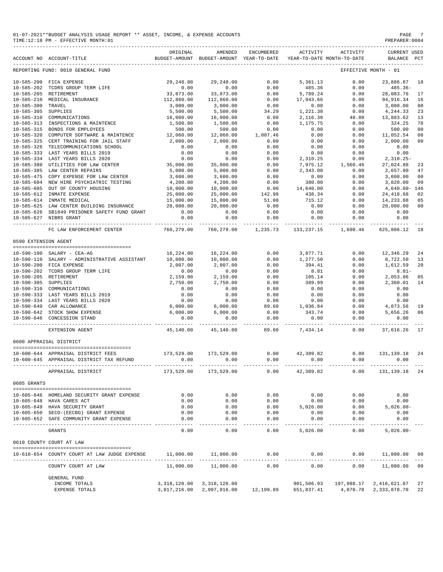| 01-07-2021**BUDGET ANALYSIS USAGE REPORT ** ASSET, INCOME, & EXPENSE ACCOUNTS | PAGE           |
|-------------------------------------------------------------------------------|----------------|
| TIME:12:18 PM - EFFECTIVE MONTH:01                                            | PREPARER: 0004 |

|                      | ACCOUNT NO ACCOUNT-TITLE                                                                                                                                                                                                                        | ORIGINAL                           | AMENDED<br>BUDGET-AMOUNT BUDGET-AMOUNT YEAR-TO-DATE | ENCUMBERED                                                                       | ACTIVITY                          | ACTIVITY<br>YEAR-TO-DATE MONTH-TO-DATE                                                                   | <b>CURRENT USED</b><br>BALANCE PCT                                                              |                |
|----------------------|-------------------------------------------------------------------------------------------------------------------------------------------------------------------------------------------------------------------------------------------------|------------------------------------|-----------------------------------------------------|----------------------------------------------------------------------------------|-----------------------------------|----------------------------------------------------------------------------------------------------------|-------------------------------------------------------------------------------------------------|----------------|
|                      | REPORTING FUND: 0010 GENERAL FUND                                                                                                                                                                                                               |                                    |                                                     |                                                                                  |                                   |                                                                                                          | EFFECTIVE MONTH - 01                                                                            |                |
|                      |                                                                                                                                                                                                                                                 |                                    |                                                     |                                                                                  |                                   | 29,248.00 29,248.00 0.00 5,361.13 0.00                                                                   | 23,886.87 18                                                                                    |                |
|                      | 10-585-200 FICA EXPENSE<br>10-585-202 TCDRS GROUP TERM LIFE<br>10-585-205 PETIREMENT                                                                                                                                                            | 0.00                               | 0.00                                                |                                                                                  |                                   |                                                                                                          | 485.36-                                                                                         |                |
|                      | 10-585-205 RETIREMENT                                                                                                                                                                                                                           | 33,873.00                          | 33,873.00                                           | $0.00$<br>0.00                                                                   | 5,789.24                          | 485.36 0.00<br>5,789.24 0.00                                                                             | 28,083.76                                                                                       | 17             |
|                      |                                                                                                                                                                                                                                                 | 112,860.00                         | 112,860.00                                          | 0.00                                                                             |                                   |                                                                                                          | 94,916.34                                                                                       | 16             |
| $10 - 585 - 300$     | 10-585-210 MEDICAL INSURANCE<br>TRAVEL                                                                                                                                                                                                          | 3,000.00                           |                                                     | 0.00                                                                             | 17,943.66<br>0.00<br>1,221.38     | $\begin{array}{ccc} 0.00 & 0.00 \\ 0.00 & 0.00 \\ 8 & 40.00 \\ -0.00 & 0.0 \\ 0.00 & 0.0 \\ \end{array}$ |                                                                                                 | 0 <sup>0</sup> |
| 10-585-305 SUPPLIES  |                                                                                                                                                                                                                                                 | 5,500.00                           | 3,000.00<br>5,500.00                                | 34.29                                                                            |                                   |                                                                                                          | 3,000.00<br>4,244.33                                                                            | 23             |
|                      | 10-585-310 COMMUNICATIONS<br>10-585-310 COMMUNICATIONS<br>10-585-313 INSPECTIONS & MAINTENCE                                                                                                                                                    |                                    | 16,000.00                                           |                                                                                  |                                   |                                                                                                          |                                                                                                 |                |
|                      |                                                                                                                                                                                                                                                 | 16,000.00<br>1,500.00              |                                                     | 0.00                                                                             | 2,116.38                          |                                                                                                          | 13,883.62                                                                                       | 13             |
|                      |                                                                                                                                                                                                                                                 |                                    | 1,500.00                                            | 0.00                                                                             | 1,175.75                          |                                                                                                          | 324.25                                                                                          | 78             |
|                      | 10-585-315 BONDS FOR EMPLOYEES                                                                                                                                                                                                                  | 500.00                             | 500.00                                              | 0.00                                                                             | 0.00                              | 0.00                                                                                                     | 500.00                                                                                          | 00             |
| $10 - 585 - 320$     | COMPUTER SOFTWARE & MAINTENCE                                                                                                                                                                                                                   | 12,060.00<br>2,000.00              | 12,060.00<br>2,000.00                               | $1\, , \, 007\, . \, 46$                                                         | 0.00                              | 0.00                                                                                                     | 11,052.54                                                                                       | 08             |
| $10 - 585 - 325$     | CERT TRAINING FOR JAIL STAFF                                                                                                                                                                                                                    |                                    |                                                     | 0.00                                                                             | 0.00                              | 0.00                                                                                                     | 2,000.00                                                                                        | 00             |
| $10 - 585 - 326$     | TELECOMMUNICATIONS SCHOOL                                                                                                                                                                                                                       | 0.00                               | 0.00                                                | 0.00                                                                             | 0.00                              | 0.00                                                                                                     | 0.00                                                                                            |                |
| $10 - 585 - 333$     | LAST YEARS BILLS 2019 0.00<br>LAST YEARS BILLS 2020 0.00<br>UTILITIES FOR LAW CENTER 35,000.00                                                                                                                                                  |                                    | $0.00$<br>$0.00$                                    | 0.00                                                                             | $0.00$<br>2,310.25                |                                                                                                          | $\begin{array}{ccc} 0\, .\, 00 & 0\, .\, 00 \\ 0\, .\, 00 & 2\, ,\, 310\, .\, 25 - \end{array}$ |                |
| $10 - 585 - 334$     |                                                                                                                                                                                                                                                 |                                    |                                                     | 0.00                                                                             |                                   |                                                                                                          |                                                                                                 |                |
| $10 - 585 - 380$     |                                                                                                                                                                                                                                                 |                                    | 35,000.00                                           | $\begin{array}{r} 0.00 \\ 0.00 \\ 0.00 \\ 0.00 \\ 0.00 \\ 142.98 \\ \end{array}$ |                                   | 7,975.12 1,560.46                                                                                        | 27,024.88<br>2,657.00<br>27,024.88                                                              | 23             |
| $10 - 585 - 385$     | LAW CENTER REPAIRS                                                                                                                                                                                                                              | 5,000.00                           | 5,000.00                                            |                                                                                  |                                   | 2,343.00 0.00                                                                                            |                                                                                                 | 47             |
|                      | 10-585-475 COPY EXPENSE FOR LAW CENTER                                                                                                                                                                                                          | 3,600.00                           | 3,600.00                                            |                                                                                  | $0.00$ $380.00$                   | 0.00                                                                                                     | 3,600.00                                                                                        | 00             |
| $10 - 585 - 604$     | NEW HIRE PSYCHIATRIC TESTING                                                                                                                                                                                                                    | $4,200,$<br>10,000.00<br>25,000.00 | 4,200.00                                            |                                                                                  |                                   | 0.00                                                                                                     | 3,820.00                                                                                        | 09             |
| $10 - 585 - 605$     | OUT OF COUNTY HOUSING                                                                                                                                                                                                                           |                                    | 10,000.00                                           |                                                                                  | 14,640.00                         | 0.00                                                                                                     | $4,640.00 - 146$                                                                                |                |
|                      | 10-585-612 INMATE EXPENSE                                                                                                                                                                                                                       |                                    | 25,000.00                                           |                                                                                  | 438.34                            | 0.00                                                                                                     | 24,418.68                                                                                       | 02             |
|                      | $15,000.00$ $10-585-625$ LAW CENTER BUILDING INSURANCE<br>10-585-625 LAW CENTER BUILDING INSURANCE<br>10-585-626 SE1840 DRIGANTE ALTIMI                                                                                                         |                                    |                                                     | $51.00$<br>$0.00$                                                                | 715.12                            | 0.00                                                                                                     | 14,233.88                                                                                       | 05             |
|                      |                                                                                                                                                                                                                                                 |                                    | 15,000.00<br>20,000.00                              |                                                                                  | 0.00                              | 0.00                                                                                                     | 20,000.00                                                                                       | 00             |
|                      | 10-585-626 SB1849 PRISONER SAFETY FUND GRANT                                                                                                                                                                                                    | 0.00                               | 0.00                                                | 0.00                                                                             | 0.00                              | 0.00                                                                                                     | 0.00                                                                                            |                |
|                      | 10-585-627 NIBRS GRANT<br>_______________________________                                                                                                                                                                                       | 0.00                               | 0.00<br>----------                                  | 0.00<br>------------                                                             | 0.00<br>------------              | 0.00<br>. <u>.</u>                                                                                       | 0.00<br>___________                                                                             |                |
|                      | FC LAW ENFORCEMENT CENTER                                                                                                                                                                                                                       | 760,279.00                         |                                                     | 760,279.00 1,235.73                                                              |                                   | 133, 237. 15 1, 600. 46                                                                                  | 625,806.12                                                                                      | 18             |
| 0590 EXTENSION AGENT |                                                                                                                                                                                                                                                 |                                    |                                                     |                                                                                  |                                   |                                                                                                          |                                                                                                 |                |
|                      |                                                                                                                                                                                                                                                 |                                    |                                                     |                                                                                  |                                   |                                                                                                          |                                                                                                 |                |
|                      | 10-590-100 SALARY - CEA-AG                                                                                                                                                                                                                      |                                    | 16, 224.00 16, 224.00                               |                                                                                  |                                   | $0.00$ $3.877.71$ $0.00$<br>$0.00$ $1.277.50$ $0.00$                                                     | 12,346.29                                                                                       | 24             |
|                      | 10-590-110 SALARY - ADMINISTRATIVE ASSISTANT                                                                                                                                                                                                    | 10,000.00                          | 10,000.00                                           |                                                                                  | $1, 277.50$<br>$394.41$<br>$8.81$ |                                                                                                          | 8,722.50                                                                                        | 13             |
|                      | 10-590-200 FICA EXPENSE                                                                                                                                                                                                                         | 2,007.00                           | $2,007.00$<br>$0.00$                                | 0.00                                                                             |                                   | 0.00                                                                                                     | 1,612.59<br>-8.81<br>2,053.86                                                                   | 20             |
|                      | 10-590-202 TCDRS GROUP TERM LIFE                                                                                                                                                                                                                | 0.00                               |                                                     | 0.00                                                                             |                                   | 0.00                                                                                                     | $8.81-$                                                                                         |                |
|                      | 10-590-205 RETIREMENT                                                                                                                                                                                                                           | 2,159.00                           | 2,159.00                                            | 0.00                                                                             | 105.14                            | 0.00                                                                                                     | 2,053.86                                                                                        | 05             |
|                      |                                                                                                                                                                                                                                                 | 2,750.00                           | 2,750.00                                            | 0.00                                                                             | 389.99                            | 0.00                                                                                                     | 2,360.01                                                                                        | 14             |
|                      |                                                                                                                                                                                                                                                 | 0.00                               | 0.00                                                | 0.00                                                                             | 0.00                              | 0.00                                                                                                     | 0.00                                                                                            |                |
|                      |                                                                                                                                                                                                                                                 | 0.00                               | 0.00                                                | 0.00                                                                             | 0.00                              | 0.00                                                                                                     | 0.00                                                                                            |                |
|                      |                                                                                                                                                                                                                                                 | 0.00                               | 0.00                                                | 0.00                                                                             |                                   | 0.00                                                                                                     | 0.00                                                                                            |                |
|                      | 10-590-205 RETIREMENT<br>10-590-305 SUPPLIES<br>10-590-310 COMMUNICATIONS<br>10-590-333 LAST YEARS BILLS 2019<br>10-590-334 LAST YEARS BILLS 2020<br>10-590-640 CAR ALLOWANCE<br>10-590-642 STOCK SHOW EXPENSE<br>10-590-642 STOCK SHOW EXPENSE |                                    |                                                     |                                                                                  | $0.00$<br>0.00<br>1,036.84        |                                                                                                          |                                                                                                 |                |
|                      |                                                                                                                                                                                                                                                 | 6,000.00<br>6,000.00               |                                                     |                                                                                  | 343.74                            |                                                                                                          |                                                                                                 |                |
|                      | 10-590-646 CONCESSION STAND                                                                                                                                                                                                                     | 0.00                               | 6,000.00<br>6,000.00<br>0.00                        |                                                                                  |                                   | $5.74$<br>0.00<br>---- ---                                                                               | $0.00$ $4,873.56$ 19<br>$0.00$ $5,656.26$ 06<br>$0.00$ 0.00                                     |                |
|                      | EXTENSION AGENT                                                                                                                                                                                                                                 |                                    | . <u>.</u>                                          | -----------                                                                      | . <i>.</i> .                      | ____________<br>45,140.00  45,140.00  89.60  7,434.14  0.00  37,616.26  17                               | .                                                                                               |                |
|                      | 0600 APPRAISAL DISTRICT                                                                                                                                                                                                                         |                                    |                                                     |                                                                                  |                                   |                                                                                                          |                                                                                                 |                |
|                      |                                                                                                                                                                                                                                                 |                                    |                                                     |                                                                                  |                                   |                                                                                                          |                                                                                                 |                |
|                      | 10-600-644 APPRAISAL DISTRICT FEES                                                                                                                                                                                                              | 173,529.00 173,529.00              |                                                     | $0.00$ $42,389.82$ $0.00$                                                        |                                   |                                                                                                          | 131,139.18                                                                                      | 24             |
|                      | 10-600-645 APPRAISAL DISTRICT TAX REFUND                                                                                                                                                                                                        | 0.00                               | 0.00                                                | 0.00                                                                             | 0.00                              | 0.00                                                                                                     | 0.00                                                                                            |                |
|                      | APPRAISAL DISTRICT                                                                                                                                                                                                                              |                                    | 173,529.00 173,529.00                               | 0.00                                                                             | 42,389.82                         | 0.00                                                                                                     | 131, 139. 18 24                                                                                 |                |
| 0605 GRANTS          |                                                                                                                                                                                                                                                 |                                    |                                                     |                                                                                  |                                   |                                                                                                          |                                                                                                 |                |
|                      |                                                                                                                                                                                                                                                 |                                    |                                                     |                                                                                  |                                   |                                                                                                          |                                                                                                 |                |
|                      | 10-605-646 HOMELAND SECURITY GRANT EXPENSE                                                                                                                                                                                                      | 0.00                               | 0.00                                                | 0.00                                                                             | 0.00                              | 0.00                                                                                                     | 0.00                                                                                            |                |
|                      | 10-605-648 HAVA CARES ACT                                                                                                                                                                                                                       | 0.00                               | 0.00                                                | 0.00                                                                             | 0.00                              | 0.00                                                                                                     | 0.00                                                                                            |                |
|                      | 10-605-649 HAVA SECURITY GRANT                                                                                                                                                                                                                  | 0.00                               | 0.00                                                | 0.00                                                                             | 5,026.00                          | 0.00                                                                                                     | $5.026.00 -$                                                                                    |                |
|                      | 10-605-650 SECO-(EECBG) GRANT EXPENSE                                                                                                                                                                                                           | 0.00                               | 0.00                                                | 0.00                                                                             | 0.00                              | 0.00                                                                                                     | 0.00                                                                                            |                |
|                      | 10-605-652 SAFE COMMUNITY GRANT EXPENSE                                                                                                                                                                                                         | 0.00<br>$- - - -$                  | 0.00<br>$- - - - -$                                 | 0.00<br>الموسوسية                                                                | 0.00<br>---------                 | 0.00<br>$- - - - -$                                                                                      | 0.00                                                                                            |                |
|                      | <b>GRANTS</b>                                                                                                                                                                                                                                   | 0.00                               | 0.00                                                | 0.00                                                                             | 5.026.00                          | 0.00                                                                                                     | $5,026.00 -$                                                                                    |                |
|                      | 0610 COUNTY COURT AT LAW                                                                                                                                                                                                                        |                                    |                                                     |                                                                                  |                                   |                                                                                                          |                                                                                                 |                |
|                      | 10-610-654 COUNTY COURT AT LAW JUDGE EXPENSE                                                                                                                                                                                                    | 11,000.00                          | 11,000.00                                           | 0.00                                                                             | 0.00                              | 0.00                                                                                                     | 11,000.00                                                                                       | 00             |
|                      | COUNTY COURT AT LAW                                                                                                                                                                                                                             | 11,000.00                          | 11,000.00                                           | 0.00                                                                             | 0.00                              | 0.00                                                                                                     | 11,000.00                                                                                       | 00             |
|                      | GENERAL FUND                                                                                                                                                                                                                                    |                                    |                                                     |                                                                                  |                                   |                                                                                                          |                                                                                                 |                |
|                      |                                                                                                                                                                                                                                                 |                                    |                                                     |                                                                                  |                                   |                                                                                                          |                                                                                                 |                |
|                      | INCOME TOTALS                                                                                                                                                                                                                                   |                                    | 3, 318, 128.00 3, 318, 128.00                       |                                                                                  |                                   | 901,506.93 197,988.17                                                                                    | 2,416,621.07                                                                                    | 27             |
|                      | EXPENSE TOTALS                                                                                                                                                                                                                                  |                                    |                                                     |                                                                                  |                                   | 3,017,216.00 2,997,916.00 12,199.89 651,837.41 4,070.78 2,333,878.70                                     |                                                                                                 | 22             |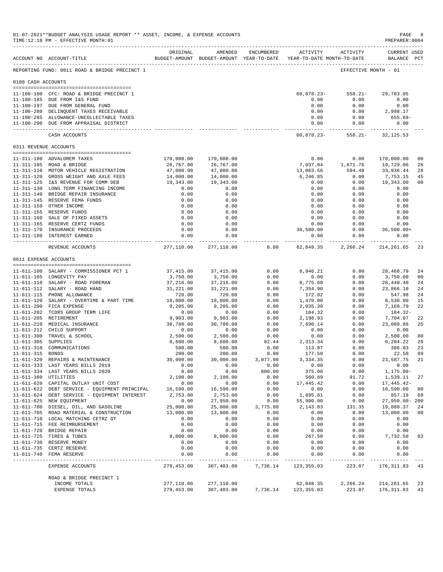| 01-07-2021**BUDGET ANALYSIS USAGE REPORT ** ASSET, INCOME, & EXPENSE ACCOUNTS<br>PAGE<br>PREPARER: 0004<br>TIME:12:18 PM - EFFECTIVE MONTH:01 |                                                                                    |                         |                                                                                |               |                     |                     |                                                                                                                                                                                                                                                                                                                                                                                                                        |                      |
|-----------------------------------------------------------------------------------------------------------------------------------------------|------------------------------------------------------------------------------------|-------------------------|--------------------------------------------------------------------------------|---------------|---------------------|---------------------|------------------------------------------------------------------------------------------------------------------------------------------------------------------------------------------------------------------------------------------------------------------------------------------------------------------------------------------------------------------------------------------------------------------------|----------------------|
|                                                                                                                                               | ACCOUNT NO ACCOUNT-TITLE                                                           | ORIGINAL                | AMENDED<br>BUDGET-AMOUNT BUDGET-AMOUNT YEAR-TO-DATE YEAR-TO-DATE MONTH-TO-DATE | ENCUMBERED    |                     | ACTIVITY ACTIVITY   | <b>CURRENT USED</b><br>BALANCE PCT                                                                                                                                                                                                                                                                                                                                                                                     |                      |
|                                                                                                                                               | REPORTING FUND: 0011 ROAD & BRIDGE PRECINCT 1                                      |                         |                                                                                |               |                     |                     | EFFECTIVE MONTH - 01                                                                                                                                                                                                                                                                                                                                                                                                   |                      |
| 0100 CASH ACCOUNTS                                                                                                                            |                                                                                    |                         |                                                                                |               |                     |                     |                                                                                                                                                                                                                                                                                                                                                                                                                        |                      |
|                                                                                                                                               | 11-100-100 CFC: ROAD & BRIDGE PRECINCT 1                                           |                         |                                                                                |               |                     |                     | $60,878.23 - 558.21 - 29,783.05$                                                                                                                                                                                                                                                                                                                                                                                       |                      |
|                                                                                                                                               | 11-100-185 DUE FROM I&S FUND                                                       |                         |                                                                                |               | 0.00                | 0.00                | 0.00                                                                                                                                                                                                                                                                                                                                                                                                                   |                      |
|                                                                                                                                               | 11-100-197 DUE FROM GENERAL FUND                                                   |                         |                                                                                |               | 0.00                | 0.00                | 0.00                                                                                                                                                                                                                                                                                                                                                                                                                   |                      |
|                                                                                                                                               | 11-100-280 DELINQUENT TAXES RECEIVABLE                                             |                         |                                                                                |               | 0.00                |                     | $0.00$ 2,998.17                                                                                                                                                                                                                                                                                                                                                                                                        |                      |
|                                                                                                                                               | 11-100-285 ALLOWANCE-UNCOLLECTABLE TAXES<br>11-100-290 DUE FROM APPRAISAL DISTRICT |                         |                                                                                |               | 0.00<br>0.00        | 0.00<br>0.00        | 655.69-<br>0.00                                                                                                                                                                                                                                                                                                                                                                                                        |                      |
|                                                                                                                                               | CASH ACCOUNTS                                                                      |                         |                                                                                |               | ----------- -       | ----------          | $60,878.23 - 558.21 - 32,125.53$                                                                                                                                                                                                                                                                                                                                                                                       |                      |
| 0311 REVENUE ACCOUNTS                                                                                                                         |                                                                                    |                         |                                                                                |               |                     |                     |                                                                                                                                                                                                                                                                                                                                                                                                                        |                      |
|                                                                                                                                               | 11-311-100 ADVALOREM TAXES                                                         |                         |                                                                                |               | 0.00                | 0.00                |                                                                                                                                                                                                                                                                                                                                                                                                                        | 0 <sup>0</sup>       |
|                                                                                                                                               | 11-311-105 ROAD & BRIDGE                                                           | 170,000.00<br>26,767.00 | 170,000.00<br>26,767.00                                                        |               |                     | 7,037.94 1,671.76   | 170,000.00<br>19,729.06                                                                                                                                                                                                                                                                                                                                                                                                | 26                   |
|                                                                                                                                               | 11-311-110 MOTOR VEHICLE REGISTRATION                                              | 47,000.00               | 47,000.00                                                                      |               | 13,063.56           | 594.48              | 33,936.44                                                                                                                                                                                                                                                                                                                                                                                                              | 28                   |
|                                                                                                                                               | 11-311-120 GROSS WEIGHT AND AXLE FEES                                              | 14,000.00               | 14,000.00                                                                      |               | 6,246.85            | 0.00                | 7,753.15                                                                                                                                                                                                                                                                                                                                                                                                               | 45                   |
|                                                                                                                                               | 11-311-125 I&S REVENUE FOR COMM DEB                                                | 19,343.00               | 19,343.00                                                                      |               | 0.00                | 0.00                | 19,343.00                                                                                                                                                                                                                                                                                                                                                                                                              | 00                   |
|                                                                                                                                               | 11-311-130 LONG TERM FINANCING INCOME                                              | 0.00                    | 0.00                                                                           |               | 0.00                | 0.00                | 0.00                                                                                                                                                                                                                                                                                                                                                                                                                   |                      |
|                                                                                                                                               | 11-311-140 BRIDGE REPAIR INSURANCE                                                 | 0.00                    | 0.00                                                                           |               | 0.00                | 0.00                | 0.00                                                                                                                                                                                                                                                                                                                                                                                                                   |                      |
|                                                                                                                                               | 11-311-145 RESERVE FEMA FUNDS<br>11-311-150 OTHER INCOME                           | 0.00<br>0.00            | 0.00<br>0.00                                                                   |               | 0.00<br>0.00        | 0.00<br>0.00        | 0.00<br>0.00                                                                                                                                                                                                                                                                                                                                                                                                           |                      |
|                                                                                                                                               | 11-311-155 RESERVE FUNDS                                                           | 0.00                    | 0.00                                                                           |               | 0.00                | 0.00                | 0.00                                                                                                                                                                                                                                                                                                                                                                                                                   |                      |
|                                                                                                                                               | 11-311-160 SALE OF FIXED ASSETS                                                    | 0.00                    | 0.00                                                                           |               | 0.00                | 0.00                | 0.00                                                                                                                                                                                                                                                                                                                                                                                                                   |                      |
|                                                                                                                                               | 11-311-165 RESERVE CERTZ FUNDS                                                     | 0.00                    | 0.00                                                                           |               | 0.00                | 0.00                | 0.00                                                                                                                                                                                                                                                                                                                                                                                                                   |                      |
|                                                                                                                                               | 11-311-170 INSURANCE PROCEEDS<br>11-311-180 INTEREST EARNED                        | 0.00<br>0.00            | 0.00<br>0.00                                                                   |               | 36,500.00<br>0.00   | 0.00                | $0.00$ $36,500.00+$<br>0.00                                                                                                                                                                                                                                                                                                                                                                                            |                      |
|                                                                                                                                               | REVENUE ACCOUNTS                                                                   |                         | -------------<br>277,110.00 277,110.00                                         | 0.00          |                     |                     | 62,848.35 2,266.24 214,261.65 23                                                                                                                                                                                                                                                                                                                                                                                       |                      |
| 0611 EXPENSE ACCOUNTS                                                                                                                         |                                                                                    |                         |                                                                                |               |                     |                     |                                                                                                                                                                                                                                                                                                                                                                                                                        |                      |
|                                                                                                                                               |                                                                                    |                         |                                                                                |               |                     |                     |                                                                                                                                                                                                                                                                                                                                                                                                                        |                      |
|                                                                                                                                               | 11-611-100 SALARY - COMMISSIONER PCT 1                                             | 37,415.00               | 37, 415.00                                                                     | 0.00          | 8,946.21            | 0.00                | 28,468.79                                                                                                                                                                                                                                                                                                                                                                                                              | 24                   |
|                                                                                                                                               | 11-611-105 LONGEVITY PAY                                                           | 3,750.00                | 3,750.00                                                                       | 0.00          | 0.00                | 0.00                | 3,750.00                                                                                                                                                                                                                                                                                                                                                                                                               | 00                   |
|                                                                                                                                               | 11-611-110 SALARY - ROAD FOREMAN                                                   | 37,216.00               | 37,216.00                                                                      | 0.00          | 8,775.60            | 0.00                | 28,440.40                                                                                                                                                                                                                                                                                                                                                                                                              | 24                   |
|                                                                                                                                               | 11-611-112 SALARY - ROAD HAND<br>11-611-115 PHONE ALLOWANCE                        | 31,221.00<br>720.00     | 31,221.00<br>720.00                                                            | 0.00<br>0.00  | 7,354.90<br>172.02  | 0.00<br>0.00        | 23,866.10<br>547.98                                                                                                                                                                                                                                                                                                                                                                                                    | 24<br>24             |
|                                                                                                                                               | 11-611-120 SALARY - OVERTIME & PART TIME                                           | 10,000.00               | 10,000.00                                                                      | 0.00          | 1,470.00            | 0.00                | 8,530.00                                                                                                                                                                                                                                                                                                                                                                                                               | 15                   |
|                                                                                                                                               | 11-611-200 FICA EXPENSE                                                            | 9,205.00                | 9,205.00                                                                       | 0.00          | 2,035.30            | 0.00                | 7,169.70                                                                                                                                                                                                                                                                                                                                                                                                               | 22                   |
|                                                                                                                                               | 11-611-202 TCDRS GROUP TERM LIFE                                                   | 0.00                    | 0.00                                                                           | 0.00          | 184.32              | 0.00                | 184.32-                                                                                                                                                                                                                                                                                                                                                                                                                |                      |
|                                                                                                                                               | 11-611-205 RETIREMENT                                                              | 9,903.00                | 9,903.00                                                                       | 0.00          | 2,198.93            | 0.00                | 7,704.07                                                                                                                                                                                                                                                                                                                                                                                                               | 22                   |
|                                                                                                                                               | 11-611-210 MEDICAL INSURANCE                                                       | 30,780.00               | 30,780.00                                                                      | 0.00          | 7,690.14            | 0.00                | 23,089.86                                                                                                                                                                                                                                                                                                                                                                                                              | 25                   |
|                                                                                                                                               | 11-611-212 CHILD SUPPORT                                                           | 0.00                    | 0.00                                                                           | 0.00          | 0.00<br>0.00        | 0.00                | 0.00<br>2,500.00                                                                                                                                                                                                                                                                                                                                                                                                       |                      |
| 11-611-305 SUPPLIES                                                                                                                           | 11-611-300 TRAVEL & SCHOOL                                                         | 2,500.00<br>8,600.00    | 2,500.00<br>8,600.00                                                           | 0.00<br>82.44 | 2,313.34            | 0.00<br>0.00        | 6,204.22                                                                                                                                                                                                                                                                                                                                                                                                               | 0 <sub>0</sub><br>28 |
|                                                                                                                                               | 11-611-310 COMMUNICATIONS                                                          | 500.00                  | 500.00                                                                         | 0.00          | 113.97              | 0.00                | 386.03                                                                                                                                                                                                                                                                                                                                                                                                                 | 23                   |
| 11-611-315 BONDS                                                                                                                              |                                                                                    | 200.00                  | 200.00                                                                         | 0.00          | 177.50              | 0.00                | 22.50                                                                                                                                                                                                                                                                                                                                                                                                                  | 89                   |
|                                                                                                                                               | 11-611-320 REPAIRS & MAINTENANCE                                                   | 30,000.00               | 30,000.00                                                                      | 3,077.90      | 3,334.35            | 0.00                | 23,587.75                                                                                                                                                                                                                                                                                                                                                                                                              | 21                   |
|                                                                                                                                               | 11-611-333 LAST YEARS BILLS 2019                                                   | 0.00                    | 0.00                                                                           | 0.00          | 0.00                | 0.00                | 0.00                                                                                                                                                                                                                                                                                                                                                                                                                   |                      |
|                                                                                                                                               | 11-611-334 LAST YEARS BILLS 2020                                                   | 0.00                    | 0.00                                                                           | 800.00        | 375.00              | 0.00                | $1, 175.00 -$                                                                                                                                                                                                                                                                                                                                                                                                          |                      |
| 11-611-380 UTILITIES                                                                                                                          | 11-611-620 CAPITAL OUTLAY UNIT COST                                                | 2,100.00<br>0.00        | 2,100.00<br>0.00                                                               | 0.00<br>0.00  | 560.89<br>17,445.42 | 91.72<br>0.00       | 1,539.11<br>17,445.42-                                                                                                                                                                                                                                                                                                                                                                                                 | 27                   |
|                                                                                                                                               | 11-611-622 DEBT SERVICE - EQUIPMENT PRINCIPAL                                      | 16,590.00               | 16,590.00                                                                      | 0.00          | 0.00                | 0.00                | 16,590.00                                                                                                                                                                                                                                                                                                                                                                                                              | 0 <sub>0</sub>       |
|                                                                                                                                               | 11-611-624 DEBT SERVICE - EQUIPMENT INTEREST                                       | 2,753.00                | 2,753.00                                                                       | 0.00          | 1,895.81            | 0.00                | 857.19                                                                                                                                                                                                                                                                                                                                                                                                                 | 69                   |
|                                                                                                                                               | 11-611-625 NEW EQUIPMENT                                                           | 0.00                    | 27,950.00                                                                      | 0.00          | 55,900.00           | 0.00                | 27,950.00-200                                                                                                                                                                                                                                                                                                                                                                                                          |                      |
|                                                                                                                                               | 11-611-700 DIESEL, OIL, AND GASOLINE                                               | 25,000.00               | 25,000.00                                                                      | 3,775.80      | 2,143.83            | 131.35              | 19,080.37                                                                                                                                                                                                                                                                                                                                                                                                              | 24                   |
|                                                                                                                                               | 11-611-705 ROAD MATERIAL & CONSTRUCTION                                            | 13,000.00               | 13,000.00                                                                      | 0.00          | 0.00                | 0.00                | 13,000.00                                                                                                                                                                                                                                                                                                                                                                                                              | 00                   |
|                                                                                                                                               | 11-611-710 LOCAL MATCHING CETRZ GT<br>11-611-715 FEE REIMBURSEMENT                 | 0.00<br>0.00            | 0.00<br>0.00                                                                   | 0.00<br>0.00  | 0.00<br>0.00        | 0.00<br>0.00        | 0.00<br>0.00                                                                                                                                                                                                                                                                                                                                                                                                           |                      |
|                                                                                                                                               | 11-611-720 BRIDGE REPAIR                                                           | 0.00                    | 0.00                                                                           | 0.00          | 0.00                | 0.00                | 0.00                                                                                                                                                                                                                                                                                                                                                                                                                   |                      |
|                                                                                                                                               | 11-611-725 TIRES & TUBES                                                           | 8,000.00                | 8,000.00                                                                       | 0.00          | 267.50              | 0.00                | 7,732.50                                                                                                                                                                                                                                                                                                                                                                                                               | 03                   |
|                                                                                                                                               | 11-611-730 RESERVE MONEY                                                           | 0.00                    | 0.00                                                                           | 0.00          | 0.00                | 0.00                | 0.00                                                                                                                                                                                                                                                                                                                                                                                                                   |                      |
|                                                                                                                                               | 11-611-735 CERTZ RESERVE                                                           | 0.00                    | 0.00                                                                           | 0.00          | 0.00                | 0.00                | 0.00                                                                                                                                                                                                                                                                                                                                                                                                                   |                      |
| <u>___________</u>                                                                                                                            | 11-611-740 FEMA RESERVE<br>---------------                                         | 0.00<br>----------      | 0.00<br>------                                                                 | 0.00<br>----- | 0.00<br>------      | 0.00<br>$- - - - -$ | 0.00<br>$\frac{1}{2} \left( \frac{1}{2} \left( \frac{1}{2} \left( \frac{1}{2} \left( \frac{1}{2} \left( \frac{1}{2} \left( \frac{1}{2} \right) \right) - \frac{1}{2} \left( \frac{1}{2} \left( \frac{1}{2} \right) \right) \right) \right) \right) + \frac{1}{2} \left( \frac{1}{2} \left( \frac{1}{2} \left( \frac{1}{2} \left( \frac{1}{2} \right) - \frac{1}{2} \left( \frac{1}{2} \right) \right) \right) \right)$ |                      |
|                                                                                                                                               | EXPENSE ACCOUNTS                                                                   | 279,453.00              | 307,403.00                                                                     | 7,736.14      | 123, 355.03         | 223.07              | 176, 311.83                                                                                                                                                                                                                                                                                                                                                                                                            | 43                   |
|                                                                                                                                               | ROAD & BRIDGE PRECINCT 1                                                           |                         |                                                                                |               |                     |                     |                                                                                                                                                                                                                                                                                                                                                                                                                        |                      |
|                                                                                                                                               | INCOME TOTALS                                                                      | 277,110.00              | 277,110.00                                                                     |               | 62,848.35           | 2,266.24            | 214, 261.65                                                                                                                                                                                                                                                                                                                                                                                                            | 23                   |
|                                                                                                                                               | EXPENSE TOTALS                                                                     | 279,453.00              | 307,403.00                                                                     | 7,736.14      | 123, 355.03         | 223.07              | 176, 311.83                                                                                                                                                                                                                                                                                                                                                                                                            | 43                   |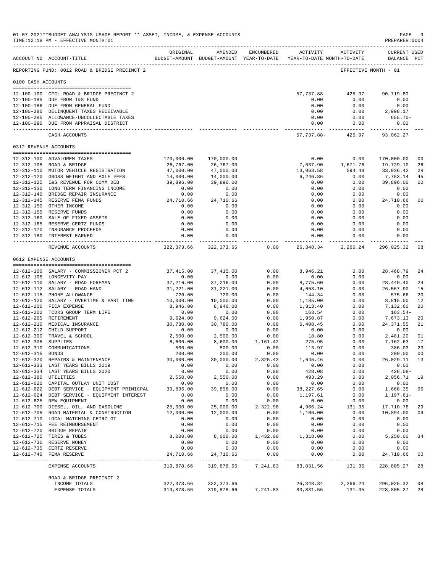| 01-07-2021**BUDGET ANALYSIS USAGE REPORT ** ASSET, INCOME, & EXPENSE ACCOUNTS<br>$\mathop{\mathtt{PAGE}}$<br>PREPARER: 0004<br>TIME:12:18 PM - EFFECTIVE MONTH:01<br>------------------------------ |                                                                                    |                         |                                                                                |                  |                        |                                               |                                    |                      |
|-----------------------------------------------------------------------------------------------------------------------------------------------------------------------------------------------------|------------------------------------------------------------------------------------|-------------------------|--------------------------------------------------------------------------------|------------------|------------------------|-----------------------------------------------|------------------------------------|----------------------|
|                                                                                                                                                                                                     | ACCOUNT NO ACCOUNT-TITLE<br>-------------------------------------                  | ORIGINAL                | AMENDED<br>BUDGET-AMOUNT BUDGET-AMOUNT YEAR-TO-DATE YEAR-TO-DATE MONTH-TO-DATE | ENCUMBERED       |                        | ACTIVITY ACTIVITY                             | <b>CURRENT USED</b><br>BALANCE PCT |                      |
|                                                                                                                                                                                                     | REPORTING FUND: 0012 ROAD & BRIDGE PRECINCT 2                                      |                         |                                                                                |                  |                        |                                               | EFFECTIVE MONTH - 01               |                      |
| 0100 CASH ACCOUNTS                                                                                                                                                                                  |                                                                                    |                         |                                                                                |                  |                        |                                               |                                    |                      |
|                                                                                                                                                                                                     | 12-100-100 CFC: ROAD & BRIDGE PRECINCT 2                                           |                         |                                                                                |                  |                        | 57,737.88-425.97                              | 90,719.80                          |                      |
|                                                                                                                                                                                                     | 12-100-185 DUE FROM I&S FUND                                                       |                         |                                                                                |                  | 0.00                   | 0.00                                          | 0.00                               |                      |
|                                                                                                                                                                                                     | 12-100-186 DUE FROM GENERAL FUND                                                   |                         |                                                                                |                  | 0.00                   | 0.00                                          | 0.00                               |                      |
|                                                                                                                                                                                                     | 12-100-280 DELINQUENT TAXES RECEIVABLE<br>12-100-285 ALLOWANCE-UNCOLLECTABLE TAXES |                         |                                                                                |                  | 0.00<br>0.00           | 0.00<br>0.00                                  | 2,998.17<br>655.70-                |                      |
|                                                                                                                                                                                                     | 12-100-290 DUE FROM APPRAISAL DISTRICT                                             |                         |                                                                                |                  | 0.00                   | 0.00                                          | 0.00                               |                      |
|                                                                                                                                                                                                     | CASH ACCOUNTS                                                                      |                         |                                                                                |                  | ------------ -         | -----------<br>57, 737.88 - 425.97 93, 062.27 | ------------                       |                      |
| 0312 REVENUE ACCOUNTS                                                                                                                                                                               |                                                                                    |                         |                                                                                |                  |                        |                                               |                                    |                      |
|                                                                                                                                                                                                     |                                                                                    |                         |                                                                                |                  | 0.00                   | 0.00                                          |                                    | 00                   |
|                                                                                                                                                                                                     | 12-312-100 ADVALOREM TAXES<br>12-312-105 ROAD & BRIDGE                             | 170,000.00<br>26,767.00 | 170,000.00<br>26,767.00                                                        |                  | 7,037.90               | 1,671.76                                      | 170,000.00<br>19,729.10            | 26                   |
|                                                                                                                                                                                                     | 12-312-110 MOTOR VEHICLE REGISTRATION                                              | 47,000.00               | 47,000.00                                                                      |                  | 13,063.58              | 594.48                                        | 33,936.42                          | 28                   |
|                                                                                                                                                                                                     | 12-312-120 GROSS WEIGHT AND AXLE FEES                                              | 14,000.00               | 14,000.00                                                                      |                  | 6,246.86               | 0.00                                          | 7,753.14                           | 45                   |
|                                                                                                                                                                                                     | 12-312-125 I&S REVENUE FOR COMM DEB                                                | 39,896.00               | 39,896.00                                                                      |                  | 0.00                   | 0.00                                          | 39,896.00                          | 00                   |
|                                                                                                                                                                                                     | 12-312-130 LONG TERM FINANCING INCOME                                              | 0.00                    | 0.00                                                                           |                  | 0.00                   | 0.00                                          | 0.00                               |                      |
|                                                                                                                                                                                                     | 12-312-140 BRIDGE REPAIR INSURANCE                                                 | 0.00                    | 0.00                                                                           |                  | 0.00                   | 0.00                                          | 0.00                               |                      |
|                                                                                                                                                                                                     | 12-312-145 RESERVE FEMA FUNDS<br>12-312-150 OTHER INCOME                           | 24,710.66<br>0.00       | 24,710.66<br>0.00                                                              |                  | 0.00<br>0.00           | 0.00<br>0.00                                  | 24,710.66<br>0.00                  | 00                   |
|                                                                                                                                                                                                     | 12-312-155 RESERVE FUNDS                                                           | 0.00                    | 0.00                                                                           |                  | 0.00                   | 0.00                                          | 0.00                               |                      |
|                                                                                                                                                                                                     | 12-312-160 SALE OF FIXED ASSETS                                                    | 0.00                    | 0.00                                                                           |                  | 0.00                   | 0.00                                          | 0.00                               |                      |
|                                                                                                                                                                                                     | 12-312-165 RESERVE CERTZ FUNDS                                                     | 0.00                    | 0.00                                                                           |                  | 0.00                   | 0.00                                          | 0.00                               |                      |
|                                                                                                                                                                                                     | 12-312-170 INSURANCE PROCEEDS                                                      | 0.00                    | 0.00                                                                           |                  | 0.00                   | 0.00                                          | 0.00                               |                      |
|                                                                                                                                                                                                     | 12-312-180 INTEREST EARNED                                                         | 0.00                    | 0.00<br>------------                                                           |                  | 0.00<br>------------ - | 0.00<br>----------- -                         | 0.00<br>------------               |                      |
|                                                                                                                                                                                                     | REVENUE ACCOUNTS                                                                   |                         | 322, 373.66 322, 373.66                                                        | 0.00             |                        | 26, 348. 34 2, 266. 24 296, 025. 32           |                                    | 08                   |
| 0612 EXPENSE ACCOUNTS                                                                                                                                                                               |                                                                                    |                         |                                                                                |                  |                        |                                               |                                    |                      |
|                                                                                                                                                                                                     | 12-612-100 SALARY - COMMISSIONER PCT 2                                             | 37,415.00               | 37,415.00                                                                      | 0.00             | 8,946.21               | 0.00                                          | 28,468.79                          | 24                   |
|                                                                                                                                                                                                     | 12-612-105 LONGEVITY PAY                                                           | 0.00                    | 0.00                                                                           | 0.00             | 0.00                   | 0.00                                          | 0.00                               |                      |
|                                                                                                                                                                                                     | 12-612-110 SALARY - ROAD FOREMAN                                                   | 37,216.00               | 37,216.00                                                                      | 0.00             | 8,775.60               | 0.00                                          | 28,440.40                          | 24                   |
|                                                                                                                                                                                                     | 12-612-112 SALARY - ROAD HAND                                                      | 31,221.00               | 31,221.00                                                                      | 0.00             | 4,653.10               | 0.00                                          | 26,567.90                          | 15                   |
|                                                                                                                                                                                                     | 12-612-115 PHONE ALLOWANCE                                                         | 720.00                  | 720.00                                                                         | 0.00             | 144.34                 | 0.00                                          | 575.66                             | 20                   |
|                                                                                                                                                                                                     | 12-612-120 SALARY - OVERTIME & PART TIME                                           | 10,000.00               | 10,000.00                                                                      | 0.00             | 1,185.00               | 0.00                                          | 8,815.00                           | 12                   |
|                                                                                                                                                                                                     | 12-612-200 FICA EXPENSE<br>12-612-202 TCDRS GROUP TERM LIFE                        | 8,946.00<br>0.00        | 8,946.00<br>0.00                                                               | 0.00<br>0.00     | 1,813.40<br>163.54     | 0.00<br>0.00                                  | 7,132.60<br>$163.54-$              | 20                   |
|                                                                                                                                                                                                     | 12-612-205 RETIREMENT                                                              | 9,624.00                | 9,624.00                                                                       | 0.00             | 1,950.87               | 0.00                                          | 7,673.13                           | 20                   |
|                                                                                                                                                                                                     | 12-612-210 MEDICAL INSURANCE                                                       | 30,780.00               | 30,780.00                                                                      | 0.00             | 6,408.45               | 0.00                                          | 24, 371.55                         | 21                   |
|                                                                                                                                                                                                     | 12-612-212 CHILD SUPPORT                                                           | 0.00                    | 0.00                                                                           | 0.00             | 0.00                   | 0.00                                          | 0.00                               |                      |
|                                                                                                                                                                                                     | 12-612-300 TRAVEL & SCHOOL                                                         | 2,500.00                | 2,500.00                                                                       | 0.00             | 18.80                  | 0.00                                          | 2,481.20                           | 01                   |
| 12-612-305 SUPPLIES                                                                                                                                                                                 |                                                                                    | 8,600.00                | 8,600.00                                                                       | 1,161.42         | 275.95                 | 0.00                                          | 7,162.63                           | 17                   |
|                                                                                                                                                                                                     | 12-612-310 COMMUNICATIONS                                                          | 500.00                  | 500.00                                                                         | 0.00             | 113.97<br>0.00         | 0.00<br>0.00                                  | 386.03                             | 23<br>0 <sub>0</sub> |
| 12-612-315 BONDS                                                                                                                                                                                    | 12-612-320 REPAIRS & MAINTENANCE                                                   | 200.00<br>30,000.00     | 200.00<br>30,000.00                                                            | 0.00<br>2,325.43 | 1,645.46               | 0.00                                          | 200.00<br>26,029.11                | 13                   |
|                                                                                                                                                                                                     | 12-612-333 LAST YEARS BILLS 2019                                                   | 0.00                    | 0.00                                                                           | 0.00             | 0.00                   | 0.00                                          | 0.00                               |                      |
|                                                                                                                                                                                                     | 12-612-334 LAST YEARS BILLS 2020                                                   | 0.00                    | 0.00                                                                           | 0.00             | 428.08                 | 0.00                                          | $428.08 -$                         |                      |
| 12-612-380 UTILITIES                                                                                                                                                                                |                                                                                    | 2,550.00                | 2,550.00                                                                       | 0.00             | 493.29                 | 0.00                                          | 2,056.71                           | 19                   |
|                                                                                                                                                                                                     | 12-612-620 CAPITAL OUTLAY UNIT COST                                                | 0.00                    | 0.00                                                                           | 0.00             | 0.00                   | 0.00                                          | 0.00                               |                      |
|                                                                                                                                                                                                     | 12-612-622 DEBT SERVICE - EQUIPMENT PRINICPAL                                      | 39,896.00               | 39,896.00                                                                      | 0.00             | 38, 227.65             | 0.00                                          | 1,668.35                           | 96                   |
|                                                                                                                                                                                                     | 12-612-624 DEBT SERVICE - EQUIPMENT INTEREST                                       | 0.00                    | 0.00                                                                           | 0.00             | 1,197.61               | 0.00                                          | $1, 197.61 -$                      |                      |
|                                                                                                                                                                                                     | 12-612-625 NEW EQUIPMENT<br>12-612-700 DIESEL, OIL, AND GASOLINE                   | 0.00<br>25,000.00       | 0.00<br>25,000.00                                                              | 0.00<br>2,322.98 | 0.00<br>4,966.24       | 0.00<br>131.35                                | 0.00<br>17,710.78                  | 29                   |
|                                                                                                                                                                                                     | 12-612-705 ROAD MATERIAL & CONSTRUCTION                                            | 12,000.00               | 12,000.00                                                                      | 0.00             | 1,106.00               | 0.00                                          | 10,894.00                          | 09                   |
|                                                                                                                                                                                                     | 12-612-710 LOCAL MATCHING CETRZ GT                                                 | 0.00                    | 0.00                                                                           | 0.00             | 0.00                   | 0.00                                          | 0.00                               |                      |
|                                                                                                                                                                                                     | 12-612-715 FEE REIMBURSEMENT                                                       | 0.00                    | 0.00                                                                           | 0.00             | 0.00                   | 0.00                                          | 0.00                               |                      |
|                                                                                                                                                                                                     | 12-612-720 BRIDGE REPAIR                                                           | 0.00                    | 0.00                                                                           | 0.00             | 0.00                   | 0.00                                          | 0.00                               |                      |
|                                                                                                                                                                                                     | 12-612-725 TIRES & TUBES                                                           | 8,000.00                | 8,000.00                                                                       | 1,432.00         | 1,318.00               | 0.00                                          | 5,250.00                           | 34                   |
|                                                                                                                                                                                                     | 12-612-730 RESERVE MONEY                                                           | 0.00                    | 0.00                                                                           | 0.00             | 0.00                   | 0.00                                          | 0.00                               |                      |
|                                                                                                                                                                                                     | 12-612-735 CERTZ RESERVE<br>12-612-740 FEMA RESERVE                                | 0.00<br>24,710.66       | 0.00<br>24,710.66                                                              | 0.00<br>0.00     | 0.00<br>0.00           | 0.00<br>0.00                                  | 0.00<br>24,710.66                  | 00                   |
|                                                                                                                                                                                                     |                                                                                    |                         | ______________                                                                 | _____________    | ------------           | ____________                                  |                                    |                      |
|                                                                                                                                                                                                     | EXPENSE ACCOUNTS                                                                   | 319,878.66              | 319,878.66                                                                     | 7,241.83         | 83,831.56              | 131.35                                        | 228,805.27                         | 28                   |
|                                                                                                                                                                                                     | ROAD & BRIDGE PRECINCT 2                                                           |                         |                                                                                |                  |                        |                                               |                                    |                      |
|                                                                                                                                                                                                     | INCOME TOTALS                                                                      | 322, 373.66             | 322, 373.66                                                                    |                  | 26, 348.34             | 2,266.24                                      | 296,025.32                         | 08                   |
|                                                                                                                                                                                                     | EXPENSE TOTALS                                                                     | 319,878.66              | 319,878.66                                                                     | 7,241.83         | 83, 831.56             | 131.35                                        | 228,805.27                         | 28                   |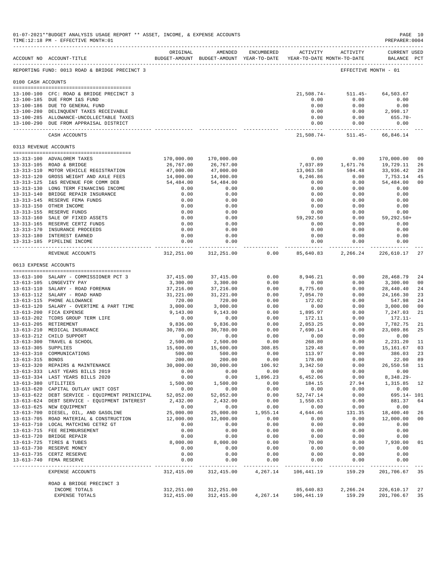| 01-07-2021**BUDGET ANALYSIS USAGE REPORT ** ASSET, INCOME, & EXPENSE ACCOUNTS<br>PAGE 10<br>PREPARER: 0004<br>TIME:12:18 PM - EFFECTIVE MONTH:01 |                                                                                                |                       |                       |                         |                       |                                                                                          |                                    |                      |
|--------------------------------------------------------------------------------------------------------------------------------------------------|------------------------------------------------------------------------------------------------|-----------------------|-----------------------|-------------------------|-----------------------|------------------------------------------------------------------------------------------|------------------------------------|----------------------|
|                                                                                                                                                  | ACCOUNT NO ACCOUNT-TITLE                                                                       | ORIGINAL              |                       | AMENDED ENCUMBERED      |                       | ACTIVITY ACTIVITY<br>BUDGET-AMOUNT BUDGET-AMOUNT YEAR-TO-DATE YEAR-TO-DATE MONTH-TO-DATE | <b>CURRENT USED</b><br>BALANCE PCT |                      |
|                                                                                                                                                  | REPORTING FUND: 0013 ROAD & BRIDGE PRECINCT 3                                                  |                       |                       |                         |                       |                                                                                          | EFFECTIVE MONTH - 01               |                      |
| 0100 CASH ACCOUNTS                                                                                                                               |                                                                                                |                       |                       |                         |                       |                                                                                          |                                    |                      |
|                                                                                                                                                  | 13-100-100 CFC: ROAD & BRIDGE PRECINCT 3                                                       |                       |                       |                         |                       | $21,508.74 - 511.45 - 64,503.67$                                                         |                                    |                      |
|                                                                                                                                                  | 13-100-185 DUE FROM I&S FUND                                                                   |                       |                       |                         | 0.00                  | 0.00                                                                                     | 0.00                               |                      |
|                                                                                                                                                  | 13-100-186 DUE TO GENERAL FUND<br>13-100-280 DELINQUENT TAXES RECEIVABLE                       |                       |                       |                         | 0.00<br>0.00          | 0.00                                                                                     | 0.00<br>$0.00$ 2,998.17            |                      |
|                                                                                                                                                  | 13-100-285 ALLOWANCE-UNCOLLECTABLE TAXES                                                       |                       |                       |                         | 0.00                  | 0.00                                                                                     | $655.70 -$                         |                      |
|                                                                                                                                                  | 13-100-290 DUE FROM APPRAISAL DISTRICT                                                         |                       |                       |                         |                       | 0.00<br>0.00                                                                             | 0.00<br>______________             |                      |
|                                                                                                                                                  | CASH ACCOUNTS                                                                                  |                       |                       |                         |                       | 21,508.74- 511.45- 66,846.14                                                             |                                    |                      |
|                                                                                                                                                  | 0313 REVENUE ACCOUNTS                                                                          |                       |                       |                         |                       |                                                                                          |                                    |                      |
|                                                                                                                                                  | 13-313-100 ADVALOREM TAXES                                                                     | 170,000.00            | 170,000.00            |                         | 0.00                  | 0.00                                                                                     | 170,000.00                         | 0 <sub>0</sub>       |
|                                                                                                                                                  | 13-313-105 ROAD & BRIDGE                                                                       | 26,767.00             | 26,767.00             |                         |                       | 7,037.89  1,671.76  19,729.11                                                            |                                    | 26                   |
|                                                                                                                                                  | 13-313-110 MOTOR VEHICLE REGISTRATION                                                          | 47,000.00             | 47,000.00             |                         | 13,063.58             | 594.48                                                                                   | 33,936.42                          | 28                   |
|                                                                                                                                                  | 13-313-120 GROSS WEIGHT AND AXLE FEES                                                          | 14,000.00             | 14,000.00             |                         | 6,246.86              | 0.00                                                                                     | 7,753.14                           | 45                   |
|                                                                                                                                                  | 13-313-125 I&S REVENUE FOR COMM DEB                                                            | 54,484.00             | 54,484.00             |                         | 0.00                  | 0.00                                                                                     | 54,484.00                          | 0 <sub>0</sub>       |
|                                                                                                                                                  | 13-313-130 LONG TERM FINANCING INCOME                                                          | 0.00                  | 0.00                  |                         | 0.00                  | 0.00                                                                                     | 0.00                               |                      |
|                                                                                                                                                  | 13-313-140 BRIDGE REPAIR INSURANCE<br>13-313-145 RESERVE FEMA FUNDS                            | 0.00<br>0.00          | 0.00<br>0.00          |                         | 0.00<br>0.00          | 0.00<br>0.00                                                                             | 0.00<br>0.00                       |                      |
|                                                                                                                                                  | 13-313-150 OTHER INCOME                                                                        | 0.00                  | 0.00                  |                         | 0.00                  | 0.00                                                                                     | 0.00                               |                      |
|                                                                                                                                                  | 13-313-155 RESERVE FUNDS                                                                       | 0.00                  | 0.00                  |                         | 0.00                  | 0.00                                                                                     | 0.00                               |                      |
|                                                                                                                                                  | 13-313-160 SALE OF FIXED ASSETS                                                                | 0.00                  | 0.00                  |                         | 59,292.50             | 0.00                                                                                     | 59,292.50+                         |                      |
|                                                                                                                                                  | 13-313-165 RESERVE CERTZ FUNDS                                                                 | 0.00                  | 0.00                  |                         | 0.00                  | 0.00                                                                                     | 0.00                               |                      |
|                                                                                                                                                  | 13-313-170 INSURANCE PROCEEDS<br>13-313-180 INTEREST EARNED                                    | 0.00<br>0.00          | 0.00<br>0.00          |                         | 0.00<br>0.00          | 0.00<br>0.00                                                                             | 0.00<br>0.00                       |                      |
|                                                                                                                                                  | 13-313-185 PIPELINE INCOME                                                                     | 0.00                  | 0.00                  |                         | 0.00                  | 0.00                                                                                     | 0.00                               |                      |
|                                                                                                                                                  | REVENUE ACCOUNTS                                                                               | 312,251.00 312,251.00 |                       | ---------------<br>0.00 |                       | 85,640.83 2,266.24 226,610.17                                                            |                                    | 27                   |
|                                                                                                                                                  | 0613 EXPENSE ACCOUNTS                                                                          |                       |                       |                         |                       |                                                                                          |                                    |                      |
|                                                                                                                                                  | --------------------------------------                                                         |                       |                       |                         |                       |                                                                                          |                                    |                      |
|                                                                                                                                                  | 13-613-100 SALARY - COMMISSIONER PCT 3<br>13-613-105 LONGEVITY PAY                             | 37,415.00<br>3,300.00 | 37,415.00<br>3,300.00 | 0.00<br>0.00            | 8,946.21<br>0.00      | 0.00<br>0.00                                                                             | 28,468.79<br>3,300.00              | 24<br>0 <sub>0</sub> |
|                                                                                                                                                  | 13-613-110 SALARY - ROAD FOREMAN                                                               | 37,216.00             | 37,216.00             | 0.00                    | 8,775.60              | 0.00                                                                                     | 28,440.40                          | 24                   |
|                                                                                                                                                  | 13-613-112 SALARY - ROAD HAND                                                                  | 31,221.00             | 31,221.00             | 0.00                    | 7,054.70              | 0.00                                                                                     | 24, 166. 30                        | 23                   |
|                                                                                                                                                  | 13-613-115 PHONE ALLOWANCE                                                                     | 720.00                | 720.00                | 0.00                    | 172.02                | 0.00                                                                                     | 547.98                             | 24                   |
|                                                                                                                                                  | 13-613-120 SALARY - OVERTIME & PART TIME                                                       | 3,000.00              | 3,000.00              | 0.00                    | 0.00                  | 0.00                                                                                     | 3,000.00                           | 0 <sub>0</sub>       |
|                                                                                                                                                  | 13-613-200 FICA EXPENSE                                                                        | 9,143.00              | 9,143.00              | 0.00                    | 1,895.97              | 0.00                                                                                     | 7,247.03                           | 21                   |
|                                                                                                                                                  | 13-613-202 TCDRS GROUP TERM LIFE<br>13-613-205 RETIREMENT                                      | 0.00<br>9,836.00      | 0.00<br>9,836.00      | 0.00<br>0.00            | 172.11<br>2,053.25    | 0.00<br>0.00                                                                             | 172.11-<br>7,782.75                | 21                   |
|                                                                                                                                                  | 13-613-210 MEDICAL INSURANCE                                                                   | 30,780.00             | 30,780.00             | 0.00                    | 7,690.14              | 0.00                                                                                     | 23,089.86                          | 25                   |
|                                                                                                                                                  | 13-613-212 CHILD SUPPORT                                                                       | 0.00                  | 0.00                  | 0.00                    | $0.00$<br>$268.80$    | 0.00                                                                                     | 0.00                               |                      |
|                                                                                                                                                  | 13-613-300 TRAVEL & SCHOOL                                                                     | 2,500.00              | 2,500.00              | 0.00                    |                       | 0.00                                                                                     | 2,231.20                           | 11                   |
| 13-613-305 SUPPLIES                                                                                                                              |                                                                                                | 15,600.00             | 15,600.00             | 308.85                  | 129.48                | 0.00                                                                                     | 15,161.67                          | 03                   |
| 13-613-315 BONDS                                                                                                                                 | 13-613-310 COMMUNICATIONS                                                                      | 500.00<br>200.00      | 500.00<br>200.00      | 0.00<br>0.00            | 113.97<br>178.00      | 0.00<br>0.00                                                                             | 386.03<br>22.00                    | 23<br>89             |
|                                                                                                                                                  | 13-613-320 REPAIRS & MAINTENANCE                                                               | 30,000.00             | 30,000.00             | 106.92                  | 3,342.50              | 0.00                                                                                     | 26,550.58                          | 11                   |
|                                                                                                                                                  | 13-613-333 LAST YEARS BILLS 2019                                                               | 0.00                  | 0.00                  | 0.00                    | 0.00                  | 0.00                                                                                     | 0.00                               |                      |
|                                                                                                                                                  | 13-613-334 LAST YEARS BILLS 2020                                                               | 0.00                  | 0.00                  | 1,896.23                | 6,452.06              | 0.00                                                                                     | $8,348.29-$                        |                      |
|                                                                                                                                                  | 13-613-380 UTILITIES                                                                           | 1,500.00              | 1,500.00              | 0.00                    | 184.15                | 27.94                                                                                    | 1,315.85                           | 12                   |
|                                                                                                                                                  | 13-613-620 CAPITAL OUTLAY UNIT COST                                                            | 0.00                  | 0.00                  | 0.00                    | 0.00                  | 0.00                                                                                     | 0.00                               |                      |
|                                                                                                                                                  | 13-613-622 DEBT SERVICE - EQUIPMENT PRINICIPAL<br>13-613-624 DEBT SERVICE - EQUIPMENT INTEREST | 52,052.00<br>2,432.00 | 52,052.00<br>2,432.00 | 0.00<br>0.00            | 52,747.14<br>1,550.63 | 0.00<br>0.00                                                                             | 695.14- 101<br>881.37              | 64                   |
|                                                                                                                                                  | 13-613-625 NEW EQUIPMENT                                                                       | 0.00                  | 0.00                  | 0.00                    | 0.00                  | 0.00                                                                                     | 0.00                               |                      |
|                                                                                                                                                  | 13-613-700 DIESEL, OIL, AND GASOLINE                                                           | 25,000.00             | 25,000.00             | 1,955.14                | 4,644.46              | 131.35                                                                                   | 18,400.40                          | 26                   |
|                                                                                                                                                  | 13-613-705 ROAD MATERIAL & CONSTRUCTION                                                        | 12,000.00             | 12,000.00             | 0.00                    | 0.00                  | 0.00                                                                                     | 12,000.00                          | 0 <sub>0</sub>       |
|                                                                                                                                                  | 13-613-710 LOCAL MATCHING CETRZ GT                                                             | 0.00                  | 0.00                  | 0.00                    | 0.00                  | 0.00                                                                                     | 0.00                               |                      |
|                                                                                                                                                  | 13-613-715 FEE REIMBURSEMENT                                                                   | 0.00                  | 0.00                  | 0.00                    | 0.00                  | 0.00                                                                                     | 0.00                               |                      |
|                                                                                                                                                  | 13-613-720 BRIDGE REPAIR<br>13-613-725 TIRES & TUBES                                           | 0.00<br>8,000.00      | 0.00<br>8,000.00      | 0.00<br>0.00            | 0.00<br>70.00         | 0.00<br>0.00                                                                             | 0.00<br>7,930.00                   | 01                   |
|                                                                                                                                                  | 13-613-730 RESERVE MONEY                                                                       | 0.00                  | 0.00                  | 0.00                    | 0.00                  | 0.00                                                                                     | 0.00                               |                      |
|                                                                                                                                                  | 13-613-735 CERTZ RESERVE                                                                       | 0.00                  | 0.00                  | 0.00                    | 0.00                  | 0.00                                                                                     | 0.00                               |                      |
|                                                                                                                                                  | 13-613-740 FEMA RESERVE                                                                        | 0.00<br>-----         | 0.00                  | 0.00                    | 0.00                  | 0.00                                                                                     | 0.00                               |                      |
|                                                                                                                                                  | EXPENSE ACCOUNTS                                                                               | 312,415.00            | 312,415.00            | 4,267.14                | 106,441.19            | 159.29                                                                                   | 201,706.67                         | 35                   |
|                                                                                                                                                  | ROAD & BRIDGE PRECINCT 3                                                                       |                       |                       |                         |                       |                                                                                          |                                    |                      |
|                                                                                                                                                  | INCOME TOTALS                                                                                  | 312,251.00            | 312,251.00            |                         | 85,640.83             | 2,266.24                                                                                 | 226,610.17                         | 27                   |
|                                                                                                                                                  | EXPENSE TOTALS                                                                                 | 312,415.00            | 312,415.00            | 4,267.14                | 106,441.19            | 159.29                                                                                   | 201,706.67                         | 35                   |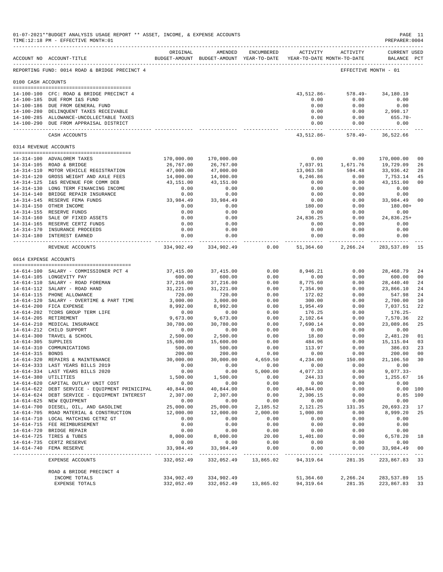|                     | 01-07-2021**BUDGET ANALYSIS USAGE REPORT ** ASSET, INCOME, & EXPENSE ACCOUNTS<br>TIME:12:18 PM - EFFECTIVE MONTH:01<br>___________________________________ |                     |                                                                                |                      |                             |                                                 | PREPARER: 0004                                                                                                                    | PAGE 11        |
|---------------------|------------------------------------------------------------------------------------------------------------------------------------------------------------|---------------------|--------------------------------------------------------------------------------|----------------------|-----------------------------|-------------------------------------------------|-----------------------------------------------------------------------------------------------------------------------------------|----------------|
|                     | ACCOUNT NO ACCOUNT-TITLE                                                                                                                                   | ORIGINAL            | AMENDED<br>BUDGET-AMOUNT BUDGET-AMOUNT YEAR-TO-DATE YEAR-TO-DATE MONTH-TO-DATE | ENCUMBERED           |                             | ACTIVITY ACTIVITY                               | <b>CURRENT USED</b><br>BALANCE PCT                                                                                                |                |
|                     | REPORTING FUND: 0014 ROAD & BRIDGE PRECINCT 4                                                                                                              |                     |                                                                                |                      |                             |                                                 | EFFECTIVE MONTH - 01                                                                                                              |                |
| 0100 CASH ACCOUNTS  |                                                                                                                                                            |                     |                                                                                |                      |                             |                                                 |                                                                                                                                   |                |
|                     | 14-100-100 CFC: ROAD & BRIDGE PRECINCT 4                                                                                                                   |                     |                                                                                |                      |                             | 43, 512.86 - 578.49 -                           | 34,180.19                                                                                                                         |                |
|                     | 14-100-185 DUE FROM I&S FUND                                                                                                                               |                     |                                                                                |                      | 0.00                        | 0.00                                            | 0.00                                                                                                                              |                |
|                     | 14-100-186 DUE FROM GENERAL FUND                                                                                                                           |                     |                                                                                |                      | 0.00                        | 0.00                                            | 0.00                                                                                                                              |                |
|                     | 14-100-280 DELINQUENT TAXES RECEIVABLE                                                                                                                     |                     |                                                                                |                      | 0.00                        | 0.00                                            | 2,998.17                                                                                                                          |                |
|                     | 14-100-285 ALLOWANCE-UNCOLLECTABLE TAXES<br>14-100-290 DUE FROM APPRAISAL DISTRICT                                                                         |                     |                                                                                |                      | 0.00<br>0.00                | 0.00<br>0.00                                    | $655.70 -$<br>0.00                                                                                                                |                |
|                     | CASH ACCOUNTS                                                                                                                                              |                     |                                                                                |                      | ------------                | -----------<br>43, 512.86 - 578.49 - 36, 522.66 | ------------                                                                                                                      |                |
|                     | 0314 REVENUE ACCOUNTS                                                                                                                                      |                     |                                                                                |                      |                             |                                                 |                                                                                                                                   |                |
|                     | 14-314-100 ADVALOREM TAXES                                                                                                                                 | 170,000.00          | 170,000.00                                                                     |                      | 0.00                        | 0.00                                            | 170,000.00                                                                                                                        | 0 <sub>0</sub> |
|                     | 14-314-105 ROAD & BRIDGE                                                                                                                                   | 26,767.00           | 26,767.00                                                                      |                      | 7,037.91                    | 1,671.76                                        | 19,729.09                                                                                                                         | 26             |
|                     | 14-314-110 MOTOR VEHICLE REGISTRATION                                                                                                                      | 47,000.00           | 47,000.00                                                                      |                      | 13,063.58                   | 594.48                                          | 33,936.42                                                                                                                         | 28             |
|                     | 14-314-120 GROSS WEIGHT AND AXLE FEES                                                                                                                      | 14,000.00           | 14,000.00                                                                      |                      | 6,246.86                    | 0.00                                            | 7,753.14                                                                                                                          | 45             |
|                     | 14-314-125 I&S REVENUE FOR COMM DEB                                                                                                                        | 43,151.00           | 43,151.00                                                                      |                      | 0.00                        | 0.00                                            | 43,151.00                                                                                                                         | 0 <sub>0</sub> |
|                     | 14-314-130 LONG TERM FINANCING INCOME                                                                                                                      | 0.00                | 0.00                                                                           |                      | 0.00                        | 0.00                                            | 0.00                                                                                                                              |                |
|                     | 14-314-140 BRIDGE REPAIR INSURANCE<br>14-314-145 RESERVE FEMA FUNDS                                                                                        | 0.00<br>33,984.49   | 0.00<br>33,984.49                                                              |                      | 0.00<br>0.00                |                                                 | $\begin{array}{ccc} 0\, . \, 0 \, 0 & 0\, . \, 0 \, 0 \\ 0\, . \, 0 \, 0 & 3 \, 3 \, , \, 9 \, 8 \, 4 \, . \, 4 \, 9 \end{array}$ | 0 <sub>0</sub> |
|                     | 14-314-150 OTHER INCOME                                                                                                                                    | 0.00                | 0.00                                                                           |                      | 180.00                      | 0.00                                            | 180.00+                                                                                                                           |                |
|                     | 14-314-155 RESERVE FUNDS                                                                                                                                   | 0.00                | 0.00                                                                           |                      | 0.00                        | 0.00                                            | 0.00                                                                                                                              |                |
|                     | 14-314-160 SALE OF FIXED ASSETS                                                                                                                            | 0.00                | 0.00                                                                           |                      | 24,836.25                   | 0.00                                            | 24,836.25+                                                                                                                        |                |
|                     | 14-314-165 RESERVE CERTZ FUNDS                                                                                                                             | 0.00                | 0.00                                                                           |                      | 0.00                        | 0.00                                            | 0.00                                                                                                                              |                |
|                     | 14-314-170 INSURANCE PROCEEDS<br>14-314-180 INTEREST EARNED                                                                                                | 0.00<br>0.00        | 0.00<br>0.00                                                                   |                      | 0.00                        | 0.00<br>0.00<br>0.00                            | 0.00<br>0.00                                                                                                                      |                |
|                     | REVENUE ACCOUNTS                                                                                                                                           | --------------      | ------------<br>334,902.49 334,902.49                                          | 0.00                 | --------------<br>51,364.60 | 2,266.24                                        | ------------<br>283,537.89                                                                                                        | 15             |
|                     | 0614 EXPENSE ACCOUNTS                                                                                                                                      |                     |                                                                                |                      |                             |                                                 |                                                                                                                                   |                |
|                     | 14-614-100 SALARY - COMMISSIONER PCT 4                                                                                                                     | 37,415.00           | 37,415.00                                                                      | 0.00                 | 8,946.21                    | 0.00                                            | 28,468.79                                                                                                                         | 24             |
|                     | 14-614-105 LONGEVITY PAY                                                                                                                                   | 600.00              | 600.00                                                                         | 0.00                 | 0.00                        | 0.00                                            | 600.00                                                                                                                            | 0 <sub>0</sub> |
|                     | 14-614-110 SALARY - ROAD FOREMAN                                                                                                                           | 37,216.00           | 37,216.00                                                                      | 0.00                 | 8,775.60                    | 0.00                                            | 28,440.40                                                                                                                         | 24             |
|                     | 14-614-112 SALARY - ROAD HAND                                                                                                                              | 31,221.00           | 31,221.00                                                                      | 0.00                 | 7,354.90                    | 0.00                                            | 23,866.10                                                                                                                         | 24             |
|                     | 14-614-115 PHONE ALLOWANCE                                                                                                                                 | 720.00              | 720.00                                                                         | 0.00                 | 172.02                      | 0.00                                            | 547.98                                                                                                                            | 24             |
|                     | 14-614-120 SALARY - OVERTIME & PART TIME                                                                                                                   | 3,000.00            | 3,000.00                                                                       | 0.00                 | 300.00                      | 0.00                                            | 2,700.00                                                                                                                          | 10             |
|                     | 14-614-200 FICA EXPENSE<br>14-614-202 TCDRS GROUP TERM LIFE                                                                                                | 8,992.00<br>0.00    | 8,992.00<br>0.00                                                               | 0.00<br>0.00         | 1,954.49<br>176.25          | 0.00<br>0.00                                    | 7,037.51<br>$176.25-$                                                                                                             | 22             |
|                     | 14-614-205 RETIREMENT                                                                                                                                      | 9,673.00            | 9,673.00                                                                       | 0.00                 | 2,102.64                    | 0.00                                            | 7,570.36                                                                                                                          | 22             |
|                     | 14-614-210 MEDICAL INSURANCE                                                                                                                               | 30,780.00           | 30,780.00                                                                      | 0.00                 | 7,690.14                    | 0.00                                            | 23,089.86                                                                                                                         | 25             |
|                     | 14-614-212 CHILD SUPPORT                                                                                                                                   | 0.00                | 0.00                                                                           | 0.00                 | 0.00                        | 0.00                                            | 0.00                                                                                                                              |                |
|                     | 14-614-300 TRAVEL & SCHOOL                                                                                                                                 | 2,500.00            | 2,500.00                                                                       | 0.00                 | 18.80                       | 0.00                                            | 2,481.20                                                                                                                          | 01             |
| 14-614-305 SUPPLIES |                                                                                                                                                            | 15,600.00           | 15,600.00                                                                      | 0.00                 | 484.96                      | 0.00                                            | 15, 115.04                                                                                                                        | 03             |
|                     | 14-614-310 COMMUNICATIONS                                                                                                                                  | 500.00              | 500.00                                                                         | 0.00                 | 113.97                      | 0.00                                            | 386.03                                                                                                                            | 23             |
| 14-614-315 BONDS    | 14-614-320 REPAIRS & MAINTENANCE                                                                                                                           | 200.00<br>30,000.00 | 200.00<br>30,000.00                                                            | 0.00<br>4,659.50     | 0.00<br>4,234.00            | 0.00<br>150.00                                  | 200.00<br>21,106.50 30                                                                                                            | 0 <sub>0</sub> |
|                     | 14-614-333 LAST YEARS BILLS 2019                                                                                                                           | 0.00                | 0.00                                                                           | 0.00                 | 0.00                        | 0.00                                            | 0.00                                                                                                                              |                |
|                     | 14-614-334 LAST YEARS BILLS 2020                                                                                                                           | 0.00                | 0.00                                                                           | 5,000.00             | 4,077.33                    | 0.00                                            | $9,077.33 -$                                                                                                                      |                |
|                     | 14-614-380 UTILITIES                                                                                                                                       | 1,500.00            | 1,500.00                                                                       | 0.00                 | 244.33                      | 0.00                                            | 1,255.67 16                                                                                                                       |                |
|                     | 14-614-620 CAPITAL OUTLAY UNIT COST                                                                                                                        | 0.00                | 0.00                                                                           | 0.00                 | 0.00                        | 0.00                                            | 0.00                                                                                                                              |                |
|                     | 14-614-622 DEBT SERVICE - EQUIPMENT PRINICIPAL                                                                                                             | 40,844.00           | 40,844.00                                                                      | 0.00                 | 40,844.00                   | 0.00                                            |                                                                                                                                   | 0.00 100       |
|                     | 14-614-624 DEBT SERVICE - EQUIPMENT INTEREST                                                                                                               | 2,307.00            | 2,307.00                                                                       | 0.00                 | 2,306.15                    | 0.00                                            |                                                                                                                                   | $0.85$ 100     |
|                     | 14-614-625 NEW EQUIPMENT<br>14-614-700 DIESEL, OIL, AND GASOLINE                                                                                           | 0.00<br>25,000.00   | 0.00<br>25,000.00                                                              | 0.00<br>2,185.52     | 0.00<br>2,121.25            | 0.00<br>131.35                                  | 0.00<br>20,693.23                                                                                                                 | 17             |
|                     | 14-614-705 ROAD MATERIAL & CONSTRUCTION                                                                                                                    | 12,000.00           | 12,000.00                                                                      | 2,000.00             | 1,000.80                    | 0.00                                            | 8,999.20                                                                                                                          | 25             |
|                     | 14-614-710 LOCAL MATCHING CETRZ GT                                                                                                                         | 0.00                | 0.00                                                                           | 0.00                 | 0.00                        | 0.00                                            | 0.00                                                                                                                              |                |
|                     | 14-614-715 FEE REIMBURSEMENT                                                                                                                               | 0.00                | 0.00                                                                           | 0.00                 | 0.00                        | 0.00                                            | 0.00                                                                                                                              |                |
|                     | 14-614-720 BRIDGE REPAIR                                                                                                                                   | 0.00                | 0.00                                                                           | 0.00                 | 0.00                        | 0.00                                            | 0.00                                                                                                                              |                |
|                     | 14-614-725 TIRES & TUBES                                                                                                                                   | 8,000.00            | 8,000.00                                                                       | 20.00                | 1,401.80                    | 0.00                                            | 6,578.20                                                                                                                          | 18             |
|                     | 14-614-735 CERTZ RESERVE<br>14-614-740 FEMA RESERVE                                                                                                        | 0.00<br>33,984.49   | 0.00<br>33,984.49                                                              | 0.00<br>0.00         | 0.00<br>0.00                | 0.00<br>0.00                                    | 0.00<br>33,984.49                                                                                                                 | 0 <sub>0</sub> |
|                     |                                                                                                                                                            |                     |                                                                                |                      | ------------                |                                                 |                                                                                                                                   |                |
|                     | EXPENSE ACCOUNTS                                                                                                                                           | 332,052.49          |                                                                                | 332,052.49 13,865.02 | 94,319.64                   | 281.35                                          | 223,867.83 33                                                                                                                     |                |
|                     | ROAD & BRIDGE PRECINCT 4<br>INCOME TOTALS                                                                                                                  | 334,902.49          | 334,902.49                                                                     |                      | 51,364.60                   | 2,266.24                                        | 283,537.89 15                                                                                                                     |                |
|                     | EXPENSE TOTALS                                                                                                                                             |                     | 332,052.49 332,052.49 13,865.02 94,319.64 281.35                               |                      |                             |                                                 | 223,867.83                                                                                                                        | 33             |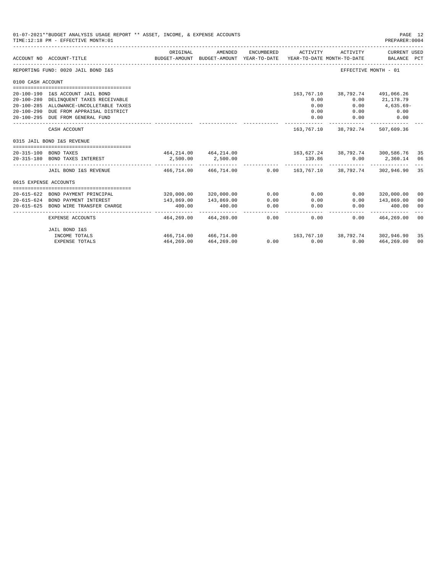|                       | 01-07-2021**BUDGET ANALYSIS USAGE REPORT ** ASSET, INCOME, & EXPENSE ACCOUNTS<br>PAGE 12<br>TIME:12:18 PM - EFFECTIVE MONTH:01<br>PREPARER: 0004 |                          |                                                     |                   |                |                                        |                                           |    |  |  |
|-----------------------|--------------------------------------------------------------------------------------------------------------------------------------------------|--------------------------|-----------------------------------------------------|-------------------|----------------|----------------------------------------|-------------------------------------------|----|--|--|
|                       | ACCOUNT NO ACCOUNT-TITLE                                                                                                                         | ORIGINAL                 | AMENDED<br>BUDGET-AMOUNT BUDGET-AMOUNT YEAR-TO-DATE | ENCUMBERED        | ACTIVITY       | ACTIVITY<br>YEAR-TO-DATE MONTH-TO-DATE | CURRENT USED<br>BALANCE PCT               |    |  |  |
|                       | REPORTING FUND: 0020 JAIL BOND I&S                                                                                                               |                          |                                                     |                   |                |                                        | EFFECTIVE MONTH - 01                      |    |  |  |
| 0100 CASH ACCOUNT     |                                                                                                                                                  |                          |                                                     |                   |                |                                        |                                           |    |  |  |
|                       |                                                                                                                                                  |                          |                                                     |                   |                |                                        |                                           |    |  |  |
|                       | 20-100-190 I&S ACCOUNT JAIL BOND                                                                                                                 |                          |                                                     |                   | 163,767.10     |                                        | 38,792.74 491,066.26                      |    |  |  |
|                       | 20-100-280 DELINQUENT TAXES RECEIVABLE                                                                                                           |                          |                                                     |                   | 0.00           | 0.00                                   | 21,178.79                                 |    |  |  |
|                       | 20-100-285 ALLOWANCE-UNCOLLETABLE TAXES                                                                                                          |                          |                                                     |                   | 0.00           | 0.00                                   | 4,635.69-                                 |    |  |  |
|                       | 20-100-290 DUE FROM APPRAISAL DISTRICT                                                                                                           |                          |                                                     |                   | 0.00           | 0.00                                   | 0.00                                      |    |  |  |
|                       | 20-100-295 DUE FROM GENERAL FUND                                                                                                                 |                          |                                                     |                   | 0.00           | 0.00                                   | 0.00                                      |    |  |  |
|                       | CASH ACCOUNT                                                                                                                                     |                          |                                                     |                   |                | 163, 767, 10 38, 792, 74 507, 609, 36  |                                           |    |  |  |
|                       | 0315 JAIL BOND I&S REVENUE                                                                                                                       |                          |                                                     |                   |                |                                        |                                           |    |  |  |
|                       |                                                                                                                                                  |                          |                                                     |                   |                |                                        |                                           |    |  |  |
|                       | 20-315-100 BOND TAXES                                                                                                                            |                          |                                                     |                   |                |                                        |                                           |    |  |  |
|                       | 20-315-180 BOND TAXES INTEREST                                                                                                                   | 2,500.00                 | 2,500.00                                            |                   | 139.86         | _______________________________        | $0.00$ 2,360.14 06                        |    |  |  |
|                       | JAIL BOND I&S REVENUE                                                                                                                            |                          | 466,714.00 466,714.00                               |                   |                |                                        | $0.00$ 163,767.10 38,792.74 302,946.90 35 |    |  |  |
| 0615 EXPENSE ACCOUNTS |                                                                                                                                                  |                          |                                                     |                   |                |                                        |                                           |    |  |  |
|                       |                                                                                                                                                  |                          |                                                     |                   |                |                                        |                                           |    |  |  |
|                       | 20-615-622 BOND PAYMENT PRINCIPAL                                                                                                                |                          | 320,000.00 320,000.00                               | 0.00              | 0.00           | 0.00                                   | 320,000.00                                | 00 |  |  |
|                       | 20-615-624 BOND PAYMENT INTEREST                                                                                                                 | 143,869.00               | 143,869.00                                          | 0.00              | 0.00           | 0.00                                   | 143,869.00                                | 00 |  |  |
| $20 - 615 - 625$      | BOND WIRE TRANSFER CHARGE                                                                                                                        | 400.00<br>-------------- | 400.00                                              | 0.00<br>and a man | 0.00<br>------ | 0.00                                   | 400.00                                    | 00 |  |  |
|                       | EXPENSE ACCOUNTS                                                                                                                                 | 464,269.00               | 464,269.00                                          | 0.00              | 0.00           | 0.00                                   | 464,269.00                                | 00 |  |  |
|                       | JAIL BOND I&S                                                                                                                                    |                          |                                                     |                   |                |                                        |                                           |    |  |  |
|                       | INCOME TOTALS                                                                                                                                    |                          | 466,714.00 466,714.00                               |                   |                |                                        | 163,767.10 38,792.74 302,946.90           | 35 |  |  |
|                       | <b>EXPENSE TOTALS</b>                                                                                                                            | 464,269.00               | 464,269.00                                          |                   | $0.00$ $0.00$  | 0.00                                   | 464,269.00                                | 00 |  |  |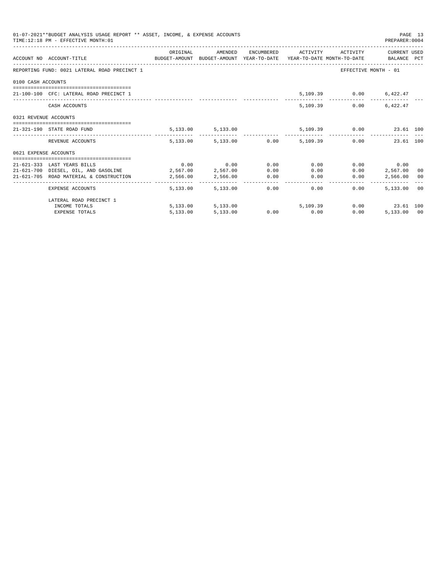|                       | 01-07-2021**BUDGET ANALYSIS USAGE REPORT ** ASSET, INCOME, & EXPENSE ACCOUNTS<br>TIME: 12:18 PM - EFFECTIVE MONTH: 01 |          |                                                |      |                                           |      | PREPARER:0004           | PAGE 13 |
|-----------------------|-----------------------------------------------------------------------------------------------------------------------|----------|------------------------------------------------|------|-------------------------------------------|------|-------------------------|---------|
|                       | ACCOUNT NO ACCOUNT-TITLE CONTROL SUDGET-AMOUNT BUDGET-AMOUNT YEAR-TO-DATE YEAR-TO-DATE MONTH-TO-DATE BALANCE PCT      | ORIGINAL | AMENDED                                        |      | ENCUMBERED ACTIVITY ACTIVITY CURRENT USED |      |                         |         |
|                       | REPORTING FUND: 0021 LATERAL ROAD PRECINCT 1                                                                          |          |                                                |      |                                           |      | EFFECTIVE MONTH - 01    |         |
| 0100 CASH ACCOUNTS    |                                                                                                                       |          |                                                |      |                                           |      |                         |         |
|                       | 21-100-100 CFC: LATERAL ROAD PRECINCT 1                                                                               |          |                                                |      |                                           |      | 5,109.39 0.00 6,422.47  |         |
|                       | CASH ACCOUNTS                                                                                                         |          |                                                |      | 5, 109, 39                                | 0.00 | 6.422.47                |         |
| 0321 REVENUE ACCOUNTS |                                                                                                                       |          |                                                |      |                                           |      |                         |         |
|                       | 21-321-190 STATE ROAD FUND                                                                                            |          | 5, 133.00 5, 133.00                            |      |                                           |      | 5,109.39 0.00 23.61 100 |         |
|                       | REVENUE ACCOUNTS                                                                                                      |          | 5,133.00 5,133.00 0.00 5,109.39 0.00 23.61 100 |      |                                           |      |                         |         |
| 0621 EXPENSE ACCOUNTS |                                                                                                                       |          |                                                |      |                                           |      |                         |         |
|                       | 21-621-333 LAST YEARS BILLS                                                                                           |          | $0.00$ 0.00                                    | 0.00 | 0.00                                      |      | $0.00$ 0.00             |         |
|                       | 21-621-700 DIESEL, OIL, AND GASOLINE 2,567.00 2,567.00                                                                |          |                                                | 0.00 | 0.00                                      | 0.00 | 2,567,00 00             |         |
|                       | 21-621-705 ROAD MATERIAL & CONSTRUCTION 2,566.00 2,566.00                                                             |          |                                                | 0.00 | 0.00                                      | 0.00 | 2,566.00 00             |         |
|                       | EXPENSE ACCOUNTS                                                                                                      |          | 5,133,00 5,133,00                              |      | $0.00$ and $0.00$<br>0.00                 | 0.00 | 5,133.00 00             |         |
|                       | LATERAL ROAD PRECINCT 1                                                                                               |          |                                                |      |                                           |      |                         |         |
|                       | INCOME TOTALS                                                                                                         |          | 5,133.00 5,133.00                              |      | 5,109,39                                  |      | $0.00$ 23.61 100        |         |
|                       | <b>EXPENSE TOTALS</b>                                                                                                 | 5,133.00 | 5,133.00                                       |      | $0.00$ 0.00                               | 0.00 | 5,133.00 00             |         |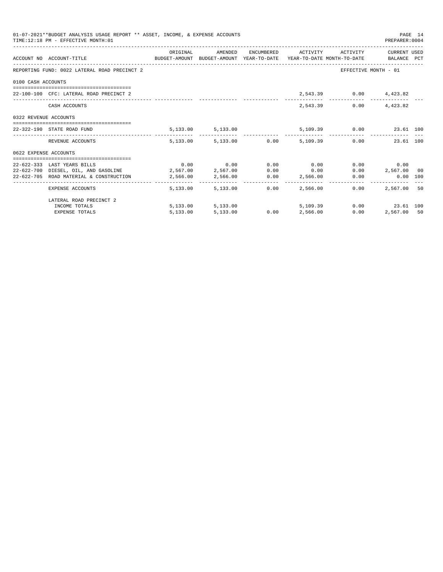|                       | 01-07-2021**BUDGET ANALYSIS USAGE REPORT ** ASSET, INCOME, & EXPENSE ACCOUNTS<br>TIME:12:18 PM - EFFECTIVE MONTH:01 |          |                             |      |                                                           |      | PREPARER:0004          | PAGE 14 |
|-----------------------|---------------------------------------------------------------------------------------------------------------------|----------|-----------------------------|------|-----------------------------------------------------------|------|------------------------|---------|
|                       | ACCOUNT NO ACCOUNT-TITLE CONTROL BUDGET-AMOUNT BUDGET-AMOUNT YEAR-TO-DATE YEAR-TO-DATE MONTH-TO-DATE BALANCE PCT    |          |                             |      | ORIGINAL AMENDED ENCUMBERED ACTIVITY ACTIVITY CURRENTUSED |      |                        |         |
|                       | REPORTING FUND: 0022 LATERAL ROAD PRECINCT 2                                                                        |          |                             |      |                                                           |      | EFFECTIVE MONTH - 01   |         |
| 0100 CASH ACCOUNTS    |                                                                                                                     |          |                             |      |                                                           |      |                        |         |
|                       | 22-100-100 CFC: LATERAL ROAD PRECINCT 2                                                                             |          |                             |      |                                                           |      | 2,543.39 0.00 4,423.82 |         |
|                       | CASH ACCOUNTS                                                                                                       |          |                             |      | 2,543.39                                                  | 0.00 | 4,423.82               |         |
| 0322 REVENUE ACCOUNTS |                                                                                                                     |          |                             |      |                                                           |      |                        |         |
|                       | 22-322-190 STATE ROAD FUND                                                                                          |          |                             |      | 5,133.00 5,133.00 5,109.39 0.00 23.61 100                 |      |                        |         |
|                       | REVENUE ACCOUNTS                                                                                                    |          |                             |      | 5,133.00 5,133.00 0.00 5,109.39 0.00 23.61 100            |      |                        |         |
| 0622 EXPENSE ACCOUNTS |                                                                                                                     |          |                             |      |                                                           |      |                        |         |
|                       |                                                                                                                     |          |                             |      |                                                           |      |                        |         |
|                       | 22-622-333 LAST YEARS BILLS                                                                                         |          | $0.00$ $0.00$ $0.00$ $0.00$ |      | 0.00                                                      |      | 0.00<br>0.00           |         |
|                       | 22-622-700 DIESEL, OIL, AND GASOLINE 2,567.00 2,567.00                                                              |          |                             |      | $0.00$ 0.00                                               |      | $0.00$ 2,567.00 00     |         |
|                       | 22-622-705 ROAD MATERIAL & CONSTRUCTION 2,566.00 2,566.00 0.00 2,566.00                                             |          |                             |      |                                                           |      | $0.00$ $0.00$ $100$    |         |
|                       | EXPENSE ACCOUNTS                                                                                                    |          | 5,133,00 5,133,00           | 0.00 | 2,566.00                                                  | 0.00 | 2,567,00 50            |         |
|                       | LATERAL ROAD PRECINCT 2                                                                                             |          |                             |      |                                                           |      |                        |         |
|                       | INCOME TOTALS                                                                                                       |          | 5,133.00 5,133.00           |      | 5,109.39                                                  |      | $0.00$ 23.61 100       |         |
|                       | <b>EXPENSE TOTALS</b>                                                                                               | 5,133.00 | 5,133.00                    |      | $0.00$ $2,566.00$                                         | 0.00 | 2,567.00 50            |         |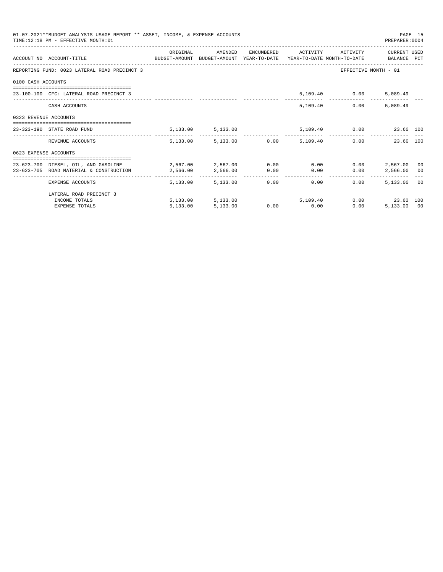|                       | 01-07-2021**BUDGET ANALYSIS USAGE REPORT ** ASSET, INCOME, & EXPENSE ACCOUNTS<br>PAGE 15<br>TIME:12:18 PM - EFFECTIVE MONTH:01<br>PREPARER: 0004 |            |                        |  |                                      |                               |                                              |  |  |  |
|-----------------------|--------------------------------------------------------------------------------------------------------------------------------------------------|------------|------------------------|--|--------------------------------------|-------------------------------|----------------------------------------------|--|--|--|
|                       |                                                                                                                                                  | ORIGINAL   | AMENDED                |  |                                      | ENCUMBERED ACTIVITY ACTIVITY  | CURRENT USED                                 |  |  |  |
|                       | ACCOUNT NO ACCOUNT-TITLE CONTROL SUDGET-AMOUNT BUDGET-AMOUNT YEAR-TO-DATE YEAR-TO-DATE MONTH-TO-DATE BALANCE PCT                                 |            |                        |  |                                      |                               |                                              |  |  |  |
|                       | REPORTING FUND: 0023 LATERAL ROAD PRECINCT 3                                                                                                     |            |                        |  |                                      |                               | EFFECTIVE MONTH - 01                         |  |  |  |
| 0100 CASH ACCOUNTS    |                                                                                                                                                  |            |                        |  |                                      |                               |                                              |  |  |  |
|                       | 23-100-100 CFC: LATERAL ROAD PRECINCT 3                                                                                                          |            |                        |  |                                      | 5,109.40 0.00                 | 5,089.49                                     |  |  |  |
|                       | CASH ACCOUNTS                                                                                                                                    |            |                        |  |                                      | 5,109.40<br>0.00              | 5,089.49                                     |  |  |  |
| 0323 REVENUE ACCOUNTS |                                                                                                                                                  |            |                        |  |                                      |                               |                                              |  |  |  |
|                       | 23-323-190 STATE ROAD FUND                                                                                                                       |            | 5, 133.00 5, 133.00    |  |                                      | 5,109.40   0.00   23.60   100 |                                              |  |  |  |
|                       | REVENUE ACCOUNTS                                                                                                                                 |            | 5,133.00 5,133.00 0.00 |  | 5,109.40                             |                               | 0.00<br>23.60 100                            |  |  |  |
| 0623 EXPENSE ACCOUNTS |                                                                                                                                                  |            |                        |  |                                      |                               |                                              |  |  |  |
|                       | 23-623-700 DIESEL, OIL, AND GASOLINE $2.567.00$ $2.567.00$ $0.00$ $0.00$ $0.00$                                                                  |            |                        |  |                                      |                               | $0.00$ 2.567.00 00                           |  |  |  |
|                       | 23-623-705 ROAD MATERIAL & CONSTRUCTION 2,566.00                                                                                                 |            | 2,566.00 0.00          |  | 0.00                                 | 0.00                          | 2,566.00 00                                  |  |  |  |
|                       | EXPENSE ACCOUNTS                                                                                                                                 | -------- - | 5,133,00 5,133,00      |  | ---------------<br>$0.00$ and $0.00$ | 0.00<br>0.00                  | -----------------------------<br>5,133.00 00 |  |  |  |
|                       | LATERAL ROAD PRECINCT 3                                                                                                                          |            |                        |  |                                      |                               |                                              |  |  |  |
|                       | INCOME TOTALS                                                                                                                                    |            | 5,133.00 5,133.00      |  | 5,109,40                             |                               | $0.00$ 23.60 100                             |  |  |  |
|                       | <b>EXPENSE TOTALS</b>                                                                                                                            | 5.133.00   | 5,133.00               |  | $0.00$ 0.00                          | 0.00                          | 5,133,00 00                                  |  |  |  |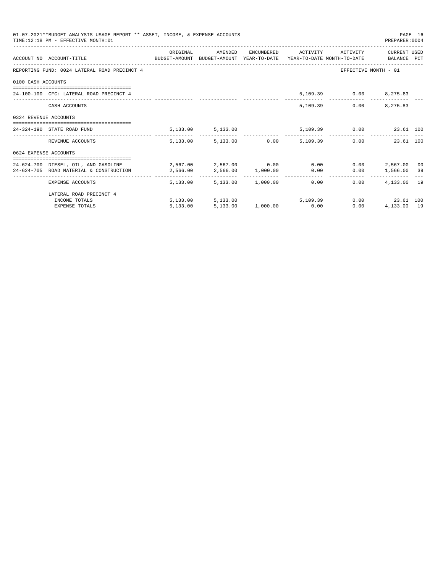|                       | 01-07-2021**BUDGET ANALYSIS USAGE REPORT ** ASSET, INCOME, & EXPENSE ACCOUNTS<br>PAGE 16<br>TIME: 12:18 PM - EFFECTIVE MONTH: 01<br>PREPARER: 0004 |                                         |                                  |  |  |                                      |                      |  |  |  |
|-----------------------|----------------------------------------------------------------------------------------------------------------------------------------------------|-----------------------------------------|----------------------------------|--|--|--------------------------------------|----------------------|--|--|--|
|                       | ACCOUNT NO ACCOUNT-TITLE COMPUTE SUDGET-AMOUNT BUDGET-AMOUNT YEAR-TO-DATE YEAR-TO-DATE MONTH-TO-DATE BALANCE PCT                                   | ORIGINAL                                |                                  |  |  | AMENDED ENCUMBERED ACTIVITY ACTIVITY | CURRENT USED         |  |  |  |
|                       | REPORTING FUND: 0024 LATERAL ROAD PRECINCT 4                                                                                                       |                                         |                                  |  |  |                                      | EFFECTIVE MONTH - 01 |  |  |  |
| 0100 CASH ACCOUNTS    |                                                                                                                                                    |                                         |                                  |  |  |                                      |                      |  |  |  |
|                       | 24-100-100 CFC: LATERAL ROAD PRECINCT 4                                                                                                            |                                         |                                  |  |  | 5,109.39 0.00 8,275.83               |                      |  |  |  |
|                       | CASH ACCOUNTS                                                                                                                                      |                                         |                                  |  |  | 5,109.39                             | $0.00$ $8,275.83$    |  |  |  |
| 0324 REVENUE ACCOUNTS |                                                                                                                                                    |                                         |                                  |  |  |                                      |                      |  |  |  |
|                       | 24-324-190 STATE ROAD FUND                                                                                                                         |                                         | 5, 133.00 5, 133.00              |  |  | 5,109.39 0.00 23.61 100              |                      |  |  |  |
|                       | REVENUE ACCOUNTS                                                                                                                                   |                                         | 5,133.00 5,133.00 0.00 5,109.39  |  |  |                                      | 0.00<br>23.61 100    |  |  |  |
| 0624 EXPENSE ACCOUNTS |                                                                                                                                                    |                                         |                                  |  |  |                                      |                      |  |  |  |
|                       | 24-624-700 DIESEL, OIL, AND GASOLINE $2,567.00$ $2,567.00$ $0.00$ $0.00$                                                                           |                                         |                                  |  |  |                                      | $0.00$ 2.567.00 00   |  |  |  |
|                       | 24-624-705 ROAD MATERIAL & CONSTRUCTION                                                                                                            | $2,566.00$ $2,566.00$ $1,000.00$ $0.00$ |                                  |  |  |                                      | $0.00$ 1,566.00 39   |  |  |  |
|                       | EXPENSE ACCOUNTS                                                                                                                                   |                                         | 5,133.00 5,133.00 1,000.00 0.00  |  |  |                                      | $0.00$ $4.133.00$ 19 |  |  |  |
|                       | LATERAL ROAD PRECINCT 4                                                                                                                            |                                         |                                  |  |  |                                      |                      |  |  |  |
|                       | INCOME TOTALS                                                                                                                                      |                                         | $5,133.00$ $5,133.00$ $5,109.39$ |  |  |                                      | $0.00$ 23.61 100     |  |  |  |
|                       | <b>EXPENSE TOTALS</b>                                                                                                                              |                                         | 5,133.00 5,133.00 1,000.00 0.00  |  |  | 0.00                                 | 4,133.00 19          |  |  |  |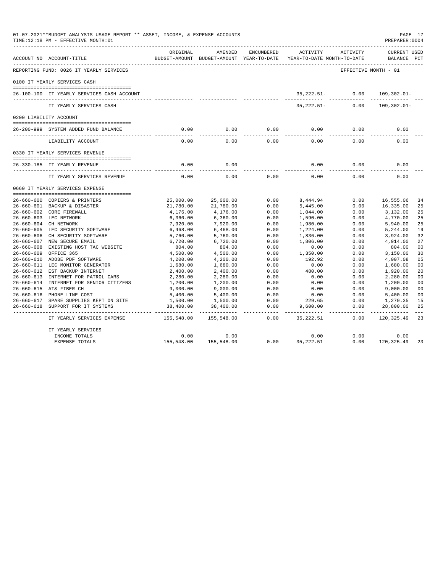|                  | 01-07-2021**BUDGET ANALYSIS USAGE REPORT ** ASSET, INCOME, & EXPENSE ACCOUNTS<br>TIME:12:18 PM - EFFECTIVE MONTH:01 |            |                                                     |            |                                        |                      | PAGE 17<br>PREPARER: 0004          |                |
|------------------|---------------------------------------------------------------------------------------------------------------------|------------|-----------------------------------------------------|------------|----------------------------------------|----------------------|------------------------------------|----------------|
|                  | ACCOUNT NO ACCOUNT-TITLE                                                                                            | ORIGINAL   | AMENDED<br>BUDGET-AMOUNT BUDGET-AMOUNT YEAR-TO-DATE | ENCUMBERED | ACTIVITY<br>YEAR-TO-DATE MONTH-TO-DATE | ACTIVITY             | <b>CURRENT USED</b><br>BALANCE PCT |                |
|                  | REPORTING FUND: 0026 IT YEARLY SERVICES                                                                             |            |                                                     |            |                                        | EFFECTIVE MONTH - 01 |                                    |                |
|                  | 0100 IT YEARLY SERVICES CASH                                                                                        |            |                                                     |            |                                        |                      |                                    |                |
|                  | 26-100-100 IT YEARLY SERVICES CASH ACCOUNT                                                                          |            |                                                     |            | 35,222.51-                             | 0.00                 | $109, 302.01 -$                    |                |
|                  | IT YEARLY SERVICES CASH                                                                                             |            |                                                     |            | $35, 222.51 -$                         | 0.00                 | $109,302.01 -$                     |                |
|                  | 0200 LIABILITY ACCOUNT                                                                                              |            |                                                     |            |                                        |                      |                                    |                |
|                  |                                                                                                                     |            |                                                     |            |                                        |                      |                                    |                |
|                  | 26-200-999 SYSTEM ADDED FUND BALANCE                                                                                | 0.00       | 0.00                                                | 0.00       | 0.00                                   | 0.00                 | 0.00                               |                |
|                  | LIABILITY ACCOUNT                                                                                                   | 0.00       | 0.00                                                | 0.00       | 0.00                                   | 0.00                 | 0.00                               |                |
|                  | 0330 IT YEARLY SERVICES REVENUE                                                                                     |            |                                                     |            |                                        |                      |                                    |                |
|                  | 26-330-185 IT YEARLY REVENUE                                                                                        | 0.00       | 0.00                                                |            | 0.00                                   | 0.00                 | 0.00                               |                |
|                  | IT YEARLY SERVICES REVENUE                                                                                          | 0.00       | 0.00                                                | 0.00       | 0.00                                   | 0.00                 | 0.00                               |                |
|                  | 0660 IT YEARLY SERVICES EXPENSE                                                                                     |            |                                                     |            |                                        |                      |                                    |                |
|                  | 26-660-600 COPIERS & PRINTERS                                                                                       | 25,000.00  | 25,000.00                                           | 0.00       | 8,444.94                               | 0.00                 | 16,555.06                          | 34             |
|                  | 26-660-601 BACKUP & DISASTER                                                                                        | 21,780.00  | 21,780.00                                           | 0.00       | 5,445.00                               | 0.00                 | 16,335.00                          | 25             |
|                  | 26-660-602 CORE FIREWALL                                                                                            | 4,176.00   | 4,176.00                                            | 0.00       | 1,044.00                               | 0.00                 | 3,132.00                           | 25             |
|                  | 26-660-603 LEC NETWORK                                                                                              | 6,360.00   | 6,360.00                                            | 0.00       | 1,590.00                               | 0.00                 | 4,770.00                           | 25             |
|                  | 26-660-604 CH NETWORK                                                                                               | 7,920.00   | 7,920.00                                            | 0.00       | 1,980.00                               | 0.00                 | 5,940.00                           | 25             |
|                  | 26-660-605 LEC SECURITY SOFTWARE                                                                                    | 6,468.00   | 6,468.00                                            | 0.00       | 1,224.00                               | 0.00                 | 5,244.00                           | 19             |
|                  | 26-660-606 CH SECURITY SOFTWARE                                                                                     | 5,760.00   | 5,760.00                                            | 0.00       | 1,836.00                               | 0.00                 | 3,924.00                           | 32             |
|                  | 26-660-607 NEW SECURE EMAIL                                                                                         | 6,720.00   | 6,720.00                                            | 0.00       | 1,806.00                               | 0.00                 | 4,914.00                           | 27             |
|                  | 26-660-608 EXISTING HOST TAC WEBSITE                                                                                | 804.00     | 804.00                                              | 0.00       | 0.00                                   | 0.00                 | 804.00                             | 0 <sub>0</sub> |
| $26 - 660 - 609$ | OFFICE 365                                                                                                          | 4,500.00   | 4,500.00                                            | 0.00       | 1,350.00                               | 0.00                 | 3,150.00                           | 30             |
|                  | 26-660-610 ADOBE PDF SOFTWARE                                                                                       | 4,200.00   | 4,200.00                                            | 0.00       | 192.92                                 | 0.00                 | 4,007.08                           | 05             |
|                  | 26-660-611 LEC MONITOR GENERATOR                                                                                    | 1,680.00   | 1,680.00                                            | 0.00       | 0.00                                   | 0.00                 | 1,680.00                           | 0 <sub>0</sub> |
|                  | 26-660-612 EST BACKUP INTERNET                                                                                      | 2,400.00   | 2,400.00                                            | 0.00       | 480.00                                 | 0.00                 | 1,920.00                           | 20             |
|                  | 26-660-613 INTERNET FOR PATROL CARS                                                                                 | 2,280.00   | 2,280.00                                            | 0.00       | 0.00                                   | 0.00                 | 2,280.00                           | 0 <sub>0</sub> |
|                  | 26-660-614 INTERNET FOR SENIOR CITIZENS                                                                             | 1,200.00   | 1,200.00                                            | 0.00       | 0.00                                   | 0.00                 | 1,200.00                           | 0 <sub>0</sub> |
|                  | 26-660-615 AT& FIBER CH                                                                                             | 9,000.00   | 9,000.00                                            | 0.00       | 0.00                                   | 0.00                 | 9,000.00                           | 0 <sub>0</sub> |
|                  | 26-660-616 PHONE LINE COST                                                                                          | 5,400.00   | 5,400.00                                            | 0.00       | 0.00                                   | 0.00                 | 5,400.00                           | 0 <sub>0</sub> |
|                  | 26-660-617 SPARE SUPPLIES KEPT ON SITE                                                                              | 1,500.00   | 1,500.00                                            | 0.00       | 229.65                                 | 0.00                 | 1,270.35                           | 15             |
|                  | 26-660-618 SUPPORT FOR IT SYSTEMS                                                                                   | 38,400.00  | 38,400.00                                           | 0.00       | 9,600.00                               | 0.00                 | 28,800.00                          | 25             |
|                  | IT YEARLY SERVICES EXPENSE                                                                                          | 155,548.00 | 155,548.00                                          | 0.00       | 35, 222.51                             | 0.00                 | 120,325.49                         | 23             |
|                  | IT YEARLY SERVICES                                                                                                  |            |                                                     |            |                                        |                      |                                    |                |
|                  | INCOME TOTALS                                                                                                       | 0.00       | 0.00                                                |            | 0.00                                   | 0.00                 | 0.00                               |                |
|                  | <b>EXPENSE TOTALS</b>                                                                                               | 155,548.00 | 155,548.00                                          | 0.00       | 35, 222.51                             | 0.00                 | 120, 325.49                        | 23             |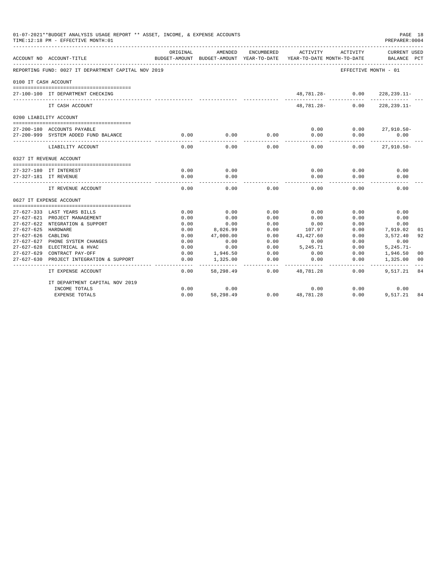|                      | 01-07-2021**BUDGET ANALYSIS USAGE REPORT ** ASSET, INCOME, & EXPENSE ACCOUNTS<br>TIME:12:18 PM - EFFECTIVE MONTH:01 |                           |                          |                            |            |                                        | PAGE 18<br>PREPARER: 0004 |              |
|----------------------|---------------------------------------------------------------------------------------------------------------------|---------------------------|--------------------------|----------------------------|------------|----------------------------------------|---------------------------|--------------|
|                      | ACCOUNT NO ACCOUNT-TITLE                                                                                            | ORIGINAL<br>BUDGET-AMOUNT | AMENDED<br>BUDGET-AMOUNT | ENCUMBERED<br>YEAR-TO-DATE | ACTIVITY   | ACTIVITY<br>YEAR-TO-DATE MONTH-TO-DATE | CURRENT USED<br>BALANCE   | $_{\rm PCT}$ |
|                      | REPORTING FUND: 0027 IT DEPARTMENT CAPITAL NOV 2019                                                                 |                           |                          |                            |            |                                        | EFFECTIVE MONTH - 01      |              |
| 0100 IT CASH ACCOUNT |                                                                                                                     |                           |                          |                            |            |                                        |                           |              |
|                      | 27-100-100 IT DEPARTMENT CHECKING                                                                                   |                           |                          |                            | 48,781.28- | 0.00                                   | $228, 239.11 -$           |              |
|                      | IT CASH ACCOUNT                                                                                                     |                           |                          |                            | 48,781.28- | 0.00                                   | $228, 239.11 -$           |              |
|                      | 0200 LIABILITY ACCOUNT                                                                                              |                           |                          |                            |            |                                        |                           |              |
|                      |                                                                                                                     |                           |                          |                            |            |                                        |                           |              |
|                      | 27-200-180 ACCOUNTS PAYABLE                                                                                         |                           |                          |                            | 0.00       | 0.00                                   | $27,910.50 -$             |              |
|                      | 27-200-999 SYSTEM ADDED FUND BALANCE                                                                                | 0.00                      | 0.00                     | 0.00                       | 0.00       | 0.00                                   | 0.00                      |              |
|                      | LIABILITY ACCOUNT                                                                                                   | 0.00                      | 0.00                     | 0.00                       | 0.00       | 0.00                                   | $27,910.50 -$             |              |
|                      | 0327 IT REVENUE ACCOUNT                                                                                             |                           |                          |                            |            |                                        |                           |              |
|                      |                                                                                                                     |                           |                          |                            |            |                                        |                           |              |
|                      | 27-327-180 IT INTEREST                                                                                              | 0.00                      | 0.00                     |                            | 0.00       | 0.00                                   | 0.00                      |              |
|                      | 27-327-181 IT REVENUE                                                                                               | 0.00                      | 0.00                     |                            | 0.00       | 0.00                                   | 0.00                      |              |
|                      | IT REVENUE ACCOUNT                                                                                                  | 0.00                      | 0.00                     | 0.00                       | 0.00       | 0.00                                   | 0.00                      |              |
|                      | 0627 IT EXPENSE ACCOUNT                                                                                             |                           |                          |                            |            |                                        |                           |              |
|                      |                                                                                                                     |                           |                          |                            |            |                                        |                           |              |
|                      | 27-627-333 LAST YEARS BILLS                                                                                         | 0.00                      | 0.00                     | 0.00                       | 0.00       | 0.00                                   | 0.00                      |              |
|                      | 27-627-621 PROJECT MANAGEMENT                                                                                       | 0.00                      | 0.00                     | 0.00                       | 0.00       | 0.00                                   | 0.00                      |              |
|                      | 27-627-622 NTEGRATION & SUPPORT                                                                                     | 0.00                      | 0.00                     | 0.00                       | 0.00       | 0.00                                   | 0.00                      |              |
| 27-627-625 HARDWARE  |                                                                                                                     | 0.00                      | 8,026.99                 | 0.00                       | 107.97     | 0.00                                   | 7,919.02                  | 01           |
| $27 - 627 - 626$     | CABLING                                                                                                             | 0.00                      | 47,000.00                | 0.00                       | 43,427.60  | 0.00                                   | 3,572.40                  | 92           |
| 27-627-627           | PHONE SYSTEM CHANGES<br>27-627-628 ELECTRICAL & HVAC                                                                | 0.00                      | 0.00                     | 0.00                       | 0.00       | 0.00                                   | 0.00                      |              |
|                      |                                                                                                                     | 0.00                      | 0.00                     | 0.00                       | 5,245.71   | 0.00                                   | $5, 245.71 -$             |              |
| $27 - 627 - 629$     | CONTRACT PAY-OFF                                                                                                    | 0.00                      | 1,946.50                 | 0.00                       | 0.00       | 0.00                                   | 1,946.50                  | 00           |
| $27 - 627 - 630$     | PROJECT INTEGRATION & SUPPORT                                                                                       | 0.00                      | 1,325.00                 | 0.00                       | 0.00       | 0.00                                   | 1,325.00                  | 00           |
|                      | IT EXPENSE ACCOUNT                                                                                                  | 0.00                      | 58,298.49                | 0.00                       | 48,781.28  | 0.00                                   | 9,517.21                  | 84           |
|                      | IT DEPARTMENT CAPITAL NOV 2019                                                                                      |                           |                          |                            |            |                                        |                           |              |
|                      | INCOME TOTALS                                                                                                       | 0.00                      | 0.00                     |                            | 0.00       | 0.00                                   | 0.00                      |              |
|                      | <b>EXPENSE TOTALS</b>                                                                                               | 0.00                      | 58,298.49                | 0.00                       | 48,781.28  | 0.00                                   | 9,517.21                  | 84           |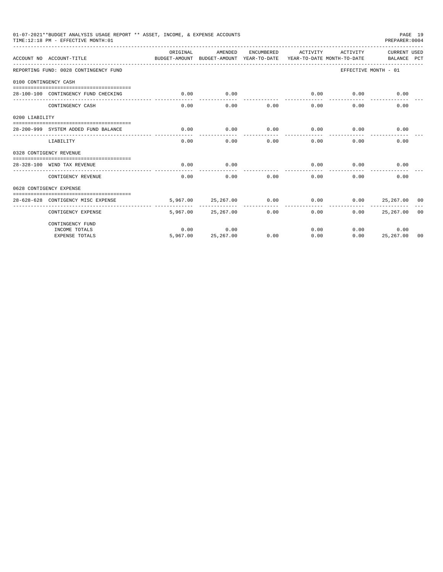|                       | 01-07-2021**BUDGET ANALYSIS USAGE REPORT ** ASSET, INCOME, & EXPENSE ACCOUNTS<br>TIME:12:18 PM - EFFECTIVE MONTH:01 |                                                                                 |                    |            |                      |          | PREPARER: 0004              | PAGE 19 |
|-----------------------|---------------------------------------------------------------------------------------------------------------------|---------------------------------------------------------------------------------|--------------------|------------|----------------------|----------|-----------------------------|---------|
|                       | ACCOUNT NO ACCOUNT-TITLE                                                                                            | ORTGINAL<br>BUDGET-AMOUNT BUDGET-AMOUNT YEAR-TO-DATE YEAR-TO-DATE MONTH-TO-DATE | AMENDED            | ENCUMBERED | ACTIVITY             | ACTIVITY | CURRENT USED<br>BALANCE PCT |         |
|                       | REPORTING FUND: 0028 CONTINGENCY FUND                                                                               |                                                                                 |                    |            |                      |          | EFFECTIVE MONTH - 01        |         |
| 0100 CONTINGENCY CASH |                                                                                                                     |                                                                                 |                    |            |                      |          |                             |         |
|                       | 28-100-100 CONTINGENCY FUND CHECKING                                                                                | 0.00                                                                            | 0.00               | ---------- | 0.00<br>------------ | 0.00     | 0.00                        |         |
|                       | CONTINGENCY CASH                                                                                                    | 0.00                                                                            | 0.00               | 0.00       | 0.00                 | 0.00     | 0.00                        |         |
| 0200 LIABILITY        |                                                                                                                     |                                                                                 |                    |            |                      |          |                             |         |
|                       | 28-200-999 SYSTEM ADDED FUND BALANCE                                                                                | 0.00                                                                            | 0.00               | 0.00       | 0.00                 | 0.00     | 0.00                        |         |
|                       | LIABILITY                                                                                                           | 0.00                                                                            | 0.00               | 0.00       | 0.00                 | 0.00     | 0.00                        |         |
|                       | 0328 CONTIGENCY REVENUE                                                                                             |                                                                                 |                    |            |                      |          |                             |         |
|                       | 28-328-100 WIND TAX REVENUE                                                                                         | 0.00                                                                            | 0.00               |            | 0.00                 | 0.00     | 0.00                        |         |
|                       | CONTIGENCY REVENUE                                                                                                  | 0.00                                                                            | 0.00               | 0.00       | 0.00                 | 0.00     | 0.00                        |         |
|                       | 0628 CONTIGENCY EXPENSE                                                                                             |                                                                                 |                    |            |                      |          |                             |         |
|                       | 28-628-628 CONTIGENCY MISC EXPENSE                                                                                  | 5,967,00                                                                        | 25, 267, 00        | 0.00       | 0.00                 | 0.00     | 25, 267, 00 00              |         |
|                       | CONTIGENCY EXPENSE                                                                                                  |                                                                                 | 5,967.00 25,267.00 | 0.00       | 0.00                 | 0.00     | 25,267.00 00                |         |
|                       | CONTINGENCY FUND                                                                                                    |                                                                                 |                    |            |                      |          |                             |         |
|                       | INCOME TOTALS                                                                                                       | 0.00                                                                            | 0.00               |            | 0.00                 |          | 0.00<br>0.00                |         |
|                       | <b>EXPENSE TOTALS</b>                                                                                               | 5,967.00                                                                        | 25, 267.00         | 0.00       | 0.00                 | 0.00     | 25,267.00                   | -00     |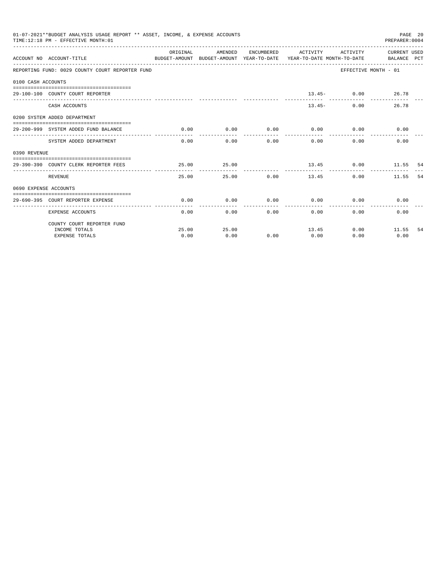|                       | 01-07-2021**BUDGET ANALYSIS USAGE REPORT ** ASSET, INCOME, & EXPENSE ACCOUNTS<br>TIME: 12:18 PM - EFFECTIVE MONTH: 01 |          |                      |                       |                                                                                                                              |                      | PREPARER:0004 | PAGE 20 |
|-----------------------|-----------------------------------------------------------------------------------------------------------------------|----------|----------------------|-----------------------|------------------------------------------------------------------------------------------------------------------------------|----------------------|---------------|---------|
|                       | ACCOUNT NO ACCOUNT-TITLE                                                                                              | ORIGINAL | AMENDED              |                       | ENCUMBERED ACTIVITY ACTIVITY CURRENT USED<br>BUDGET-AMOUNT BUDGET-AMOUNT YEAR-TO-DATE YEAR-TO-DATE MONTH-TO-DATE BALANCE PCT |                      |               |         |
|                       | REPORTING FUND: 0029 COUNTY COURT REPORTER FUND                                                                       |          |                      |                       |                                                                                                                              | EFFECTIVE MONTH - 01 |               |         |
| 0100 CASH ACCOUNTS    |                                                                                                                       |          |                      |                       |                                                                                                                              |                      |               |         |
|                       |                                                                                                                       |          |                      |                       |                                                                                                                              |                      |               |         |
|                       | 29-100-100 COUNTY COURT REPORTER                                                                                      |          |                      |                       |                                                                                                                              | $13.45 - 0.00$ 26.78 |               |         |
|                       | CASH ACCOUNTS                                                                                                         |          |                      |                       | $13.45-$                                                                                                                     | 0.00                 | 26.78         |         |
|                       | 0200 SYSTEM ADDED DEPARTMENT                                                                                          |          |                      |                       |                                                                                                                              |                      |               |         |
|                       | 29-200-999 SYSTEM ADDED FUND BALANCE                                                                                  | 0.00     | 0.00                 | . _ _ _ _ _ _ _ _ _ _ | $0.00$ $0.00$ $0.00$ $0.00$<br>------------                                                                                  | ------------         | 0.00          |         |
|                       | SYSTEM ADDED DEPARTMENT                                                                                               |          | ------------<br>0.00 | 0.00                  | 0.00<br>0.00                                                                                                                 | 0.00                 | 0.00          |         |
| 0390 REVENUE          |                                                                                                                       |          |                      |                       |                                                                                                                              |                      |               |         |
|                       | 29-390-390 COUNTY CLERK REPORTER FEES                                                                                 | 25.00    | 25.00                |                       |                                                                                                                              | 13.45 0.00 11.55 54  |               |         |
|                       | REVENUE                                                                                                               | 25.00    | ---------            | 25.00 0.00            | ------------<br>13.45                                                                                                        | 0.00                 | 11.55         | 54      |
| 0690 EXPENSE ACCOUNTS |                                                                                                                       |          |                      |                       |                                                                                                                              |                      |               |         |
|                       | 29-690-395 COURT REPORTER EXPENSE                                                                                     | 0.00     | 0.00                 | 0.00                  | $0.00$ 0.00                                                                                                                  |                      | 0.00          |         |
|                       | <b>EXPENSE ACCOUNTS</b>                                                                                               | 0.00     |                      | 0.00                  | 0.00<br>0.00                                                                                                                 |                      | 0.00<br>0.00  |         |
|                       | COUNTY COURT REPORTER FUND                                                                                            |          |                      |                       |                                                                                                                              |                      |               |         |
|                       | INCOME TOTALS                                                                                                         | 25.00    | 25.00                |                       | 13.45                                                                                                                        |                      | $0.00$ 11.55  | -54     |
|                       | <b>EXPENSE TOTALS</b>                                                                                                 | 0.00     | 0.00                 | 0.00                  | 0.00                                                                                                                         | 0.00                 | 0.00          |         |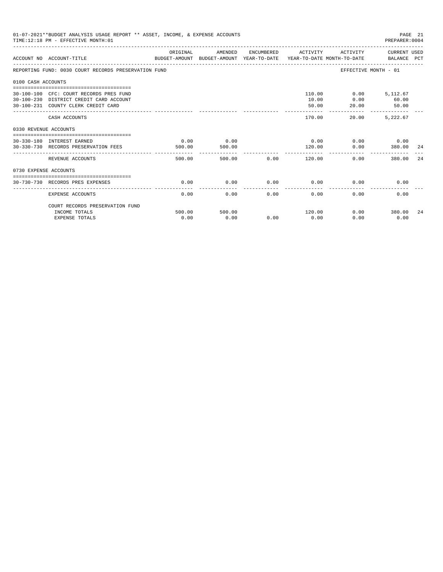|                       | 01-07-2021**BUDGET ANALYSIS USAGE REPORT ** ASSET, INCOME, & EXPENSE ACCOUNTS<br>TIME: 12:18 PM - EFFECTIVE MONTH: 01     |                |                |      |                     |                                            | PAGE 21<br>PREPARER:0004 |     |
|-----------------------|---------------------------------------------------------------------------------------------------------------------------|----------------|----------------|------|---------------------|--------------------------------------------|--------------------------|-----|
|                       | ACCOUNT NO ACCOUNT-TITLE CONTROL CONTROLLER TO BUDGET-AMOUNT BUDGET-AMOUNT YEAR-TO-DATE YEAR-TO-DATE MONTH-TO-DATE        | ORIGINAL       | AMENDED        |      | ENCUMBERED ACTIVITY |                                            | ACTIVITY CURRENT USED    |     |
|                       | REPORTING FUND: 0030 COURT RECORDS PRESERVATION FUND                                                                      |                |                |      |                     | EFFECTIVE MONTH - 01                       |                          |     |
| 0100 CASH ACCOUNTS    |                                                                                                                           |                |                |      |                     |                                            |                          |     |
|                       | 30-100-100 CFC: COURT RECORDS PRES FUND<br>30-100-230 DISTRICT CREDIT CARD ACCOUNT<br>30-100-231 COUNTY CLERK CREDIT CARD |                |                |      | 10.00<br>50.00      | 110.00   0.00   5,112.67<br>0.00<br>20.00  | 60.00<br>50.00           |     |
|                       | CASH ACCOUNTS                                                                                                             |                |                |      | 170.00              | _________________________________<br>20.00 | 5.222.67                 |     |
| 0330 REVENUE ACCOUNTS |                                                                                                                           |                |                |      |                     |                                            |                          |     |
|                       | 30-330-180 INTEREST EARNED<br>30-330-730 RECORDS PRESERVATION FEES                                                        | 0.00<br>500.00 | 0.00<br>500.00 |      | 0.00<br>120.00      | 0.00                                       | $0.00$ 0.00<br>380.00    | -24 |
|                       | REVENUE ACCOUNTS                                                                                                          | 500.00         |                |      | .                   | 0.00                                       | 380.00                   | 24  |
| 0730 EXPENSE ACCOUNTS |                                                                                                                           |                |                |      |                     |                                            |                          |     |
|                       | 30-730-730 RECORDS PRES EXPENSES                                                                                          | 0.00           | 0.00           | 0.00 | 0.00                | 0.00                                       | 0.00                     |     |
|                       | <b>EXPENSE ACCOUNTS</b>                                                                                                   | 0.00           | 0.00           | 0.00 | 0.00                | 0.00                                       | 0.00                     |     |
|                       | COURT RECORDS PRESERVATION FUND<br>INCOME TOTALS                                                                          | 500.00         | 500.00         |      | 120.00              |                                            | $0.00$ 380.00            | 24  |
|                       | <b>EXPENSE TOTALS</b>                                                                                                     | 0.00           | 0.00           | 0.00 | 0.00                | 0.00                                       | 0.00                     |     |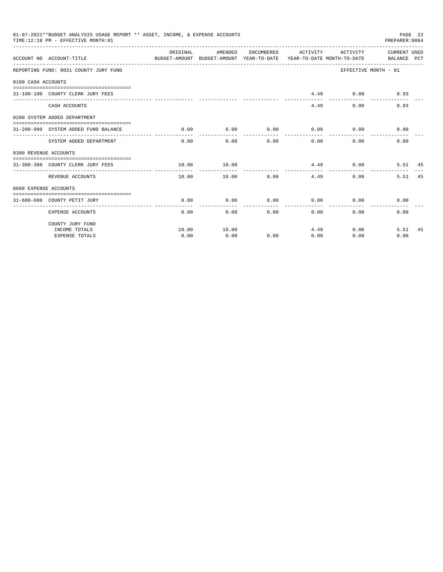|                       | 01-07-2021**BUDGET ANALYSIS USAGE REPORT ** ASSET, INCOME, & EXPENSE ACCOUNTS<br>TIME:12:18 PM - EFFECTIVE MONTH:01 |                                                                                             |                      |                   |                           |                                             | PREPARER: 0004            | PAGE 22 |
|-----------------------|---------------------------------------------------------------------------------------------------------------------|---------------------------------------------------------------------------------------------|----------------------|-------------------|---------------------------|---------------------------------------------|---------------------------|---------|
|                       | ACCOUNT NO ACCOUNT-TITLE                                                                                            | ORIGINAL<br>BUDGET-AMOUNT BUDGET-AMOUNT YEAR-TO-DATE YEAR-TO-DATE MONTH-TO-DATE BALANCE PCT | AMENDED              |                   |                           | ENCUMBERED ACTIVITY ACTIVITY CURRENT USED   |                           |         |
|                       | REPORTING FUND: 0031 COUNTY JURY FUND                                                                               |                                                                                             |                      |                   |                           |                                             | EFFECTIVE MONTH - 01      |         |
| 0100 CASH ACCOUNTS    |                                                                                                                     |                                                                                             |                      |                   |                           |                                             |                           |         |
|                       | 31-100-100 COUNTY CLERK JURY FEES                                                                                   |                                                                                             |                      |                   |                           | $4.49$ 0.00                                 | 8.93                      |         |
|                       |                                                                                                                     |                                                                                             |                      |                   |                           |                                             |                           |         |
|                       | CASH ACCOUNTS                                                                                                       |                                                                                             |                      |                   | 4.49                      | 0.00                                        | 8.93                      |         |
|                       | 0200 SYSTEM ADDED DEPARTMENT                                                                                        |                                                                                             |                      |                   |                           |                                             |                           |         |
|                       | 31-200-999 SYSTEM ADDED FUND BALANCE                                                                                | 0.00                                                                                        | 0.00                 | .                 | ------------              | $0.00$ $0.00$ $0.00$ $0.00$<br>------------ | 0.00                      |         |
|                       | SYSTEM ADDED DEPARTMENT                                                                                             |                                                                                             | ------------<br>0.00 | $0.00$ and $0.00$ | $0.00$ and $0.00$<br>0.00 | 0.00                                        | 0.00                      |         |
| 0380 REVENUE ACCOUNTS |                                                                                                                     |                                                                                             |                      |                   |                           |                                             |                           |         |
|                       | 31-380-380 COUNTY CLERK JURY FEES                                                                                   | 10.00                                                                                       | 10.00                |                   |                           | $4.49$ 0.00                                 | 5.51 45                   |         |
|                       | REVENUE ACCOUNTS                                                                                                    | 10.00                                                                                       | --------<br>10.00    | 0.00              | 4.49                      |                                             | 5.51<br>0.00              | 45      |
| 0680 EXPENSE ACCOUNTS |                                                                                                                     |                                                                                             |                      |                   |                           |                                             |                           |         |
|                       | 31-680-680 COUNTY PETIT JURY                                                                                        | 0.00                                                                                        | 0.00                 |                   |                           | $0.00$ $0.00$ $0.00$ $0.00$                 | 0.00                      |         |
|                       | <b>EXPENSE ACCOUNTS</b>                                                                                             | 0.00                                                                                        |                      | 0.00              | $0.00$ and $0.00$         | $0.00$ and $0.00$                           | 0.00<br>0.00              |         |
|                       | COUNTY JURY FUND                                                                                                    |                                                                                             |                      |                   |                           |                                             |                           |         |
|                       | INCOME TOTALS                                                                                                       | 10.00                                                                                       | 10.00                |                   | 4.49                      |                                             | $0.00$ and $0.00$<br>5.51 | 45      |
|                       | <b>EXPENSE TOTALS</b>                                                                                               | 0.00                                                                                        | 0.00                 | 0.00              | 0.00                      | 0.00                                        | 0.00                      |         |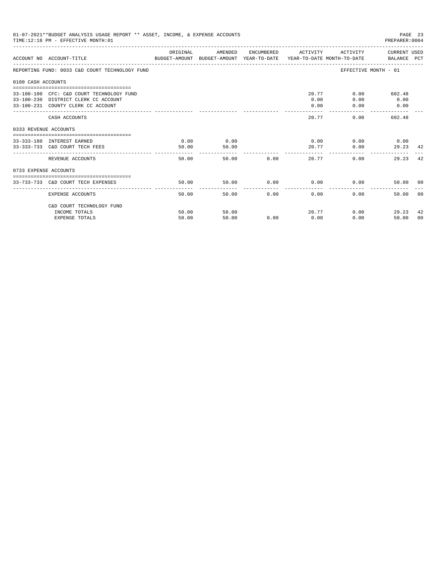|                       | 01-07-2021**BUDGET ANALYSIS USAGE REPORT ** ASSET, INCOME, & EXPENSE ACCOUNTS<br>TIME: 12:18 PM - EFFECTIVE MONTH: 01   |                |                |               |                             |                                      | PAGE 23<br>PREPARER: 0004       |
|-----------------------|-------------------------------------------------------------------------------------------------------------------------|----------------|----------------|---------------|-----------------------------|--------------------------------------|---------------------------------|
|                       | ACCOUNT NO ACCOUNT-TITLE CONTROL SUDGET-AMOUNT BUDGET-AMOUNT YEAR-TO-DATE YEAR-TO-DATE MONTH-TO-DATE BALANCE PCT        | ORIGINAL       | AMENDED        |               | ENCUMBERED ACTIVITY         |                                      | ACTIVITY CURRENT USED           |
|                       | REPORTING FUND: 0033 C&D COURT TECHNOLOGY FUND                                                                          |                |                |               |                             |                                      | EFFECTIVE MONTH - 01            |
| 0100 CASH ACCOUNTS    |                                                                                                                         |                |                |               |                             |                                      |                                 |
|                       | 33-100-100 CFC: C&D COURT TECHNOLOGY FUND<br>33-100-230 DISTRICT CLERK CC ACCOUNT<br>33-100-231 COUNTY CLERK CC ACCOUNT |                |                |               | 0.00<br>0.00                | 20.77<br>0.00<br>0.00                | $0.00$ 602.48<br>0.00<br>0.00   |
|                       | CASH ACCOUNTS                                                                                                           |                |                |               | 20.77                       |                                      | 0.00<br>602.48                  |
| 0333 REVENUE ACCOUNTS |                                                                                                                         |                |                |               |                             |                                      |                                 |
|                       | 33-333-180 INTEREST EARNED<br>33-333-733 C&D COURT TECH FEES                                                            | 0.00<br>50.00  | 0.00<br>50.00  |               | ------------                | $0.00$ $0.00$ $0.00$ $0.00$<br>20.77 | 0.00<br>29.23 42                |
|                       | REVENUE ACCOUNTS                                                                                                        | 50.00          |                | 50.00 0.00    |                             | 20.77                                | 42<br>0.00<br>29.23             |
| 0733 EXPENSE ACCOUNTS |                                                                                                                         |                |                |               |                             |                                      |                                 |
|                       | 33-733-733 C&D COURT TECH EXPENSES                                                                                      | 50.00          | 50.00          |               | $0.00$ $0.00$ $0.00$ $0.00$ |                                      | 50.00 00                        |
|                       | EXPENSE ACCOUNTS                                                                                                        | 50.00          |                | 50.00<br>0.00 | 0.00                        |                                      | 0.00<br>0 <sup>0</sup><br>50.00 |
|                       | C&D COURT TECHNOLOGY FUND                                                                                               |                |                |               |                             | 20.77                                | 0.00                            |
|                       | INCOME TOTALS<br><b>EXPENSE TOTALS</b>                                                                                  | 50.00<br>50.00 | 50.00<br>50.00 | 0.00          | 0.00                        | 0.00                                 | 29.23<br>42<br>50.00<br>00      |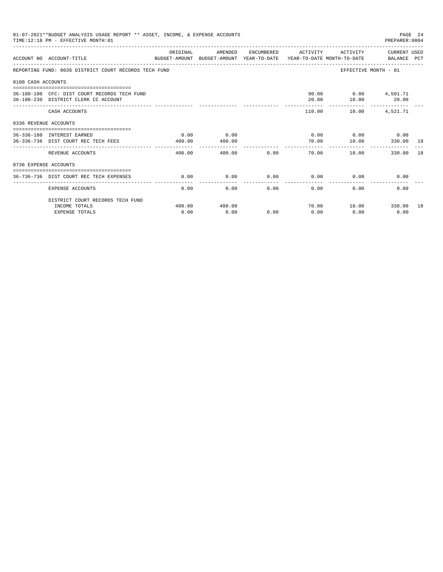|                       | 01-07-2021**BUDGET ANALYSIS USAGE REPORT ** ASSET, INCOME, & EXPENSE ACCOUNTS<br>TIME: 12:18 PM - EFFECTIVE MONTH: 01 |                    |                |      |                     |                                          | PAGE 24<br>PREPARER: 0004   |  |
|-----------------------|-----------------------------------------------------------------------------------------------------------------------|--------------------|----------------|------|---------------------|------------------------------------------|-----------------------------|--|
|                       | ACCOUNT NO ACCOUNT-TITLE<br>BUDGET-AMOUNT BUDGET-AMOUNT YEAR-TO-DATE YEAR-TO-DATE MONTH-TO-DATE                       | ORIGINAL           | AMENDED        |      | ENCUMBERED ACTIVITY | ACTIVITY                                 | CURRENT USED<br>BALANCE PCT |  |
|                       | REPORTING FUND: 0036 DISTRICT COURT RECORDS TECH FUND                                                                 |                    |                |      |                     | EFFECTIVE MONTH - 01                     |                             |  |
| 0100 CASH ACCOUNTS    |                                                                                                                       |                    |                |      |                     |                                          |                             |  |
|                       | 36-100-100 CFC: DIST COURT RECORDS TECH FUND<br>36-100-230 DISTRICT CLERK CC ACCOUNT                                  |                    |                |      | 20.00               | 90.00   0.00   4,501.71<br>$10.00$ 20.00 |                             |  |
|                       | CASH ACCOUNTS                                                                                                         |                    |                |      |                     | 110.00 10.00                             | 4,521.71                    |  |
| 0336 REVENUE ACCOUNTS |                                                                                                                       |                    |                |      |                     |                                          |                             |  |
|                       | 36-336-180 INTEREST EARNED<br>36-336-736 DIST COURT REC TECH FEES                                                     | 0.00<br>400.00     | 0.00<br>400.00 |      | 70.00               | $0.00$ $0.00$ $0.00$ $0.00$<br>10.00     | 330.00 18                   |  |
|                       | REVENUE ACCOUNTS                                                                                                      | --------<br>400.00 | 400.00         | 0.00 | 70.00               | 10.00                                    | 330.00 18                   |  |
| 0736 EXPENSE ACCOUNTS |                                                                                                                       |                    |                |      |                     |                                          |                             |  |
|                       | 36-736-736 DIST COURT REC TECH EXPENSES                                                                               | 0.00               | 0.00           | 0.00 | 0.00                | 0.00                                     | 0.00                        |  |
|                       | EXPENSE ACCOUNTS                                                                                                      | 0.00               | 0.00           | 0.00 | 0.00                | 0.00                                     | 0.00                        |  |
|                       | DISTRICT COURT RECORDS TECH FUND                                                                                      |                    |                |      |                     |                                          |                             |  |
|                       | INCOME TOTALS<br><b>EXPENSE TOTALS</b>                                                                                | 400.00<br>0.00     | 400.00<br>0.00 | 0.00 | 70.00<br>0.00       | 10.00 330.00 18<br>0.00                  | 0.00                        |  |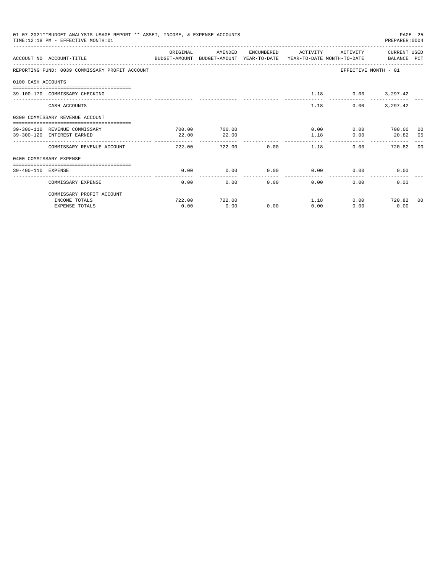|                    | 01-07-2021**BUDGET ANALYSIS USAGE REPORT ** ASSET, INCOME, & EXPENSE ACCOUNTS<br>TIME:12:18 PM - EFFECTIVE MONTH:01 |          |                |             |                     |          | PREPARER: 0004                                | PAGE 25 |
|--------------------|---------------------------------------------------------------------------------------------------------------------|----------|----------------|-------------|---------------------|----------|-----------------------------------------------|---------|
|                    | ACCOUNT NO ACCOUNT-TITLE COMPUTER ANOUNT BUDGET-AMOUNT HEAR-TO-DATE YEAR-TO-DATE MONTH-TO-DATE BALANCE PCT          | ORIGINAL | AMENDED        |             | ENCUMBERED ACTIVITY | ACTIVITY | CURRENT USED                                  |         |
|                    | REPORTING FUND: 0039 COMMISSARY PROFIT ACCOUNT                                                                      |          |                |             |                     |          | EFFECTIVE MONTH - 01                          |         |
| 0100 CASH ACCOUNTS |                                                                                                                     |          |                |             |                     |          |                                               |         |
|                    | 39-100-170 COMMISSARY CHECKING                                                                                      |          |                |             | 1.18                |          | $0.00$ 3, 297.42                              |         |
|                    | CASH ACCOUNTS                                                                                                       |          |                |             | 1.18                | 0.00     | 3, 297, 42                                    |         |
|                    | 0300 COMMISSARY REVENUE ACCOUNT<br>--------------------------------------                                           |          |                |             |                     |          |                                               |         |
|                    | 39-300-110 REVENUE COMMISSARY                                                                                       | 700.00   | 700.00         |             | 0.00                |          | 0.00 700.00 00                                |         |
|                    | 39-300-120 INTEREST EARNED                                                                                          | 22.00    | 22.00          |             | 1.18                | 0.00     | 20.82 05                                      |         |
|                    | COMMISSARY REVENUE ACCOUNT                                                                                          | 722.00   | -------------- | 722.00 0.00 | 1.18                |          | ------------- -------------<br>0.00<br>720.82 | - 0.0   |
|                    | 0400 COMMISSARY EXPENSE                                                                                             |          |                |             |                     |          |                                               |         |
| 39-400-110 EXPENSE |                                                                                                                     | 0.00     | 0.00           | 0.00        | 0.00                |          | 0.00<br>0.00                                  |         |
|                    | COMMISSARY EXPENSE                                                                                                  | 0.00     | 0.00           | 0.00        | 0.00                | 0.00     | 0.00                                          |         |
|                    | COMMISSARY PROFIT ACCOUNT                                                                                           |          |                |             |                     |          |                                               |         |
|                    | INCOME TOTALS                                                                                                       | 722.00   | 722.00         |             | 1.18                |          | $0.00$ 720.82                                 | 00      |
|                    | <b>EXPENSE TOTALS</b>                                                                                               | 0.00     | 0.00           | 0.00        | 0.00                | 0.00     | 0.00                                          |         |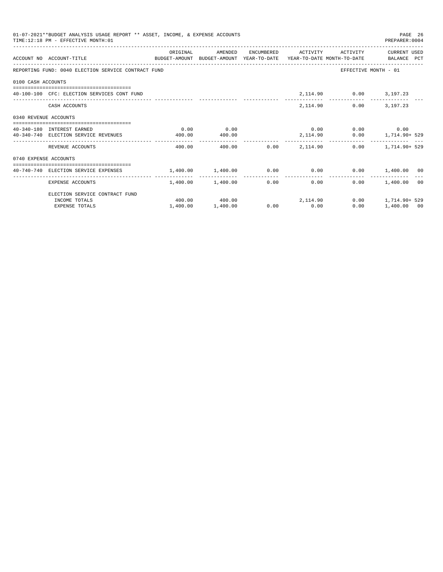| 01-07-2021**BUDGET ANALYSIS USAGE REPORT ** ASSET, INCOME, & EXPENSE ACCOUNTS<br>PAGE 26<br>TIME: 12:18 PM - EFFECTIVE MONTH: 01<br>PREPARER: 0004<br>ORIGINAL<br>AMENDED<br>ENCUMBERED ACTIVITY ACTIVITY<br>CURRENT USED<br>ACCOUNT NO ACCOUNT-TITLE<br>BUDGET-AMOUNT BUDGET-AMOUNT YEAR-TO-DATE YEAR-TO-DATE MONTH-TO-DATE BALANCE PCT<br>REPORTING FUND: 0040 ELECTION SERVICE CONTRACT FUND<br>EFFECTIVE MONTH - 01<br>0100 CASH ACCOUNTS<br>2, 114.90 0.00 3, 197.23<br>40-100-100 CFC: ELECTION SERVICES CONT FUND<br>2, 114.90 0.00 3, 197.23<br>CASH ACCOUNTS<br>0340 REVENUE ACCOUNTS<br>0.00<br>$0.00$ $0.00$ $0.00$ $0.00$<br>0.00<br>40-340-180 INTEREST EARNED<br>$0.00$ 1, 714.90+ 529<br>40-340-740 ELECTION SERVICE REVENUES<br>400.00<br>2, 114.90<br>400.00<br>-------------<br>400.00 0.00 2.114.90<br>$0.00$ 1.714.90+ 529<br>REVENUE ACCOUNTS<br>400.00<br>0740 EXPENSE ACCOUNTS |          |                              |             |                          |      |                      |  |
|-------------------------------------------------------------------------------------------------------------------------------------------------------------------------------------------------------------------------------------------------------------------------------------------------------------------------------------------------------------------------------------------------------------------------------------------------------------------------------------------------------------------------------------------------------------------------------------------------------------------------------------------------------------------------------------------------------------------------------------------------------------------------------------------------------------------------------------------------------------------------------------------------------|----------|------------------------------|-------------|--------------------------|------|----------------------|--|
|                                                                                                                                                                                                                                                                                                                                                                                                                                                                                                                                                                                                                                                                                                                                                                                                                                                                                                       |          |                              |             |                          |      |                      |  |
|                                                                                                                                                                                                                                                                                                                                                                                                                                                                                                                                                                                                                                                                                                                                                                                                                                                                                                       |          |                              |             |                          |      |                      |  |
|                                                                                                                                                                                                                                                                                                                                                                                                                                                                                                                                                                                                                                                                                                                                                                                                                                                                                                       |          |                              |             |                          |      |                      |  |
|                                                                                                                                                                                                                                                                                                                                                                                                                                                                                                                                                                                                                                                                                                                                                                                                                                                                                                       |          |                              |             |                          |      |                      |  |
|                                                                                                                                                                                                                                                                                                                                                                                                                                                                                                                                                                                                                                                                                                                                                                                                                                                                                                       |          |                              |             |                          |      |                      |  |
|                                                                                                                                                                                                                                                                                                                                                                                                                                                                                                                                                                                                                                                                                                                                                                                                                                                                                                       |          |                              |             |                          |      |                      |  |
|                                                                                                                                                                                                                                                                                                                                                                                                                                                                                                                                                                                                                                                                                                                                                                                                                                                                                                       |          |                              |             |                          |      |                      |  |
|                                                                                                                                                                                                                                                                                                                                                                                                                                                                                                                                                                                                                                                                                                                                                                                                                                                                                                       |          |                              |             |                          |      |                      |  |
|                                                                                                                                                                                                                                                                                                                                                                                                                                                                                                                                                                                                                                                                                                                                                                                                                                                                                                       |          |                              |             |                          |      |                      |  |
|                                                                                                                                                                                                                                                                                                                                                                                                                                                                                                                                                                                                                                                                                                                                                                                                                                                                                                       |          |                              |             |                          |      |                      |  |
|                                                                                                                                                                                                                                                                                                                                                                                                                                                                                                                                                                                                                                                                                                                                                                                                                                                                                                       |          |                              |             |                          |      |                      |  |
| EXPENSE ACCOUNTS                                                                                                                                                                                                                                                                                                                                                                                                                                                                                                                                                                                                                                                                                                                                                                                                                                                                                      |          | 1,400.00 1,400.00            |             | ----------------<br>0.00 | 0.00 | $0.00$ 1.400.00 00   |  |
| ELECTION SERVICE CONTRACT FUND                                                                                                                                                                                                                                                                                                                                                                                                                                                                                                                                                                                                                                                                                                                                                                                                                                                                        |          |                              |             |                          |      |                      |  |
| INCOME TOTALS                                                                                                                                                                                                                                                                                                                                                                                                                                                                                                                                                                                                                                                                                                                                                                                                                                                                                         |          | $400.00$ $400.00$ $2,114.90$ |             |                          |      | $0.00$ 1.714.90+ 529 |  |
| <b>EXPENSE TOTALS</b>                                                                                                                                                                                                                                                                                                                                                                                                                                                                                                                                                                                                                                                                                                                                                                                                                                                                                 | 1,400.00 | 1,400.00                     | $0.00$ 0.00 |                          | 0.00 | 1,400.00 00          |  |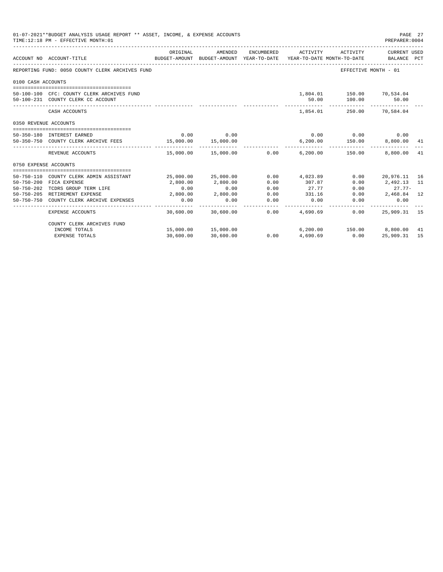|                       | 01-07-2021**BUDGET ANALYSIS USAGE REPORT ** ASSET, INCOME, & EXPENSE ACCOUNTS<br>TIME:12:18 PM - EFFECTIVE MONTH:01 |           |                                                     |            |                                                    |                                                        | PAGE 27<br>PREPARER: 0004   |    |
|-----------------------|---------------------------------------------------------------------------------------------------------------------|-----------|-----------------------------------------------------|------------|----------------------------------------------------|--------------------------------------------------------|-----------------------------|----|
|                       | ACCOUNT NO ACCOUNT-TITLE                                                                                            | ORIGINAL  | AMENDED<br>BUDGET-AMOUNT BUDGET-AMOUNT YEAR-TO-DATE | ENCUMBERED | ACTIVITY<br>YEAR-TO-DATE MONTH-TO-DATE             | ACTIVITY                                               | CURRENT USED<br>BALANCE PCT |    |
|                       | REPORTING FUND: 0050 COUNTY CLERK ARCHIVES FUND                                                                     |           |                                                     |            |                                                    | EFFECTIVE MONTH - 01                                   |                             |    |
| 0100 CASH ACCOUNTS    |                                                                                                                     |           |                                                     |            |                                                    |                                                        |                             |    |
|                       | 50-100-100 CFC: COUNTY CLERK ARCHIVES FUND<br>50-100-231 COUNTY CLERK CC ACCOUNT                                    |           |                                                     |            | 50.00                                              | 1,804.01  150.00  70,534.04<br>100.00<br>------------- | 50.00                       |    |
|                       | CASH ACCOUNTS                                                                                                       |           |                                                     |            | 1,854.01                                           |                                                        | 250.00 70.584.04            |    |
| 0350 REVENUE ACCOUNTS |                                                                                                                     |           |                                                     |            |                                                    |                                                        |                             |    |
|                       | 50-350-180 INTEREST EARNED                                                                                          | 0.00      | 0.00                                                |            |                                                    | $0.00$ $0.00$ $0.00$ $0.00$                            |                             |    |
|                       | 50-350-750 COUNTY CLERK ARCHIVE FEES 15,000.00                                                                      |           | 15,000.00                                           |            |                                                    | $6, 200.00$ $150.00$ $8, 800.00$ $41$                  |                             |    |
|                       | REVENUE ACCOUNTS                                                                                                    |           |                                                     |            | $15,000.00$ $15,000.00$ $0.00$ $6,200.00$ $150.00$ | _________________________________                      | 8,800.00                    | 41 |
| 0750 EXPENSE ACCOUNTS |                                                                                                                     |           |                                                     |            |                                                    |                                                        |                             |    |
| $50 - 750 - 110$      |                                                                                                                     |           | 25,000.00 25,000.00                                 | 0.00       | 4,023.89                                           | 0.00                                                   |                             |    |
| $50 - 750 - 200$      | COUNTY CLERK ADMIN ASSISTANT<br>FICA EXPENSE                                                                        | 2,800.00  | 2,800.00                                            | 0.00       | 307.87                                             | 0.00                                                   | 20,976.11 16<br>2,492.13 11 |    |
| $50 - 750 - 202$      | TCDRS GROUP TERM LIFE                                                                                               | 0.00      | 0.00                                                | 0.00       | 27.77                                              | 0.00                                                   | $27.77-$                    |    |
|                       | 50-750-205 RETIREMENT EXPENSE                                                                                       | 2,800.00  | 2,800.00                                            | 0.00       | 331.16                                             | 0.00                                                   | 2,468.84 12                 |    |
| $50 - 750 - 750$      | COUNTY CLERK ARCHIVE EXPENSES                                                                                       | 0.00      | 0.00                                                | 0.00       | 0.00                                               | 0.00                                                   | 0.00                        |    |
|                       | <b>EXPENSE ACCOUNTS</b>                                                                                             | 30,600.00 | 30,600.00                                           | 0.00       | 4,690.69                                           | 0.00                                                   | 25,909.31 15                |    |
|                       | COUNTY CLERK ARCHIVES FUND                                                                                          |           |                                                     |            |                                                    |                                                        |                             |    |
|                       | INCOME TOTALS                                                                                                       |           | 15,000.00  15,000.00                                |            |                                                    | 6,200.00 150.00 8,800.00                               |                             | 41 |
|                       | <b>EXPENSE TOTALS</b>                                                                                               | 30,600.00 | 30,600.00                                           | 0.00       | 4,690.69                                           | 0.00                                                   | 25,909.31                   | 15 |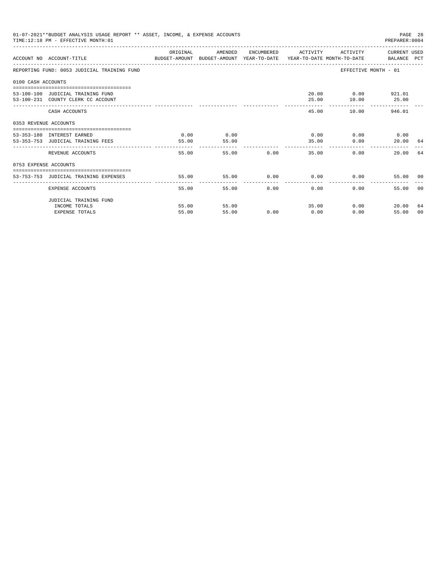|                       | 01-07-2021**BUDGET ANALYSIS USAGE REPORT ** ASSET, INCOME, & EXPENSE ACCOUNTS<br>TIME: 12:18 PM - EFFECTIVE MONTH: 01 |          |         |       |                             |                   | PREPARER: 0004             | PAGE 28 |
|-----------------------|-----------------------------------------------------------------------------------------------------------------------|----------|---------|-------|-----------------------------|-------------------|----------------------------|---------|
|                       | ACCOUNT NO ACCOUNT-TITLE CONTROL PROTECT-AMOUNT BUDGET-AMOUNT YEAR-TO-DATE YEAR-TO-DATE MONTH-TO-DATE BALANCE PCT     | ORIGINAL | AMENDED |       | ENCUMBERED ACTIVITY         |                   | ACTIVITY CURRENT USED      |         |
|                       | REPORTING FUND: 0053 JUDICIAL TRAINING FUND                                                                           |          |         |       |                             |                   | EFFECTIVE MONTH - 01       |         |
| 0100 CASH ACCOUNTS    |                                                                                                                       |          |         |       |                             |                   |                            |         |
|                       |                                                                                                                       |          |         |       |                             |                   |                            |         |
|                       | 53-100-100 JUDICIAL TRAINING FUND                                                                                     |          |         |       |                             | 20.00 0.00 921.01 |                            |         |
|                       | 53-100-231 COUNTY CLERK CC ACCOUNT                                                                                    |          |         |       | 25.00                       | 10.00             | 25.00                      |         |
|                       | CASH ACCOUNTS                                                                                                         |          |         |       |                             | 45.00             | 10.00 946.01               |         |
| 0353 REVENUE ACCOUNTS |                                                                                                                       |          |         |       |                             |                   |                            |         |
|                       | 53-353-180 INTEREST EARNED                                                                                            | 0.00     | 0.00    |       | $0.00$ $0.00$ $0.00$ $0.00$ |                   |                            |         |
|                       | 53-353-753 JUDICIAL TRAINING FEES                                                                                     | 55.00    | 55.00   |       | 35.00                       | 0.00              | 20.00 64                   |         |
|                       |                                                                                                                       | -------  |         |       | _____________               |                   |                            |         |
|                       | REVENUE ACCOUNTS                                                                                                      | 55.00    |         | 55.00 | 0.00                        | 35.00             | 0.00<br>20.00 64           |         |
| 0753 EXPENSE ACCOUNTS |                                                                                                                       |          |         |       |                             |                   |                            |         |
|                       |                                                                                                                       |          |         |       |                             |                   |                            |         |
|                       | 53-753-753 JUDICIAL TRAINING EXPENSES                                                                                 | 55.00    | 55.00   |       | $0.00$ $0.00$ $0.00$ $0.00$ |                   | 55.00 00                   |         |
|                       | EXPENSE ACCOUNTS                                                                                                      | 55.00    | 55.00   | 0.00  | 0.00                        | $0.00 -$          | 55.00                      | - 0.0   |
|                       | JUDICIAL TRAINING FUND                                                                                                |          |         |       |                             |                   |                            |         |
|                       | INCOME TOTALS                                                                                                         | 55.00    | 55.00   |       | 35.00                       |                   | $0.00$ and $0.00$<br>20.00 | 64      |
|                       | <b>EXPENSE TOTALS</b>                                                                                                 | 55.00    | 55.00   | 0.00  | 0.00                        | 0.00              | 55.00                      | 00      |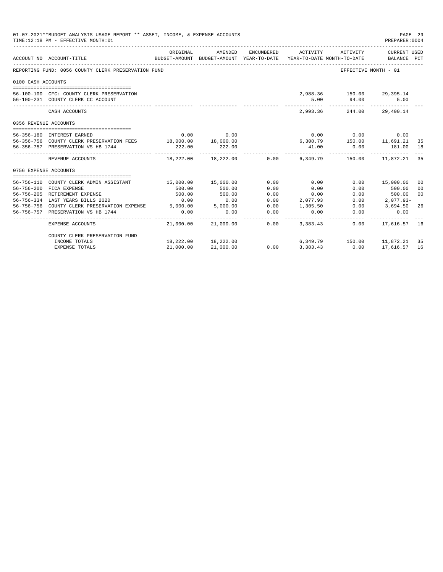| 01-07-2021**BUDGET ANALYSIS USAGE REPORT ** ASSET, INCOME, & EXPENSE ACCOUNTS<br>TIME: 12:18 PM - EFFECTIVE MONTH: 01<br>PREPARER:0004 |                                                                                                      |           |                                                                                |               |                      |                                                                |                                       | PAGE 29        |
|----------------------------------------------------------------------------------------------------------------------------------------|------------------------------------------------------------------------------------------------------|-----------|--------------------------------------------------------------------------------|---------------|----------------------|----------------------------------------------------------------|---------------------------------------|----------------|
|                                                                                                                                        | ACCOUNT NO ACCOUNT-TITLE                                                                             | ORIGINAL  | AMENDED<br>BUDGET-AMOUNT BUDGET-AMOUNT YEAR-TO-DATE YEAR-TO-DATE MONTH-TO-DATE | ENCUMBERED    | ACTIVITY             | ACTIVITY                                                       | CURRENT USED<br>BALANCE PCT           |                |
|                                                                                                                                        | REPORTING FUND: 0056 COUNTY CLERK PRESERVATION FUND                                                  |           |                                                                                |               |                      |                                                                | EFFECTIVE MONTH - 01                  |                |
| 0100 CASH ACCOUNTS                                                                                                                     |                                                                                                      |           |                                                                                |               |                      |                                                                |                                       |                |
|                                                                                                                                        |                                                                                                      |           |                                                                                |               |                      |                                                                |                                       |                |
|                                                                                                                                        | 56-100-100 CFC: COUNTY CLERK PRESERVATION                                                            |           |                                                                                |               |                      | 2,988.36 150.00 29,395.14                                      |                                       |                |
|                                                                                                                                        | 56-100-231 COUNTY CLERK CC ACCOUNT                                                                   |           |                                                                                |               | 5.00<br>-----------  | 94.00                                                          | 5.00<br>_____________________________ |                |
|                                                                                                                                        | CASH ACCOUNTS                                                                                        |           |                                                                                |               |                      | 2,993.36 244.00 29,400.14                                      |                                       |                |
| 0356 REVENUE ACCOUNTS                                                                                                                  |                                                                                                      |           |                                                                                |               |                      |                                                                |                                       |                |
|                                                                                                                                        |                                                                                                      |           |                                                                                |               |                      |                                                                |                                       |                |
|                                                                                                                                        | 56-356-180 INTEREST EARNED                                                                           | 0.00      | 0.00                                                                           |               |                      |                                                                |                                       |                |
|                                                                                                                                        | 56-356-756 COUNTY CLERK PRESERVATION FEES 18,000.00 18,000.00                                        |           |                                                                                |               |                      | $0.00$ $0.00$ $0.00$ $0.00$<br>$0.308.79$ $150.00$ $11,691.21$ |                                       | 35             |
|                                                                                                                                        | 56-356-757 PRESERVATION VS HB 1744                                                                   | 222.00    | 222.00                                                                         |               | 41.00<br>----------- | 0.00                                                           | 181.00 18                             |                |
|                                                                                                                                        | REVENUE ACCOUNTS                                                                                     |           | 18,222.00 18,222.00 0.00 6,349.79 150.00 11,872.21 35                          |               |                      |                                                                |                                       |                |
| 0756 EXPENSE ACCOUNTS                                                                                                                  |                                                                                                      |           |                                                                                |               |                      |                                                                |                                       |                |
|                                                                                                                                        |                                                                                                      |           |                                                                                |               |                      |                                                                |                                       |                |
|                                                                                                                                        | 56-756-110 COUNTY CLERK ADMIN ASSISTANT                                                              |           | 15,000.00  15,000.00                                                           | 0.00          | 0.00                 |                                                                | $0.00$ 15,000.00                      | 0 <sup>0</sup> |
|                                                                                                                                        | 56-756-200 FICA EXPENSE                                                                              | 500.00    | 500.00                                                                         | 0.00          | 0.00                 | 0.00                                                           | 500.00                                | 0 <sub>0</sub> |
|                                                                                                                                        | 56-756-205 RETIREMENT EXPENSE                                                                        | 500.00    | 500.00                                                                         | 0.00          | 0.00                 | 0.00                                                           | 500.00                                | 0 <sup>0</sup> |
|                                                                                                                                        | 56-756-334 LAST YEARS BILLS 2020                                                                     | 0.00      | 0.00                                                                           | 0.00          | 2,077.93             |                                                                | $0.00$ 2,077.93-                      |                |
|                                                                                                                                        | 56-756-756 COUNTY CLERK PRESERVATION EXPENSE 5,000.00 5,000.00<br>56-756-757 PRESERVATION VS HB 1744 | 0.00      |                                                                                | 0.00<br>0.00  | 1,305.50<br>0.00     | 0.00<br>0.00                                                   | 3,694.50<br>0.00                      | 26             |
|                                                                                                                                        |                                                                                                      |           | 0.00<br>_____________                                                          | ------------- |                      |                                                                | -----------                           |                |
|                                                                                                                                        | EXPENSE ACCOUNTS                                                                                     |           | 21,000.00 21,000.00 0.00                                                       |               | 3, 383, 43           | 0.00                                                           | 17.616.57 16                          |                |
|                                                                                                                                        | COUNTY CLERK PRESERVATION FUND                                                                       |           |                                                                                |               |                      |                                                                |                                       |                |
|                                                                                                                                        | INCOME TOTALS                                                                                        |           | 18,222.00 18,222.00                                                            | 0.00          |                      | 6,349.79 150.00 11,872.21                                      |                                       | 35             |
|                                                                                                                                        | <b>EXPENSE TOTALS</b>                                                                                | 21,000.00 | 21,000.00                                                                      | 0.00          | 3,383.43             | 0.00                                                           | 17,616.57                             | 16             |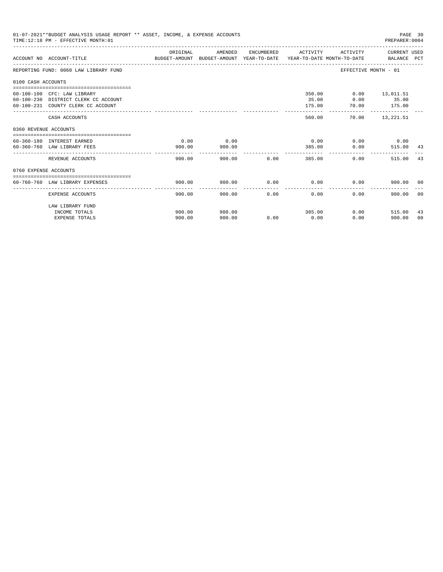|                       | 01-07-2021**BUDGET ANALYSIS USAGE REPORT ** ASSET, INCOME, & EXPENSE ACCOUNTS<br>TIME:12:18 PM - EFFECTIVE MONTH:01 |                                                                                                  |                |             |                           |                                     | PAGE 30<br>PREPARER: 0004                          |                |
|-----------------------|---------------------------------------------------------------------------------------------------------------------|--------------------------------------------------------------------------------------------------|----------------|-------------|---------------------------|-------------------------------------|----------------------------------------------------|----------------|
|                       | ACCOUNT NO ACCOUNT-TITLE                                                                                            | ORIGINAL<br>BUDGET-AMOUNT BUDGET-AMOUNT YEAR-TO-DATE  YEAR-TO-DATE MONTH-TO-DATE     BALANCE PCT | AMENDED        |             | ENCUMBERED ACTIVITY       |                                     | ACTIVITY CURRENT USED                              |                |
|                       | REPORTING FUND: 0060 LAW LIBRARY FUND                                                                               |                                                                                                  |                |             |                           | EFFECTIVE MONTH - 01                |                                                    |                |
| 0100 CASH ACCOUNTS    |                                                                                                                     |                                                                                                  |                |             |                           |                                     |                                                    |                |
|                       | 60-100-100 CFC: LAW LIBRARY<br>60-100-230 DISTRICT CLERK CC ACCOUNT<br>60-100-231 COUNTY CLERK CC ACCOUNT           |                                                                                                  |                |             | 350.00<br>35.00<br>175.00 | $0.00$ 35.00                        | $0.00$ 13,011.51<br>70.00 175.00<br>-------------- |                |
|                       | CASH ACCOUNTS                                                                                                       |                                                                                                  |                |             | 560.00                    |                                     | 70.00 13,221.51                                    |                |
| 0360 REVENUE ACCOUNTS |                                                                                                                     |                                                                                                  |                |             |                           |                                     |                                                    |                |
|                       | 60-360-180 INTEREST EARNED<br>60-360-760 LAW LIBRARY FEES                                                           | 0.00<br>900.00                                                                                   | 0.00<br>900.00 |             | 385.00                    | $0.00$ $0.00$ $0.00$ $0.00$<br>0.00 | 515.00 43                                          |                |
|                       | REVENUE ACCOUNTS                                                                                                    | 900.00                                                                                           |                | 900.00 0.00 | 385.00                    | 0.00                                | 515.00                                             | 43             |
| 0760 EXPENSE ACCOUNTS |                                                                                                                     |                                                                                                  |                |             |                           |                                     |                                                    |                |
|                       | 60-760-760 LAW LIBRARY EXPENSES                                                                                     | 900.00                                                                                           | 900.00         |             | $0.00$ 0.00               | 0.00                                | 900.00 00                                          |                |
|                       | EXPENSE ACCOUNTS                                                                                                    | 900.00                                                                                           | 900.00         | 0.00        | 0.00                      | 0.00                                | 900.00                                             | 0 <sub>0</sub> |
|                       | LAW LIBRARY FUND<br>INCOME TOTALS                                                                                   | 900.00                                                                                           | 900.00         |             | 385.00                    | 0.00                                | 515.00                                             | 43             |
|                       | <b>EXPENSE TOTALS</b>                                                                                               | 900.00                                                                                           | 900.00         | 0.00        | 0.00                      | 0.00                                | 900.00                                             | 0 <sup>0</sup> |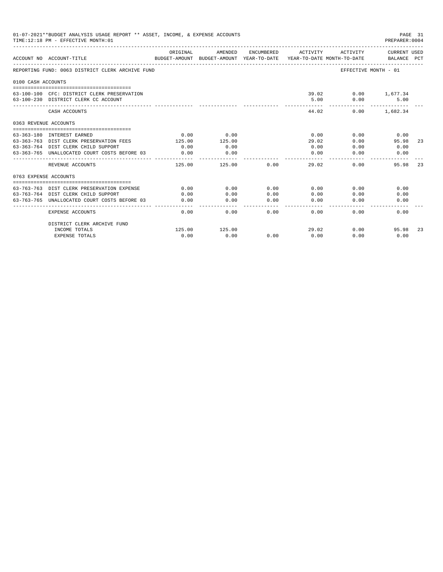|                       | 01-07-2021**BUDGET ANALYSIS USAGE REPORT ** ASSET, INCOME, & EXPENSE ACCOUNTS<br>TIME:12:18 PM - EFFECTIVE MONTH:01 |          |                                                                                |                                                                                                                                                                                                                                                                                                                                                                                                      |                 |                             | PAGE 31<br>PREPARER: 0004   |    |
|-----------------------|---------------------------------------------------------------------------------------------------------------------|----------|--------------------------------------------------------------------------------|------------------------------------------------------------------------------------------------------------------------------------------------------------------------------------------------------------------------------------------------------------------------------------------------------------------------------------------------------------------------------------------------------|-----------------|-----------------------------|-----------------------------|----|
|                       | ACCOUNT NO ACCOUNT-TITLE                                                                                            | ORIGINAL | AMENDED<br>BUDGET-AMOUNT BUDGET-AMOUNT YEAR-TO-DATE YEAR-TO-DATE MONTH-TO-DATE | ENCUMBERED                                                                                                                                                                                                                                                                                                                                                                                           | ACTIVITY        | ACTIVITY                    | CURRENT USED<br>BALANCE PCT |    |
|                       | REPORTING FUND: 0063 DISTRICT CLERK ARCHIVE FUND                                                                    |          |                                                                                |                                                                                                                                                                                                                                                                                                                                                                                                      |                 | EFFECTIVE MONTH - 01        |                             |    |
| 0100 CASH ACCOUNTS    |                                                                                                                     |          |                                                                                |                                                                                                                                                                                                                                                                                                                                                                                                      |                 |                             |                             |    |
|                       | 63-100-100 CFC: DISTRICT CLERK PRESERVATION<br>63-100-230 DISTRICT CLERK CC ACCOUNT                                 |          |                                                                                |                                                                                                                                                                                                                                                                                                                                                                                                      | 5.00<br>------  | 39.02 0.00 1,677.34<br>0.00 | 5.00                        |    |
|                       | CASH ACCOUNTS                                                                                                       |          |                                                                                |                                                                                                                                                                                                                                                                                                                                                                                                      | 44.02           | 0.00                        | 1,682.34                    |    |
| 0363 REVENUE ACCOUNTS |                                                                                                                     |          |                                                                                |                                                                                                                                                                                                                                                                                                                                                                                                      |                 |                             |                             |    |
|                       |                                                                                                                     |          |                                                                                |                                                                                                                                                                                                                                                                                                                                                                                                      |                 |                             |                             |    |
|                       | 63-363-180 INTEREST EARNED                                                                                          | 0.00     | 0.00                                                                           |                                                                                                                                                                                                                                                                                                                                                                                                      | 0.00            | 0.00                        | 0.00                        |    |
|                       | 63-363-763 DIST CLERK PRESERVATION FEES                                                                             | 125.00   | 125.00                                                                         |                                                                                                                                                                                                                                                                                                                                                                                                      | 29.02           | 0.00                        | 95.98                       | 23 |
|                       | 63-363-764 DIST CLERK CHILD SUPPORT                                                                                 | 0.00     | 0.00                                                                           |                                                                                                                                                                                                                                                                                                                                                                                                      | 0.00            | 0.00                        | 0.00                        |    |
|                       | 63-363-765 UNALLOCATED COURT COSTS BEFORE 03                                                                        | 0.00     | 0.00<br>----------                                                             |                                                                                                                                                                                                                                                                                                                                                                                                      | 0.00<br>------  | 0.00                        | 0.00                        |    |
|                       | REVENUE ACCOUNTS                                                                                                    | 125.00   | 125.00                                                                         | 0.00                                                                                                                                                                                                                                                                                                                                                                                                 | 29.02           | 0.00                        | 95.98                       | 23 |
| 0763 EXPENSE ACCOUNTS |                                                                                                                     |          |                                                                                |                                                                                                                                                                                                                                                                                                                                                                                                      |                 |                             |                             |    |
|                       |                                                                                                                     |          |                                                                                |                                                                                                                                                                                                                                                                                                                                                                                                      |                 |                             |                             |    |
|                       | 63-763-763 DIST CLERK PRESERVATION EXPENSE                                                                          | 0.00     | 0.00                                                                           | 0.00                                                                                                                                                                                                                                                                                                                                                                                                 | 0.00            | 0.00                        | 0.00                        |    |
|                       | 63-763-764 DIST CLERK CHILD SUPPORT                                                                                 | 0.00     | 0.00                                                                           | 0.00                                                                                                                                                                                                                                                                                                                                                                                                 | 0.00            | 0.00                        | 0.00                        |    |
|                       | 63-763-765 UNALLOCATED COURT COSTS BEFORE 03                                                                        | 0.00     | 0.00                                                                           | 0.00<br>$\frac{1}{2} \frac{1}{2} \frac{1}{2} \frac{1}{2} \frac{1}{2} \frac{1}{2} \frac{1}{2} \frac{1}{2} \frac{1}{2} \frac{1}{2} \frac{1}{2} \frac{1}{2} \frac{1}{2} \frac{1}{2} \frac{1}{2} \frac{1}{2} \frac{1}{2} \frac{1}{2} \frac{1}{2} \frac{1}{2} \frac{1}{2} \frac{1}{2} \frac{1}{2} \frac{1}{2} \frac{1}{2} \frac{1}{2} \frac{1}{2} \frac{1}{2} \frac{1}{2} \frac{1}{2} \frac{1}{2} \frac{$ | 0.00<br>------- | 0.00                        | 0.00                        |    |
|                       | <b>EXPENSE ACCOUNTS</b>                                                                                             | 0.00     | 0.00                                                                           | 0.00                                                                                                                                                                                                                                                                                                                                                                                                 | 0.00            | 0.00                        | 0.00                        |    |
|                       | DISTRICT CLERK ARCHIVE FUND                                                                                         |          |                                                                                |                                                                                                                                                                                                                                                                                                                                                                                                      |                 |                             |                             |    |
|                       | INCOME TOTALS                                                                                                       | 125.00   | 125.00                                                                         |                                                                                                                                                                                                                                                                                                                                                                                                      | 29.02           | 0.00                        | 95.98                       | 23 |
|                       | <b>EXPENSE TOTALS</b>                                                                                               | 0.00     | 0.00                                                                           | 0.00                                                                                                                                                                                                                                                                                                                                                                                                 | 0.00            | 0.00                        | 0.00                        |    |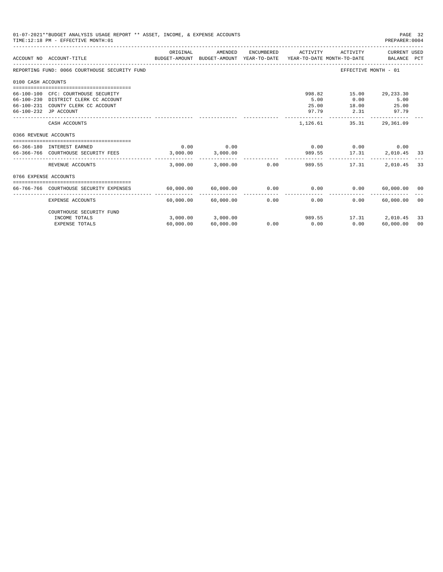|                       | 01-07-2021**BUDGET ANALYSIS USAGE REPORT ** ASSET, INCOME, & EXPENSE ACCOUNTS<br>PAGE 32<br>TIME: 12:18 PM - EFFECTIVE MONTH: 01<br>PREPARER: 0004 |           |                                |                       |                                  |                      |                                                 |          |  |
|-----------------------|----------------------------------------------------------------------------------------------------------------------------------------------------|-----------|--------------------------------|-----------------------|----------------------------------|----------------------|-------------------------------------------------|----------|--|
|                       | BUDGET-AMOUNT BUDGET-AMOUNT YEAR-TO-DATE YEAR-TO-DATE MONTH-TO-DATE<br>ACCOUNT NO ACCOUNT-TITLE                                                    | ORIGINAL  | AMENDED                        | ENCUMBERED            | ACTIVITY                         | ACTIVITY             | CURRENT USED<br>BALANCE PCT                     |          |  |
|                       | REPORTING FUND: 0066 COURTHOUSE SECURITY FUND                                                                                                      |           |                                |                       |                                  |                      | EFFECTIVE MONTH - 01                            |          |  |
| 0100 CASH ACCOUNTS    |                                                                                                                                                    |           |                                |                       |                                  |                      |                                                 |          |  |
|                       | 66-100-100 CFC: COURTHOUSE SECURITY<br>66-100-230 DISTRICT CLERK CC ACCOUNT<br>66-100-231 COUNTY CLERK CC ACCOUNT<br>66-100-232 JP ACCOUNT         |           |                                |                       | 998.82<br>5.00<br>25.00<br>97.79 | 0.00<br>2.31         | 15.00 29,233.30<br>5.00<br>18.00 25.00<br>97.79 |          |  |
|                       | CASH ACCOUNTS                                                                                                                                      |           |                                |                       | 1,126.61                         | 35.31                | 29,361.09                                       |          |  |
| 0366 REVENUE ACCOUNTS |                                                                                                                                                    |           |                                |                       |                                  |                      |                                                 |          |  |
|                       | 66-366-180 INTEREST EARNED<br>66-366-766 COURTHOUSE SECURITY FEES 3,000.00                                                                         | 0.00      | 0.00<br>3,000.00               |                       | 0.00<br>989.55                   | $0.00$ 0.00<br>17.31 | 2,010.45 33                                     |          |  |
|                       | REVENUE ACCOUNTS                                                                                                                                   | 3.000.00  | 3,000.00                       |                       | $0.00$ 989.55                    | 17.31                | 2,010.45                                        | 33       |  |
| 0766 EXPENSE ACCOUNTS |                                                                                                                                                    |           |                                |                       |                                  |                      |                                                 |          |  |
|                       | 66-766-766 COURTHOUSE SECURITY EXPENSES                                                                                                            |           | 60,000.00 60,000.00            |                       | $0.00$ 0.00                      | 0.00                 | 60,000,00 00                                    |          |  |
|                       | EXPENSE ACCOUNTS                                                                                                                                   |           | $60,000.00$ $60,000.00$        | -------------<br>0.00 | ------------<br>0.00             | $0.00 -$             | -------------<br>60,000.00                      | - 00     |  |
|                       | COURTHOUSE SECURITY FUND                                                                                                                           |           |                                |                       |                                  |                      |                                                 |          |  |
|                       | INCOME TOTALS<br><b>EXPENSE TOTALS</b>                                                                                                             | 60,000.00 | 3,000.00 3,000.00<br>60,000.00 | 0.00                  | 989.55<br>0.00                   | 0.00                 | 17.31 2.010.45<br>60,000.00                     | 33<br>00 |  |
|                       |                                                                                                                                                    |           |                                |                       |                                  |                      |                                                 |          |  |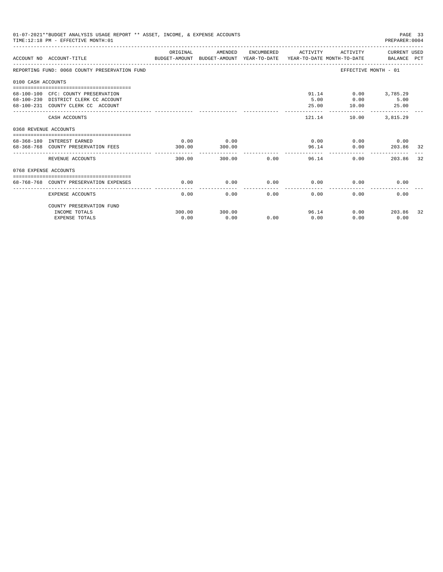|                       | 01-07-2021**BUDGET ANALYSIS USAGE REPORT ** ASSET, INCOME, & EXPENSE ACCOUNTS<br>TIME: 12:18 PM - EFFECTIVE MONTH: 01 |                |                |                           |                               |                                                       | PAGE 33<br>PREPARER: 0004 |     |
|-----------------------|-----------------------------------------------------------------------------------------------------------------------|----------------|----------------|---------------------------|-------------------------------|-------------------------------------------------------|---------------------------|-----|
|                       | ACCOUNT NO ACCOUNT-TITLE COMPUTER THE BUDGET-AMOUNT BUDGET-AMOUNT YEAR-TO-DATE YEAR-TO-DATE MONTH-TO-DATE BALANCE PCT | ORIGINAL       | AMENDED        |                           | ENCUMBERED ACTIVITY           |                                                       | ACTIVITY CURRENT USED     |     |
|                       | REPORTING FUND: 0068 COUNTY PRESERVATION FUND                                                                         |                |                |                           |                               |                                                       | EFFECTIVE MONTH - 01      |     |
| 0100 CASH ACCOUNTS    |                                                                                                                       |                |                |                           |                               |                                                       |                           |     |
|                       | 68-100-100 CFC: COUNTY PRESERVATION<br>68-100-230 DISTRICT CLERK CC ACCOUNT<br>68-100-231 COUNTY CLERK CC ACCOUNT     |                |                |                           | 5.00<br>25.00<br>------------ | 91.14 0.00 3,785.29<br>0.00<br>10.00<br>------------- | 5.00<br>25.00             |     |
|                       | CASH ACCOUNTS                                                                                                         |                |                |                           |                               | 121.14                                                | 10.00 3.815.29            |     |
| 0368 REVENUE ACCOUNTS |                                                                                                                       |                |                |                           |                               |                                                       |                           |     |
|                       | 68-368-180 INTEREST EARNED<br>68-368-768 COUNTY PRESERVATION FEES                                                     | 0.00<br>300.00 | 0.00<br>300.00 |                           |                               | $0.00$ $0.00$ $0.00$ $0.00$<br>96.14                  | 0.00 203.86 32            |     |
|                       | REVENUE ACCOUNTS                                                                                                      | 300.00         |                | 300.00 0.00               |                               | 96.14                                                 | 0.00<br>203.86            | 32  |
| 0768 EXPENSE ACCOUNTS |                                                                                                                       |                |                |                           |                               |                                                       |                           |     |
|                       | 68-768-768 COUNTY PRESERVATION EXPENSES                                                                               | 0.00           | 0.00           |                           | $0.00$ $0.00$ $0.00$ $0.00$   |                                                       | 0.00                      |     |
|                       | EXPENSE ACCOUNTS                                                                                                      | 0.00           |                | $0.00$ and $0.00$<br>0.00 | 0.00                          | 0.00                                                  | 0.00                      |     |
|                       | COUNTY PRESERVATION FUND                                                                                              |                |                |                           |                               |                                                       |                           |     |
|                       | INCOME TOTALS<br><b>EXPENSE TOTALS</b>                                                                                | 300.00<br>0.00 | 300.00<br>0.00 | 0.00                      | 0.00                          | 96.14<br>0.00                                         | $0.00$ 203.86<br>0.00     | -32 |
|                       |                                                                                                                       |                |                |                           |                               |                                                       |                           |     |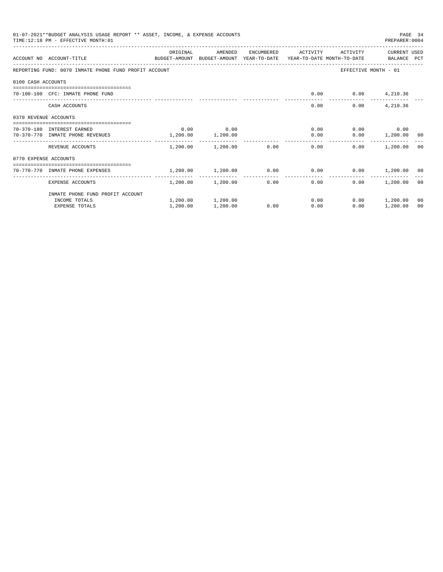|                       | 01-07-2021**BUDGET ANALYSIS USAGE REPORT ** ASSET, INCOME, & EXPENSE ACCOUNTS<br>TIME:12:18 PM - EFFECTIVE MONTH:01 |            |                   |            |                                                             |                          | PREPARER: 0004     | PAGE 34 |
|-----------------------|---------------------------------------------------------------------------------------------------------------------|------------|-------------------|------------|-------------------------------------------------------------|--------------------------|--------------------|---------|
|                       | ACCOUNT NO ACCOUNT-TITLE<br>BUDGET-AMOUNT BUDGET-AMOUNT YEAR-TO-DATE YEAR-TO-DATE MONTH-TO-DATE BALANCE PCT         | ORIGINAL   | AMENDED           | ENCUMBERED | ACTIVITY                                                    | ACTIVITY                 | CURRENT USED       |         |
|                       |                                                                                                                     |            |                   |            |                                                             |                          |                    |         |
|                       | REPORTING FUND: 0070 INMATE PHONE FUND PROFIT ACCOUNT                                                               |            |                   |            |                                                             | EFFECTIVE MONTH - 01     |                    |         |
| 0100 CASH ACCOUNTS    |                                                                                                                     |            |                   |            |                                                             |                          |                    |         |
|                       | 70-100-100 CFC: INMATE PHONE FUND                                                                                   |            |                   |            |                                                             | $0.00$ $0.00$ $4,210.36$ |                    |         |
|                       | CASH ACCOUNTS                                                                                                       |            |                   |            | 0.00                                                        | 0.00                     | 4,210.36           |         |
| 0370 REVENUE ACCOUNTS |                                                                                                                     |            |                   |            |                                                             |                          |                    |         |
|                       | 70-370-180 INTEREST EARNED                                                                                          | 0.00       | 0.00              |            | 0.00                                                        |                          | $0.00$ 0.00        |         |
|                       | 70-370-770 INMATE PHONE REVENUES                                                                                    | 1, 200, 00 | 1,200.00          |            | 0.00                                                        |                          | $0.00$ 1,200.00 00 |         |
|                       | REVENUE ACCOUNTS                                                                                                    |            |                   |            | $1,200.00$ $1,200.00$ $0.00$ $0.00$                         | 0.00                     | 1,200.00 00        |         |
| 0770 EXPENSE ACCOUNTS |                                                                                                                     |            |                   |            |                                                             |                          |                    |         |
|                       | ---------------------------------<br>70-770-770 INMATE PHONE EXPENSES                                               |            |                   |            | $1,200.00$ $1,200.00$ $0.00$ $0.00$ $0.00$ $1,200.00$ $0.0$ |                          |                    |         |
|                       | EXPENSE ACCOUNTS                                                                                                    | --------   | 1,200.00 1,200.00 |            | -------------<br>0.00<br>0.00                               | 0.00                     | 1,200.00 00        |         |
|                       | INMATE PHONE FUND PROFIT ACCOUNT                                                                                    |            |                   |            |                                                             |                          |                    |         |
|                       | INCOME TOTALS                                                                                                       |            | 1,200.00 1,200.00 |            | 0.00                                                        |                          | $0.00$ 1,200.00    | 00      |
|                       | <b>EXPENSE TOTALS</b>                                                                                               | 1,200.00   | 1,200.00          | 0.00       | 0.00                                                        | 0.00                     | 1,200.00           | 00      |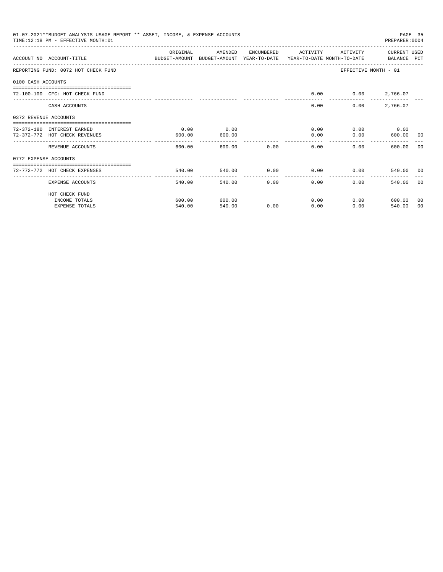|                       | 01-07-2021**BUDGET ANALYSIS USAGE REPORT ** ASSET, INCOME, & EXPENSE ACCOUNTS<br>TIME: 12:18 PM - EFFECTIVE MONTH: 01 |                          |         |            |                  |                   | PREPARER: 0004              | PAGE 35 |
|-----------------------|-----------------------------------------------------------------------------------------------------------------------|--------------------------|---------|------------|------------------|-------------------|-----------------------------|---------|
|                       | ACCOUNT NO ACCOUNT-TITLE CONTROL PROTECT-AMOUNT BUDGET-AMOUNT YEAR-TO-DATE YEAR-TO-DATE MONTH-TO-DATE BALANCE PCT     | OR TGTNAL                | AMENDED | ENCUMBERED | ACTIVITY         | ACTIVITY          | CURRENT USED                |         |
|                       | REPORTING FUND: 0072 HOT CHECK FUND                                                                                   |                          |         |            |                  |                   | EFFECTIVE MONTH - 01        |         |
| 0100 CASH ACCOUNTS    |                                                                                                                       |                          |         |            |                  |                   |                             |         |
|                       | 72-100-100 CFC: HOT CHECK FUND                                                                                        |                          |         |            | 0.00             |                   | $0.00$ 2,766.07             |         |
|                       | CASH ACCOUNTS                                                                                                         |                          |         |            | 0.00             | 0.00              | 2,766.07                    |         |
| 0372 REVENUE ACCOUNTS |                                                                                                                       |                          |         |            |                  |                   |                             |         |
|                       | 72-372-180 INTEREST EARNED                                                                                            | 0.00                     | 0.00    |            |                  | $0.00$ and $0.00$ | $0.00$ 0.00                 |         |
|                       | 72-372-772 HOT CHECK REVENUES                                                                                         | 600.00                   | 600.00  |            | 0.00             | 0.00              | 600.00 00                   |         |
|                       | REVENUE ACCOUNTS                                                                                                      | 600.00                   | 600.00  | 0.00       | 0.00             | $0.00 -$          | 600.00                      | - 0.0   |
| 0772 EXPENSE ACCOUNTS |                                                                                                                       |                          |         |            |                  |                   |                             |         |
|                       | 72-772-772 HOT CHECK EXPENSES                                                                                         | 540.00                   |         |            | 540.00 0.00 0.00 |                   | 0.00<br>540.00 00           |         |
|                       | EXPENSE ACCOUNTS                                                                                                      | --------------<br>540.00 | 540.00  | 0.00       | --------------   | 0.00<br>0.00      | 540.00                      | - 0.0   |
|                       | HOT CHECK FUND                                                                                                        |                          |         |            |                  |                   |                             |         |
|                       | INCOME TOTALS                                                                                                         | 600.00                   | 600.00  |            | 0.00             |                   | $0.00$ and $0.00$<br>600.00 | 00      |
|                       | <b>EXPENSE TOTALS</b>                                                                                                 | 540.00                   | 540.00  | 0.00       | 0.00             | 0.00              | 540.00                      | 00      |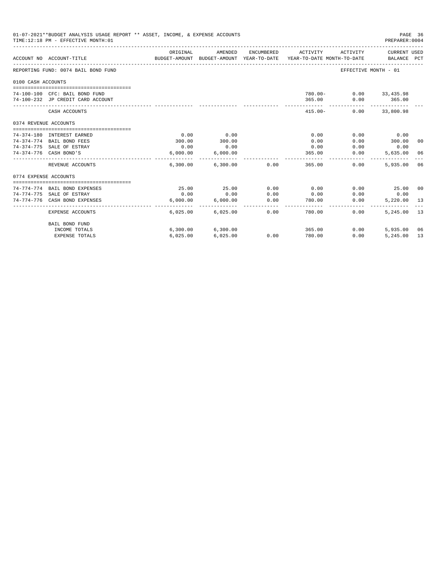|                       | 01-07-2021**BUDGET ANALYSIS USAGE REPORT ** ASSET, INCOME, & EXPENSE ACCOUNTS<br>TIME:12:18 PM - EFFECTIVE MONTH:01 |          |                        |            |                                                                                 |                      | PAGE 36<br>PREPARER: 0004   |    |
|-----------------------|---------------------------------------------------------------------------------------------------------------------|----------|------------------------|------------|---------------------------------------------------------------------------------|----------------------|-----------------------------|----|
|                       | ACCOUNT NO ACCOUNT-TITLE                                                                                            | ORIGINAL | AMENDED                | ENCUMBERED | ACTIVITY<br>BUDGET-AMOUNT BUDGET-AMOUNT YEAR-TO-DATE YEAR-TO-DATE MONTH-TO-DATE | ACTIVITY             | CURRENT USED<br>BALANCE PCT |    |
|                       | REPORTING FUND: 0074 BAIL BOND FUND                                                                                 |          |                        |            |                                                                                 | EFFECTIVE MONTH - 01 |                             |    |
| 0100 CASH ACCOUNTS    |                                                                                                                     |          |                        |            |                                                                                 |                      |                             |    |
|                       |                                                                                                                     |          |                        |            |                                                                                 |                      |                             |    |
|                       | 74-100-100 CFC: BAIL BOND FUND                                                                                      |          |                        |            | $780.00 -$                                                                      |                      | $0.00$ 33,435.98            |    |
|                       | 74-100-232 JP CREDIT CARD ACCOUNT                                                                                   |          |                        |            | 365.00                                                                          | 0.00<br>----------   | 365.00<br>-------------     |    |
|                       | CASH ACCOUNTS                                                                                                       |          |                        |            | $415.00 -$                                                                      |                      | $0.00$ 33,800.98            |    |
| 0374 REVENUE ACCOUNTS |                                                                                                                     |          |                        |            |                                                                                 |                      |                             |    |
|                       |                                                                                                                     |          |                        |            |                                                                                 |                      |                             |    |
|                       | 74-374-180 INTEREST EARNED                                                                                          | 0.00     | 0.00                   |            | 0.00                                                                            | 0.00                 | 0.00                        |    |
|                       | 74-374-774 BAIL BOND FEES                                                                                           | 300.00   | 300.00                 |            | 0.00                                                                            | 0.00                 | 300.00                      | 00 |
|                       | 74-374-775 SALE OF ESTRAY                                                                                           | 0.00     | 0.00                   |            | 0.00                                                                            | 0.00                 | 0.00                        |    |
|                       | 74-374-776 CASH BOND'S                                                                                              | 6,000.00 | 6,000.00               |            | 365.00                                                                          | 0.00                 | 5,635.00                    | 06 |
|                       | REVENUE ACCOUNTS                                                                                                    |          | 6,300.00 6,300.00 0.00 |            | 365.00                                                                          | 0.00                 | 5,935,00                    | 06 |
| 0774 EXPENSE ACCOUNTS |                                                                                                                     |          |                        |            |                                                                                 |                      |                             |    |
|                       |                                                                                                                     |          |                        |            |                                                                                 |                      |                             |    |
|                       | 74-774-774 BAIL BOND EXPENSES                                                                                       | 25.00    | 25.00                  | 0.00       | 0.00                                                                            | 0.00                 | 25.00 00                    |    |
|                       | 74-774-775 SALE OF ESTRAY                                                                                           | 0.00     | 0.00                   | 0.00       | 0.00                                                                            | 0.00                 | 0.00                        |    |
|                       | 74-774-776 CASH BOND EXPENSES                                                                                       | 6.000.00 | 6.000.00               | 0.00       | 780.00                                                                          | 0.00                 | 5,220.00                    | 13 |
|                       | EXPENSE ACCOUNTS                                                                                                    |          | 6,025,00 6,025,00      | 0.00       | 780.00                                                                          | 0.00                 | 5.245.00                    | 13 |
|                       | <b>BAIL BOND FUND</b>                                                                                               |          |                        |            |                                                                                 |                      |                             |    |
|                       | INCOME TOTALS                                                                                                       |          | 6,300.00 6,300.00      |            | 365.00                                                                          | 0.00                 | 5,935,00                    | 06 |
|                       | <b>EXPENSE TOTALS</b>                                                                                               | 6,025.00 | 6,025.00               | 0.00       | 780.00                                                                          | 0.00                 | 5,245.00                    | 13 |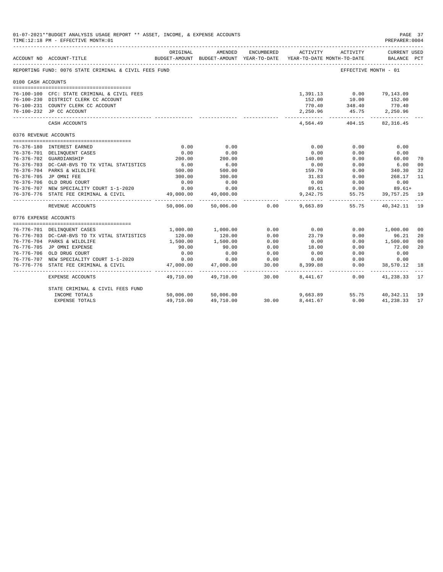| 01-07-2021**BUDGET ANALYSIS USAGE REPORT ** ASSET, INCOME, & EXPENSE ACCOUNTS<br>TIME:12:18 PM - EFFECTIVE MONTH:01<br>ENCUMBERED ACTIVITY<br>ORIGINAL<br>AMENDED<br>ACTIVITY<br>BUDGET-AMOUNT BUDGET-AMOUNT YEAR-TO-DATE YEAR-TO-DATE MONTH-TO-DATE<br>ACCOUNT NO ACCOUNT-TITLE<br>REPORTING FUND: 0076 STATE CRIMINAL & CIVIL FEES FUND<br>EFFECTIVE MONTH - 01<br>0100 CASH ACCOUNTS<br>1,391.13 0.00 79,143.09<br>76-100-100 CFC: STATE CRIMINAL & CIVIL FEES<br>76-100-230 DISTRICT CLERK CC ACCOUNT<br>152.00<br>10.00<br>152.00<br>348.40<br>770.40<br>76-100-231 COUNTY CLERK CC ACCOUNT<br>770.40<br>45.75 2,250.96<br>76-100-232 JP CC ACCOUNT<br>2,250.96<br>4,564.49<br>404.15<br>CASH ACCOUNTS<br>0376 REVENUE ACCOUNTS<br>0.00<br>0.00<br>0.00<br>76-376-180 INTEREST EARNED<br>0.00<br>0.00<br>0.00<br>76-376-701 DELINQUENT CASES<br>0.00<br>0.00<br>0.00<br>0.00<br>200.00<br>0.00<br>76-376-702 GUARDIANSHIP<br>200.00<br>140.00<br>60.00<br>$6.00$<br>500.00<br>6.00<br>76-376-703 DC-CAR-BVS TO TX VITAL STATISTICS<br>0.00<br>0.00<br>6.00<br>340.30<br>76-376-704 PARKS & WILDLIFE<br>500.00<br>159.70<br>0.00<br>76-376-705 JP OMNI FEE<br>300.00<br>31.83<br>0.00<br>300.00<br>268.17<br>0.00<br>76-376-706 OLD DRUG COURT<br>0.00<br>0.00<br>0.00<br>0.00<br>0.00<br>76-376-707 NEW SPECIALITY COURT 1-1-2020<br>0.00<br>0.00<br>89.61<br>$89.61+$<br>49,000.00<br>9,242.75<br>39,757.25<br>76-376-776 STATE FEE CRIMINAL & CIVIL<br>49,000.00<br>55.75<br>$50,006.00$ 0.00<br>9,663.89<br>55.75 40,342.11<br>REVENUE ACCOUNTS<br>50,006.00 |                                                                             |                         |                          |                    |          |                     | PAGE 37<br>PREPARER: 0004            |                      |
|----------------------------------------------------------------------------------------------------------------------------------------------------------------------------------------------------------------------------------------------------------------------------------------------------------------------------------------------------------------------------------------------------------------------------------------------------------------------------------------------------------------------------------------------------------------------------------------------------------------------------------------------------------------------------------------------------------------------------------------------------------------------------------------------------------------------------------------------------------------------------------------------------------------------------------------------------------------------------------------------------------------------------------------------------------------------------------------------------------------------------------------------------------------------------------------------------------------------------------------------------------------------------------------------------------------------------------------------------------------------------------------------------------------------------------------------------------------------------------------------------------------------------------------------------------------------|-----------------------------------------------------------------------------|-------------------------|--------------------------|--------------------|----------|---------------------|--------------------------------------|----------------------|
|                                                                                                                                                                                                                                                                                                                                                                                                                                                                                                                                                                                                                                                                                                                                                                                                                                                                                                                                                                                                                                                                                                                                                                                                                                                                                                                                                                                                                                                                                                                                                                      |                                                                             |                         |                          |                    |          |                     | <b>CURRENT USED</b><br>BALANCE PCT   |                      |
|                                                                                                                                                                                                                                                                                                                                                                                                                                                                                                                                                                                                                                                                                                                                                                                                                                                                                                                                                                                                                                                                                                                                                                                                                                                                                                                                                                                                                                                                                                                                                                      |                                                                             |                         |                          |                    |          |                     |                                      |                      |
|                                                                                                                                                                                                                                                                                                                                                                                                                                                                                                                                                                                                                                                                                                                                                                                                                                                                                                                                                                                                                                                                                                                                                                                                                                                                                                                                                                                                                                                                                                                                                                      |                                                                             |                         |                          |                    |          |                     |                                      |                      |
|                                                                                                                                                                                                                                                                                                                                                                                                                                                                                                                                                                                                                                                                                                                                                                                                                                                                                                                                                                                                                                                                                                                                                                                                                                                                                                                                                                                                                                                                                                                                                                      |                                                                             |                         |                          |                    |          |                     |                                      |                      |
|                                                                                                                                                                                                                                                                                                                                                                                                                                                                                                                                                                                                                                                                                                                                                                                                                                                                                                                                                                                                                                                                                                                                                                                                                                                                                                                                                                                                                                                                                                                                                                      |                                                                             |                         |                          |                    |          |                     |                                      |                      |
|                                                                                                                                                                                                                                                                                                                                                                                                                                                                                                                                                                                                                                                                                                                                                                                                                                                                                                                                                                                                                                                                                                                                                                                                                                                                                                                                                                                                                                                                                                                                                                      |                                                                             |                         |                          |                    |          |                     |                                      |                      |
|                                                                                                                                                                                                                                                                                                                                                                                                                                                                                                                                                                                                                                                                                                                                                                                                                                                                                                                                                                                                                                                                                                                                                                                                                                                                                                                                                                                                                                                                                                                                                                      |                                                                             |                         |                          |                    |          |                     |                                      |                      |
|                                                                                                                                                                                                                                                                                                                                                                                                                                                                                                                                                                                                                                                                                                                                                                                                                                                                                                                                                                                                                                                                                                                                                                                                                                                                                                                                                                                                                                                                                                                                                                      |                                                                             |                         |                          |                    |          |                     | 82, 316.45                           |                      |
|                                                                                                                                                                                                                                                                                                                                                                                                                                                                                                                                                                                                                                                                                                                                                                                                                                                                                                                                                                                                                                                                                                                                                                                                                                                                                                                                                                                                                                                                                                                                                                      |                                                                             |                         |                          |                    |          |                     |                                      |                      |
|                                                                                                                                                                                                                                                                                                                                                                                                                                                                                                                                                                                                                                                                                                                                                                                                                                                                                                                                                                                                                                                                                                                                                                                                                                                                                                                                                                                                                                                                                                                                                                      |                                                                             |                         |                          |                    |          |                     |                                      |                      |
|                                                                                                                                                                                                                                                                                                                                                                                                                                                                                                                                                                                                                                                                                                                                                                                                                                                                                                                                                                                                                                                                                                                                                                                                                                                                                                                                                                                                                                                                                                                                                                      |                                                                             |                         |                          |                    |          |                     |                                      |                      |
|                                                                                                                                                                                                                                                                                                                                                                                                                                                                                                                                                                                                                                                                                                                                                                                                                                                                                                                                                                                                                                                                                                                                                                                                                                                                                                                                                                                                                                                                                                                                                                      |                                                                             |                         |                          |                    |          |                     |                                      |                      |
|                                                                                                                                                                                                                                                                                                                                                                                                                                                                                                                                                                                                                                                                                                                                                                                                                                                                                                                                                                                                                                                                                                                                                                                                                                                                                                                                                                                                                                                                                                                                                                      |                                                                             |                         |                          |                    |          |                     |                                      | 70                   |
|                                                                                                                                                                                                                                                                                                                                                                                                                                                                                                                                                                                                                                                                                                                                                                                                                                                                                                                                                                                                                                                                                                                                                                                                                                                                                                                                                                                                                                                                                                                                                                      |                                                                             |                         |                          |                    |          |                     |                                      | 00                   |
|                                                                                                                                                                                                                                                                                                                                                                                                                                                                                                                                                                                                                                                                                                                                                                                                                                                                                                                                                                                                                                                                                                                                                                                                                                                                                                                                                                                                                                                                                                                                                                      |                                                                             |                         |                          |                    |          |                     |                                      | 32<br>11             |
|                                                                                                                                                                                                                                                                                                                                                                                                                                                                                                                                                                                                                                                                                                                                                                                                                                                                                                                                                                                                                                                                                                                                                                                                                                                                                                                                                                                                                                                                                                                                                                      |                                                                             |                         |                          |                    |          |                     |                                      |                      |
|                                                                                                                                                                                                                                                                                                                                                                                                                                                                                                                                                                                                                                                                                                                                                                                                                                                                                                                                                                                                                                                                                                                                                                                                                                                                                                                                                                                                                                                                                                                                                                      |                                                                             |                         |                          |                    |          |                     |                                      |                      |
|                                                                                                                                                                                                                                                                                                                                                                                                                                                                                                                                                                                                                                                                                                                                                                                                                                                                                                                                                                                                                                                                                                                                                                                                                                                                                                                                                                                                                                                                                                                                                                      |                                                                             |                         |                          |                    |          |                     |                                      | 19                   |
|                                                                                                                                                                                                                                                                                                                                                                                                                                                                                                                                                                                                                                                                                                                                                                                                                                                                                                                                                                                                                                                                                                                                                                                                                                                                                                                                                                                                                                                                                                                                                                      |                                                                             |                         |                          |                    |          |                     |                                      |                      |
|                                                                                                                                                                                                                                                                                                                                                                                                                                                                                                                                                                                                                                                                                                                                                                                                                                                                                                                                                                                                                                                                                                                                                                                                                                                                                                                                                                                                                                                                                                                                                                      |                                                                             |                         |                          |                    |          |                     |                                      | 19                   |
| 0776 EXPENSE ACCOUNTS                                                                                                                                                                                                                                                                                                                                                                                                                                                                                                                                                                                                                                                                                                                                                                                                                                                                                                                                                                                                                                                                                                                                                                                                                                                                                                                                                                                                                                                                                                                                                |                                                                             |                         |                          |                    |          |                     |                                      |                      |
|                                                                                                                                                                                                                                                                                                                                                                                                                                                                                                                                                                                                                                                                                                                                                                                                                                                                                                                                                                                                                                                                                                                                                                                                                                                                                                                                                                                                                                                                                                                                                                      |                                                                             | 1,000.00                | 1,000.00                 | 0.00               | 0.00     | 0.00                |                                      |                      |
|                                                                                                                                                                                                                                                                                                                                                                                                                                                                                                                                                                                                                                                                                                                                                                                                                                                                                                                                                                                                                                                                                                                                                                                                                                                                                                                                                                                                                                                                                                                                                                      | 76-776-701 DELINQUENT CASES<br>76-776-703 DC-CAR-BVS TO TX VITAL STATISTICS | 120.00                  | 120.00                   | 0.00               | 23.79    | 0.00                | 1,000.00<br>96.21                    | 0 <sub>0</sub><br>20 |
|                                                                                                                                                                                                                                                                                                                                                                                                                                                                                                                                                                                                                                                                                                                                                                                                                                                                                                                                                                                                                                                                                                                                                                                                                                                                                                                                                                                                                                                                                                                                                                      | 76-776-704 PARKS & WILDLIFE                                                 | 1,500.00                | 1,500.00                 | 0.00               | 0.00     | 0.00                | 1,500.00                             | 0 <sup>0</sup>       |
|                                                                                                                                                                                                                                                                                                                                                                                                                                                                                                                                                                                                                                                                                                                                                                                                                                                                                                                                                                                                                                                                                                                                                                                                                                                                                                                                                                                                                                                                                                                                                                      | 76-776-705 JP OMNI EXPENSE                                                  | 90.00                   | 90.00                    | 0.00               | 18.00    | 0.00                | 72.00                                | 20                   |
|                                                                                                                                                                                                                                                                                                                                                                                                                                                                                                                                                                                                                                                                                                                                                                                                                                                                                                                                                                                                                                                                                                                                                                                                                                                                                                                                                                                                                                                                                                                                                                      | 76-776-706 OLD DRUG COURT                                                   | 0.00                    | 0.00                     | 0.00               | 0.00     | 0.00                | 0.00                                 |                      |
|                                                                                                                                                                                                                                                                                                                                                                                                                                                                                                                                                                                                                                                                                                                                                                                                                                                                                                                                                                                                                                                                                                                                                                                                                                                                                                                                                                                                                                                                                                                                                                      | 76-776-707 NEW SPECIALITY COURT 1-1-2020                                    | 0.00                    | 0.00                     | 0.00               | 0.00     | 0.00                | 0.00                                 |                      |
| 76-776-776                                                                                                                                                                                                                                                                                                                                                                                                                                                                                                                                                                                                                                                                                                                                                                                                                                                                                                                                                                                                                                                                                                                                                                                                                                                                                                                                                                                                                                                                                                                                                           | STATE FEE CRIMINAL & CIVIL                                                  | 47,000.00               | 47,000.00                | 30.00              | 8,399.88 | 0.00                | 38,570.12                            | 18                   |
|                                                                                                                                                                                                                                                                                                                                                                                                                                                                                                                                                                                                                                                                                                                                                                                                                                                                                                                                                                                                                                                                                                                                                                                                                                                                                                                                                                                                                                                                                                                                                                      | EXPENSE ACCOUNTS                                                            | __________<br>49,710.00 | ___________<br>49,710.00 | ------- -<br>30.00 | 8,441.67 | -----------<br>0.00 | . _ _ _ _ _ _ _ _ _ _ _<br>41,238.33 | 17                   |
|                                                                                                                                                                                                                                                                                                                                                                                                                                                                                                                                                                                                                                                                                                                                                                                                                                                                                                                                                                                                                                                                                                                                                                                                                                                                                                                                                                                                                                                                                                                                                                      | STATE CRIMINAL & CIVIL FEES FUND                                            |                         |                          |                    |          |                     |                                      |                      |
|                                                                                                                                                                                                                                                                                                                                                                                                                                                                                                                                                                                                                                                                                                                                                                                                                                                                                                                                                                                                                                                                                                                                                                                                                                                                                                                                                                                                                                                                                                                                                                      | INCOME TOTALS                                                               | 50,006.00               | 50,006.00                |                    | 9,663.89 |                     | 55.75 40,342.11                      | 19                   |
|                                                                                                                                                                                                                                                                                                                                                                                                                                                                                                                                                                                                                                                                                                                                                                                                                                                                                                                                                                                                                                                                                                                                                                                                                                                                                                                                                                                                                                                                                                                                                                      | <b>EXPENSE TOTALS</b>                                                       | 49,710.00               | 49,710.00                | 30.00              | 8,441.67 | 0.00                | 41,238.33                            | 17                   |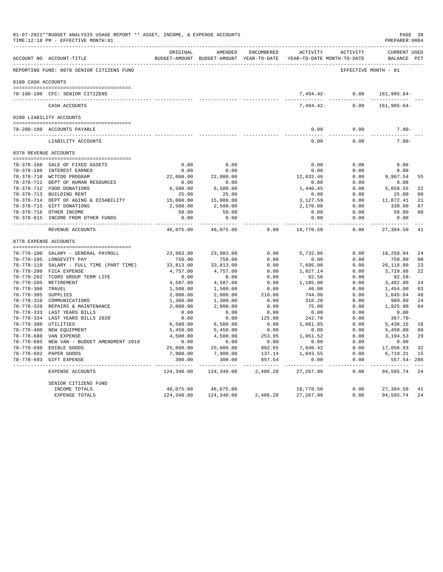|                     | 01-07-2021**BUDGET ANALYSIS USAGE REPORT ** ASSET, INCOME, & EXPENSE ACCOUNTS<br>TIME:12:18 PM - EFFECTIVE MONTH:01 |                      |                                                                                |                |                      |                      | PAGE 38<br>PREPARER: 0004          |                |
|---------------------|---------------------------------------------------------------------------------------------------------------------|----------------------|--------------------------------------------------------------------------------|----------------|----------------------|----------------------|------------------------------------|----------------|
|                     | ACCOUNT NO ACCOUNT-TITLE                                                                                            | ORIGINAL             | AMENDED<br>BUDGET-AMOUNT BUDGET-AMOUNT YEAR-TO-DATE YEAR-TO-DATE MONTH-TO-DATE | ENCUMBERED     | ACTIVITY             | ACTIVITY             | <b>CURRENT USED</b><br>BALANCE PCT |                |
|                     | REPORTING FUND: 0078 SENIOR CITIZENS FUND                                                                           |                      |                                                                                |                |                      | EFFECTIVE MONTH - 01 |                                    |                |
| 0100 CASH ACCOUNTS  |                                                                                                                     |                      |                                                                                |                |                      |                      |                                    |                |
|                     |                                                                                                                     |                      |                                                                                |                |                      |                      |                                    |                |
|                     | 78-100-100 CFC: SENIOR CITIZENS                                                                                     |                      |                                                                                |                | 7,494.42-            | 0.00                 | 161,905.64-                        |                |
|                     | CASH ACCOUNTS                                                                                                       |                      |                                                                                |                | $7,494.42-$          | 0.00                 | 161,905.64-                        |                |
|                     | 0200 LIABILITY ACCOUNTS                                                                                             |                      |                                                                                |                |                      |                      |                                    |                |
|                     | 78-200-180 ACCOUNTS PAYABLE                                                                                         |                      |                                                                                |                | 0.00                 | 0.00                 | $7.00 -$                           |                |
|                     | ----------------------------<br>LIABILITY ACCOUNTS                                                                  |                      |                                                                                |                | $---$<br>0.00        | $- - - - -$<br>0.00  | $- - - - -$<br>$7.00 -$            |                |
|                     | 0378 REVENUE ACCOUNTS                                                                                               |                      |                                                                                |                |                      |                      |                                    |                |
|                     |                                                                                                                     |                      |                                                                                |                |                      |                      |                                    |                |
|                     | 78-378-160 SALE OF FIXED ASSETS                                                                                     | 0.00                 | 0.00                                                                           |                | 0.00                 | 0.00                 | 0.00                               |                |
|                     | 78-378-180 INTEREST EARNED                                                                                          | 0.00                 | 0.00                                                                           |                | 0.00                 | 0.00                 | 0.00                               |                |
|                     | 78-378-710 WCTCOG PROGRAM                                                                                           | 22,000.00            | 22,000.00                                                                      |                | 12,032.46            | 0.00                 | 9,967.54                           | 55             |
|                     | 78-378-711 DEPT OF HUMAN RESOURCES                                                                                  | 0.00                 | 0.00                                                                           |                | 0.00                 | 0.00                 | 0.00                               |                |
|                     | 78-378-712 FOOD DONATIONS                                                                                           | 6,500.00             | 6,500.00                                                                       |                | 1,440.45             | 0.00                 | 5,059.55                           | 22             |
|                     | 78-378-713 BUILDING RENT                                                                                            | 25.00                | 25.00                                                                          |                | 0.00                 | 0.00                 | 25.00                              | 0 <sup>0</sup> |
|                     | 78-378-714 DEPT OF AGING & DISABILITY                                                                               | 15,000.00            | 15,000.00<br>2,500.00                                                          |                | 3,127.59<br>2,170.00 | 0.00<br>0.00         | 11,872.41                          | 21<br>87       |
|                     | 78-378-715 GIFT DONATIONS<br>78-378-716 OTHER INCOME                                                                | 2,500.00<br>50.00    | 50.00                                                                          |                | 0.00                 | 0.00                 | 330.00<br>50.00                    | 0 <sup>0</sup> |
|                     | 78-378-815 INCOME FROM OTHER FUNDS                                                                                  | 0.00                 | 0.00                                                                           |                | 0.00                 | 0.00                 | 0.00                               |                |
|                     |                                                                                                                     |                      |                                                                                | 0.00           | $- - - -$            | 0.00                 |                                    | 41             |
|                     | REVENUE ACCOUNTS                                                                                                    | 46,075.00            | 46,075.00                                                                      |                | 18,770.50            |                      | 27,304.50                          |                |
|                     | 0778 EXPENSE ACCOUNTS                                                                                               |                      |                                                                                |                |                      |                      |                                    |                |
|                     | 78-778-100 SALARY - GENERAL PAYROLL                                                                                 | 23,983.00            | 23,983.00                                                                      | 0.00           | 5,732.06             | 0.00                 | 18,250.94                          | 24             |
|                     | 78-778-105 LONGEVITY PAY                                                                                            | 750.00               | 750.00                                                                         | 0.00           | 0.00                 | 0.00                 | 750.00                             | 0 <sub>0</sub> |
|                     | 78-778-110 SALARY - FULL TIME (PART TIME)                                                                           | 33,813.00            | 33,813.00                                                                      | 0.00           | 7,695.00             | 0.00                 | 26,118.00                          | 23             |
|                     | 78-778-200 FICA EXPENSE                                                                                             | 4,757.00             | 4,757.00                                                                       | 0.00           | 1,027.14             | 0.00                 | 3,729.86                           | 22             |
|                     | 78-778-202 TCDRS GROUP TERM LIFE                                                                                    | 0.00                 | 0.00                                                                           | 0.00           | 92.58                | 0.00                 | $92.58 -$                          |                |
|                     | 78-778-205 RETIREMENT                                                                                               | 4,587.00             | 4,587.00                                                                       | 0.00           | 1,105.00             | 0.00                 | 3,482.00                           | 24             |
| 78-778-300 TRAVEL   |                                                                                                                     | 1,500.00             | 1,500.00                                                                       | 0.00           | 46.00                | 0.00                 | 1,454.00                           | 03             |
| 78-778-305 SUPPLIES | 78-778-310 COMMUNICATIONS                                                                                           | 2,000.00             | 2,000.00                                                                       | 210.00<br>0.00 | 744.96<br>310.20     | 0.00<br>0.00         | 1,045.04<br>989.80                 | 48             |
|                     | 78-778-320 REPAIRS & MAINTENANCE                                                                                    | 1,300.00<br>2,000.00 | 1,300.00<br>2,000.00                                                           | 0.00           | 75.00                | 0.00                 | 1,925.00                           | 24<br>04       |
|                     | 78-778-333 LAST YEARS BILLS                                                                                         | 0.00                 | 0.00                                                                           | 0.00           | 0.00                 | 0.00                 | 0.00                               |                |
|                     | 78-778-334 LAST YEARS BILLS 2020                                                                                    | 0.00                 | 0.00                                                                           | 125.00         | 242.70               | 0.00                 | $367.70 -$                         |                |
|                     | 78-778-380 UTILITIES                                                                                                | 6,500.00             | 6,500.00                                                                       | 0.00           | 1,061.85             | 0.00                 | 5,438.15                           | 16             |
|                     | 78-778-400 NEW EQUIPMENT                                                                                            | 5,450.00             | 5,450.00                                                                       | 0.00           | 0.00                 | 0.00                 | 5,450.00                           | 0 <sub>0</sub> |
|                     | 78-778-680 VAN EXPENSE                                                                                              | 4,500.00             | 4,500.00                                                                       | 253.95         | 1,051.52             | 0.00                 | 3,194.53                           | 29             |
|                     | 78-778-685 NEW VAN - BUDGET AMENDMENT 2019                                                                          | 0.00                 | 0.00                                                                           | 0.00           | 0.00                 | 0.00                 | 0.00                               |                |
|                     | 78-778-690 EDIBLE GOODS                                                                                             | 25,000.00            | 25,000.00                                                                      | 902.65         | 7,040.42             | 0.00                 | 17,056.93                          | 32             |
|                     | 78-778-692 PAPER GOODS                                                                                              | 7,900.00             | 7,900.00                                                                       | 137.14         | 1,043.55             | 0.00                 | 6,719.31                           | 15             |
|                     | 78-778-693 GIFT EXPENSE                                                                                             | 300.00               | 300.00                                                                         | 857.54         | 0.00                 | 0.00                 | $557.54 - 286$                     |                |
|                     | EXPENSE ACCOUNTS                                                                                                    | 124,340.00           | 124,340.00                                                                     | 2,486.28       | 27, 267.98           | 0.00                 | 94,585.74                          | 24             |
|                     | SENIOR CITIZENS FUND                                                                                                |                      |                                                                                |                |                      |                      |                                    |                |
|                     | INCOME TOTALS                                                                                                       | 46,075.00            | 46,075.00                                                                      |                | 18,770.50            | 0.00                 | 27,304.50                          | 41             |
|                     | <b>EXPENSE TOTALS</b>                                                                                               | 124,340.00           | 124,340.00                                                                     | 2,486.28       | 27, 267.98           | 0.00                 | 94,585.74                          | 24             |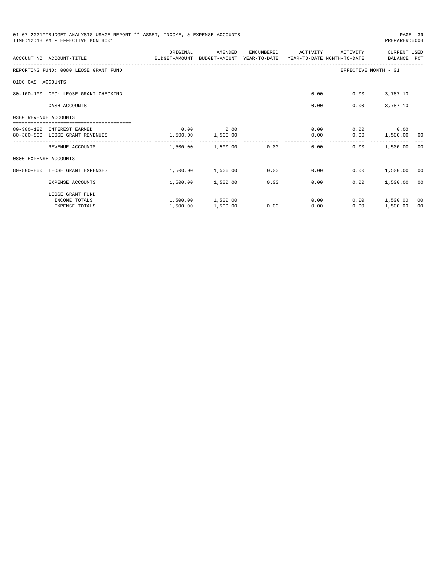|                       | 01-07-2021**BUDGET ANALYSIS USAGE REPORT ** ASSET, INCOME, & EXPENSE ACCOUNTS<br>TIME:12:18 PM - EFFECTIVE MONTH:01 |          |                         |              |                                                            |                          | PAGE 39<br>PREPARER:0004 |                |
|-----------------------|---------------------------------------------------------------------------------------------------------------------|----------|-------------------------|--------------|------------------------------------------------------------|--------------------------|--------------------------|----------------|
|                       | ACCOUNT NO ACCOUNT-TITLE CONTROL BUDGET-AMOUNT BUDGET-AMOUNT YEAR-TO-DATE YEAR-TO-DATE MONTH-TO-DATE BALANCE PCT    | ORIGINAL | AMENDED                 |              | ENCUMBERED ACTIVITY                                        |                          | ACTIVITY CURRENT USED    |                |
|                       |                                                                                                                     |          |                         |              |                                                            |                          |                          |                |
|                       | REPORTING FUND: 0080 LEOSE GRANT FUND                                                                               |          |                         |              |                                                            | EFFECTIVE MONTH - 01     |                          |                |
| 0100 CASH ACCOUNTS    |                                                                                                                     |          |                         |              |                                                            |                          |                          |                |
|                       | 80-100-100 CFC: LEOSE GRANT CHECKING                                                                                |          |                         |              |                                                            | $0.00$ $0.00$ $3,787.10$ |                          |                |
|                       | CASH ACCOUNTS                                                                                                       |          |                         |              | 0.00                                                       |                          | $0.00$ 3,787.10          |                |
| 0380 REVENUE ACCOUNTS |                                                                                                                     |          |                         |              |                                                            |                          |                          |                |
|                       | 80-380-180 INTEREST EARNED                                                                                          | 0.00     | 0.00                    |              | 0.00                                                       |                          | $0.00$ 0.00              |                |
|                       | 80-380-800 LEOSE GRANT REVENUES                                                                                     | 1,500.00 | 1,500.00                |              | 0.00                                                       |                          | $0.00$ 1,500.00 00       |                |
|                       | REVENUE ACCOUNTS                                                                                                    |          | 1,500.00 1,500.00 0.00  |              | 0.00                                                       | 0.00                     | 1,500.00                 | - 00           |
| 0800 EXPENSE ACCOUNTS |                                                                                                                     |          |                         |              |                                                            |                          |                          |                |
|                       | ------------------------------------<br>80-800-800 LEOSE GRANT EXPENSES                                             |          |                         |              | $1,500.00$ $1,500.00$ $0.00$ $0.00$ $0.00$ $1,500.00$ $00$ |                          |                          |                |
|                       |                                                                                                                     |          | -------- -------------- | ------------ | --------------                                             | ____________             |                          |                |
|                       | EXPENSE ACCOUNTS                                                                                                    |          | 1,500.00 1,500.00       |              | 0.00<br>0.00                                               | 0.00                     | 1,500.00                 | 00             |
|                       | LEOSE GRANT FUND                                                                                                    |          |                         |              |                                                            |                          |                          |                |
|                       | INCOME TOTALS                                                                                                       |          | 1,500.00 1,500.00       |              | 0.00                                                       |                          | $0.00$ 1,500.00          | 0 <sup>0</sup> |
|                       | <b>EXPENSE TOTALS</b>                                                                                               | 1,500.00 | 1,500.00                | 0.00         | 0.00                                                       | 0.00                     | 1,500.00                 | 0 <sup>0</sup> |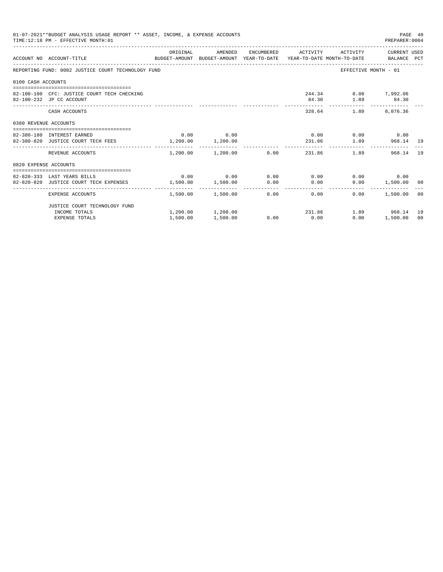|                       | 01-07-2021**BUDGET ANALYSIS USAGE REPORT ** ASSET, INCOME, & EXPENSE ACCOUNTS<br>TIME:12:18 PM - EFFECTIVE MONTH:01 |                   |                                        |      |      |                  | PAGE 40<br>PREPARER: 0004                         |    |
|-----------------------|---------------------------------------------------------------------------------------------------------------------|-------------------|----------------------------------------|------|------|------------------|---------------------------------------------------|----|
|                       | ACCOUNT NO ACCOUNT-TITLE CONTROL SUDGET-AMOUNT BUDGET-AMOUNT YEAR-TO-DATE YEAR-TO-DATE MONTH-TO-DATE BALANCE PCT    | ORIGINAL          |                                        |      |      |                  | AMENDED ENCUMBERED ACTIVITY ACTIVITY CURRENT_USED |    |
|                       | REPORTING FUND: 0082 JUSTICE COURT TECHNOLOGY FUND                                                                  |                   |                                        |      |      |                  | EFFECTIVE MONTH - 01                              |    |
| 0100 CASH ACCOUNTS    |                                                                                                                     |                   |                                        |      |      |                  |                                                   |    |
|                       | 82-100-100 CFC: JUSTICE COURT TECH CHECKING<br>82-100-232 JP CC ACCOUNT                                             |                   |                                        |      |      | 84.30 1.89 84.30 | 244.34 0.00 7,992.06                              |    |
|                       | CASH ACCOUNTS                                                                                                       |                   |                                        |      |      |                  | 328.64 1.89 8,076.36                              |    |
| 0380 REVENUE ACCOUNTS |                                                                                                                     |                   |                                        |      |      |                  |                                                   |    |
|                       | 82-380-180 INTEREST EARNED                                                                                          |                   | $0.00$ 0.00                            |      |      |                  | $0.00$ $0.00$ $0.00$ $0.00$                       |    |
|                       | 82-380-820 JUSTICE COURT TECH FEES 1,200.00 1,200.00                                                                |                   |                                        |      |      |                  | 231.86 1.89 968.14 19                             |    |
|                       | REVENUE ACCOUNTS                                                                                                    |                   | $1,200.00$ $1,200.00$ 0.00             |      | .    | 231.86           | 1.89<br>968.14                                    | 19 |
| 0820 EXPENSE ACCOUNTS |                                                                                                                     |                   |                                        |      |      |                  |                                                   |    |
|                       |                                                                                                                     |                   |                                        |      |      |                  |                                                   |    |
|                       | 82-820-333 LAST YEARS BILLS                                                                                         |                   | $0.00$ $0.00$ $0.00$ $0.00$ $0.00$     |      |      |                  | $0.00$ 0.00                                       |    |
|                       | 82-820-820 JUSTICE COURT TECH EXPENSES                                                                              | 1,500.00 1,500.00 |                                        | 0.00 | 0.00 |                  | $0.00$ 1,500.00 00                                |    |
|                       | EXPENSE ACCOUNTS                                                                                                    |                   | $1.500.00$ $1.500.00$ $0.00$ 0.00 0.00 |      |      |                  | 0.00<br>1,500.00 00                               |    |
|                       | JUSTICE COURT TECHNOLOGY FUND                                                                                       |                   |                                        |      |      |                  |                                                   |    |
|                       | INCOME TOTALS                                                                                                       |                   | $1,200.00$ $1,200.00$ $231.86$         |      |      |                  | 1.89 968.14 19                                    |    |
|                       | <b>EXPENSE TOTALS</b>                                                                                               | 1,500.00          | 1,500.00                               | 0.00 | 0.00 | 0.00             | 1,500.00                                          | 00 |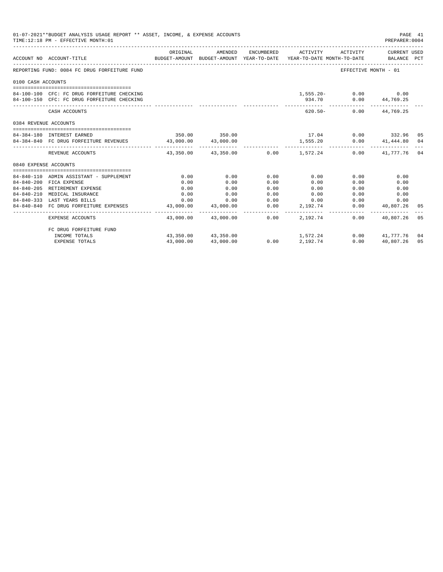|                            | 01-07-2021**BUDGET ANALYSIS USAGE REPORT ** ASSET, INCOME, & EXPENSE ACCOUNTS<br>TIME:12:18 PM - EFFECTIVE MONTH:01 |                                                                                 |                                                            |      |                          |                             | PREPARER:0004                   | PAGE 41 |
|----------------------------|---------------------------------------------------------------------------------------------------------------------|---------------------------------------------------------------------------------|------------------------------------------------------------|------|--------------------------|-----------------------------|---------------------------------|---------|
|                            | ACCOUNT NO ACCOUNT-TITLE                                                                                            | BUDGET-AMOUNT BUDGET-AMOUNT YEAR-TO-DATE YEAR-TO-DATE MONTH-TO-DATE BALANCE PCT | ORIGINAL AMENDED ENCUMBERED ACTIVITY ACTIVITY CURRENT USED |      |                          |                             |                                 |         |
|                            | REPORTING FUND: 0084 FC DRUG FORFEITURE FUND                                                                        |                                                                                 |                                                            |      |                          |                             | EFFECTIVE MONTH - 01            |         |
| 0100 CASH ACCOUNTS         |                                                                                                                     |                                                                                 |                                                            |      |                          |                             |                                 |         |
|                            |                                                                                                                     |                                                                                 |                                                            |      |                          |                             |                                 |         |
|                            | 84-100-100 CFC: FC DRUG FORFEITURE CHECKING                                                                         |                                                                                 |                                                            |      |                          | $1,555.20 - 0.00$ 0.00      |                                 |         |
|                            | 84-100-150 CFC: FC DRUG FORFEITURE CHECKING                                                                         |                                                                                 |                                                            |      |                          | 934.70 0.00 44,769.25       |                                 |         |
|                            | CASH ACCOUNTS                                                                                                       |                                                                                 |                                                            |      |                          | $620.50 - 0.00$ $44.769.25$ |                                 |         |
| 0384 REVENUE ACCOUNTS      |                                                                                                                     |                                                                                 |                                                            |      |                          |                             |                                 |         |
|                            |                                                                                                                     |                                                                                 |                                                            |      |                          |                             |                                 |         |
| 84-384-180 INTEREST EARNED |                                                                                                                     |                                                                                 | 350.00 350.00                                              |      | $17.04$ 0.00 332.96 05   |                             |                                 |         |
|                            | 84-384-840 FC DRUG FORFEITURE REVENUES 43,000.00 43,000.00                                                          |                                                                                 |                                                            |      | 1,555.20                 |                             | $0.00$ $41,444.80$ $04$         |         |
|                            | REVENUE ACCOUNTS                                                                                                    |                                                                                 | $43.350.00$ $43.350.00$ $0.00$ $1.572.24$                  |      |                          |                             | $0.00$ $41,777.76$ 04           |         |
| 0840 EXPENSE ACCOUNTS      |                                                                                                                     |                                                                                 |                                                            |      |                          |                             |                                 |         |
|                            |                                                                                                                     |                                                                                 |                                                            |      |                          |                             |                                 |         |
|                            | 84-840-110 ADMIN ASSISTANT - SUPPLEMENT                                                                             | 0.00                                                                            | 0.00                                                       | 0.00 | 0.00                     | 0.00                        | 0.00                            |         |
|                            | 84-840-200 FICA EXPENSE                                                                                             | 0.00                                                                            | 0.00                                                       | 0.00 | 0.00                     | 0.00                        | 0.00                            |         |
|                            | 84-840-205 RETIREMENT EXPENSE                                                                                       | 0.00                                                                            | 0.00                                                       | 0.00 | 0.00                     | 0.00                        | 0.00                            |         |
| $84 - 840 - 210$           | MEDICAL INSURANCE                                                                                                   | 0.00                                                                            | 0.00                                                       | 0.00 | 0.00                     |                             | 0.00<br>0.00                    |         |
|                            | 84-840-333 LAST YEARS BILLS                                                                                         |                                                                                 | $0.00$ 0.00                                                |      | $0.00$ 0.00              |                             | 0.00<br>0.00                    |         |
|                            | 84-840-840 FC DRUG FORFEITURE EXPENSES                                                                              | 43,000.00<br>------------                                                       | 43,000.00                                                  | 0.00 | 2,192.74<br>------------ | ------------ <b>.</b>       | 0.00 40,807.26<br>------------- | 05      |
|                            | EXPENSE ACCOUNTS                                                                                                    |                                                                                 | 43.000.00 43.000.00 0.00                                   |      | 2,192,74                 | 0.00                        | 40.807.26                       | 05      |
|                            | FC DRUG FORFEITURE FUND                                                                                             |                                                                                 |                                                            |      |                          |                             |                                 |         |
|                            | INCOME TOTALS                                                                                                       |                                                                                 | 43,350.00 43,350.00                                        |      | 1,572.24                 |                             | $0.00$ $41,777.76$ 04           |         |
|                            | <b>EXPENSE TOTALS</b>                                                                                               | 43,000.00                                                                       | 43,000.00                                                  | 0.00 | 2,192.74                 | 0.00                        | 40,807.26                       | 05      |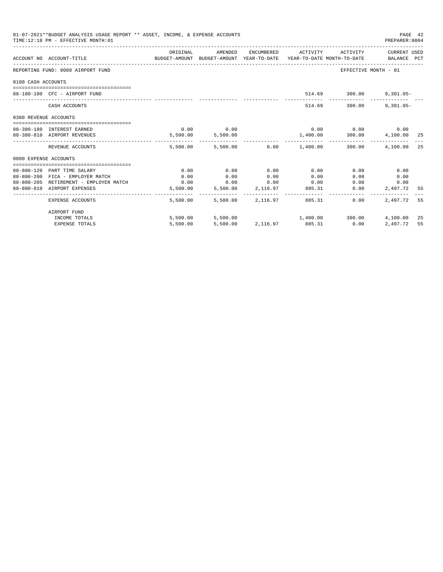|                       | 01-07-2021**BUDGET ANALYSIS USAGE REPORT ** ASSET, INCOME, & EXPENSE ACCOUNTS<br>TIME: 12:18 PM - EFFECTIVE MONTH: 01 |                                                                                             |                     |                   |                                           |                                        | PAGE 42<br>PREPARER: 0004 |  |
|-----------------------|-----------------------------------------------------------------------------------------------------------------------|---------------------------------------------------------------------------------------------|---------------------|-------------------|-------------------------------------------|----------------------------------------|---------------------------|--|
|                       | ACCOUNT NO ACCOUNT-TITLE                                                                                              | ORIGINAL<br>BUDGET-AMOUNT BUDGET-AMOUNT YEAR-TO-DATE YEAR-TO-DATE MONTH-TO-DATE BALANCE PCT | AMENDED             |                   | ENCUMBERED ACTIVITY ACTIVITY CURRENT USED |                                        |                           |  |
|                       | REPORTING FUND: 0088 AIRPORT FUND                                                                                     |                                                                                             |                     |                   |                                           | EFFECTIVE MONTH - 01                   |                           |  |
| 0100 CASH ACCOUNTS    |                                                                                                                       |                                                                                             |                     |                   |                                           |                                        |                           |  |
|                       | 88-100-100 CFC - AIRPORT FUND                                                                                         |                                                                                             |                     |                   |                                           | 514.69 300.00                          | $9,301.05 -$              |  |
|                       | CASH ACCOUNTS                                                                                                         |                                                                                             |                     |                   |                                           | 514.69 300.00                          | $9,301.05 -$              |  |
| 0380 REVENUE ACCOUNTS |                                                                                                                       |                                                                                             |                     |                   |                                           |                                        |                           |  |
|                       | 88-380-180 INTEREST EARNED                                                                                            | 0.00                                                                                        | 0.00                |                   |                                           | $0.00$ $0.00$ $0.00$ $0.00$            |                           |  |
|                       | 88-380-810 AIRPORT REVENUES                                                                                           |                                                                                             | 5,500.00 5,500.00   |                   | 1,400.00 300.00 4,100.00 25               |                                        |                           |  |
|                       | REVENUE ACCOUNTS                                                                                                      |                                                                                             |                     |                   | 5,500.00 5,500.00 0.00 1,400.00 300.00    | ----------- ------------ ------------- | 4,100.00 25               |  |
| 0800 EXPENSE ACCOUNTS |                                                                                                                       |                                                                                             |                     |                   |                                           |                                        |                           |  |
|                       |                                                                                                                       |                                                                                             |                     |                   |                                           |                                        |                           |  |
|                       | 88-800-120 PART TIME SALARY                                                                                           | 0.00                                                                                        | 0.00                | 0.00              | 0.00                                      | 0.00                                   | 0.00                      |  |
|                       | 88-800-200 FICA - EMPLOYER MATCH<br>88-800-205 RETIREMENT - EMPLOYER MATCH                                            | 0.00<br>0.00                                                                                | 0.00<br>$0.00$ 0.00 | 0.00              | 0.00<br>0.00                              | 0.00<br>0.00                           | 0.00<br>0.00              |  |
|                       | 88-800-810 AIRPORT EXPENSES                                                                                           | 5,500.00                                                                                    |                     | 5,500.00 2,116.97 | 885.31                                    | 0.00                                   | 2,497.72 55               |  |
|                       | <b>EXPENSE ACCOUNTS</b>                                                                                               | 5,500.00                                                                                    |                     | 5,500.00 2,116.97 | 885.31                                    | $0.00 -$                               | 2,497.72 55               |  |
|                       | AIRPORT FUND                                                                                                          |                                                                                             |                     |                   |                                           |                                        |                           |  |
|                       | INCOME TOTALS                                                                                                         |                                                                                             |                     |                   | 5,500.00 5,500.00 1,400.00 300.00         |                                        | 4,100.00 25               |  |
|                       | <b>EXPENSE TOTALS</b>                                                                                                 | 5,500.00                                                                                    |                     |                   | 5,500.00 2,116.97 885.31                  | 0.00                                   | 2,497.72 55               |  |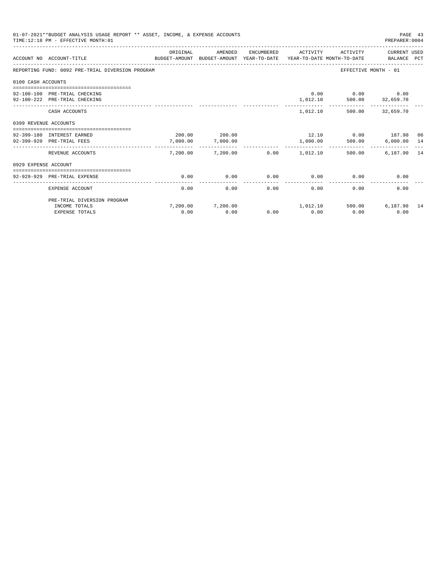| 01-07-2021**BUDGET ANALYSIS USAGE REPORT ** ASSET, INCOME, & EXPENSE ACCOUNTS<br>TIME: 12:18 PM - EFFECTIVE MONTH: 01 |                                                                |          |                                                                  |            |           |                                                         | PAGE 43<br>PREPARER: 0004   |    |
|-----------------------------------------------------------------------------------------------------------------------|----------------------------------------------------------------|----------|------------------------------------------------------------------|------------|-----------|---------------------------------------------------------|-----------------------------|----|
|                                                                                                                       | ACCOUNT NO ACCOUNT-TITLE<br>BUDGET-AMOUNT                      | ORIGINAL | AMENDED<br>BUDGET-AMOUNT YEAR-TO-DATE YEAR-TO-DATE MONTH-TO-DATE | ENCUMBERED | ACTIVITY  | ACTIVITY                                                | CURRENT USED<br>BALANCE PCT |    |
|                                                                                                                       | REPORTING FUND: 0092 PRE-TRIAL DIVERSION PROGRAM               |          |                                                                  |            |           |                                                         | EFFECTIVE MONTH - 01        |    |
| 0100 CASH ACCOUNTS                                                                                                    |                                                                |          |                                                                  |            |           |                                                         |                             |    |
|                                                                                                                       | -----------------------------<br>92-100-100 PRE-TRIAL CHECKING |          |                                                                  |            |           | $0.00$ $0.00$ $0.00$                                    |                             |    |
|                                                                                                                       | 92-100-222 PRE-TRIAL CHECKING                                  |          |                                                                  |            |           | $1,012.10 \qquad \qquad 500.00 \qquad \qquad 32,659.70$ |                             |    |
|                                                                                                                       |                                                                |          |                                                                  |            |           | _________________________________                       |                             |    |
|                                                                                                                       | CASH ACCOUNTS                                                  |          |                                                                  |            |           | 1,012.10 500.00 32,659.70                               |                             |    |
| 0399 REVENUE ACCOUNTS                                                                                                 |                                                                |          |                                                                  |            |           |                                                         |                             |    |
|                                                                                                                       | ===============================                                |          | 200.00 200.00                                                    |            |           |                                                         |                             |    |
|                                                                                                                       | 92-399-180 INTEREST EARNED<br>92-399-920 PRE-TRIAL FEES        | 7,000.00 | 7,000.00                                                         |            | 1,000.00  | $12.10$ 0.00 $187.90$ 06<br>500.00                      | $6,000.00$ 14               |    |
|                                                                                                                       |                                                                | -------- | -------------                                                    |            | --------- |                                                         |                             |    |
|                                                                                                                       | REVENUE ACCOUNTS                                               | 7.200.00 | 7,200.00                                                         | 0.00       | 1,012.10  | 500.00                                                  | 6,187.90                    | 14 |
| 0929 EXPENSE ACCOUNT                                                                                                  |                                                                |          |                                                                  |            |           |                                                         |                             |    |
|                                                                                                                       |                                                                |          |                                                                  |            |           |                                                         |                             |    |
|                                                                                                                       | 92-929-929 PRE-TRIAL EXPENSE                                   | 0.00     | 0.00                                                             | 0.00       | 0.00      | 0.00                                                    | 0.00                        |    |
|                                                                                                                       | EXPENSE ACCOUNT                                                | 0.00     | 0.00                                                             | 0.00       | 0.00      | 0.00                                                    | 0.00                        |    |
|                                                                                                                       | PRE-TRIAL DIVERSION PROGRAM                                    |          |                                                                  |            |           |                                                         |                             |    |
|                                                                                                                       | INCOME TOTALS                                                  |          | 7,200.00 7,200.00                                                |            |           | 1,012.10 500.00                                         | 6,187.90 14                 |    |
|                                                                                                                       | <b>EXPENSE TOTALS</b>                                          | 0.00     | 0.00                                                             | 0.00       | 0.00      | 0.00                                                    | 0.00                        |    |